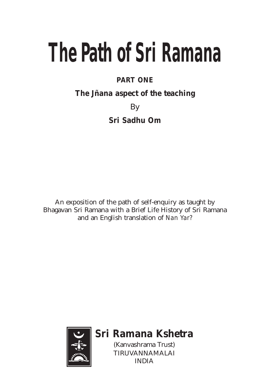# **The Path of Sri Ramana**

#### **PART ONE**

**The Jñana aspect of the teaching**

By

#### **Sri Sadhu Om**

An exposition of the path of self-enquiry as taught by Bhagavan Sri Ramana with a Brief Life History of Sri Ramana and an English translation of *Nan Yar?*



### **Sri Ramana Kshetra**

(Kanvashrama Trust) TIRUVANNAMALAI INDIA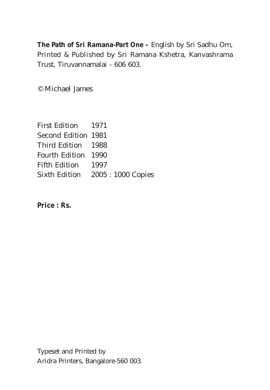**The Path of Sri Ramana-Part One –** English by Sri Sadhu Om, Printed & Published by Sri Ramana Kshetra, Kanvashrama Trust, Tiruvannamalai - 606 603.

© Michael James

| First Edition 1971  |                                 |
|---------------------|---------------------------------|
| Second Edition 1981 |                                 |
| Third Edition 1988  |                                 |
| Fourth Edition 1990 |                                 |
| Fifth Edition 1997  |                                 |
|                     | Sixth Edition 2005: 1000 Copies |

**Price : Rs.**

Typeset and Printed by Aridra Printers, Bangalore-560 003.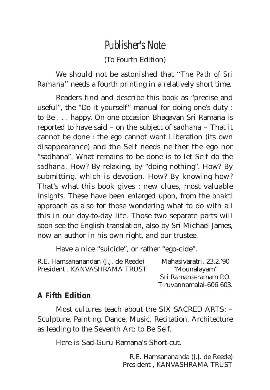### Publisher's Note (To Fourth Edition)

We should not be astonished that *''The Path of Sri Ramana''* needs a fourth printing in a relatively short time.

Readers find and describe this book as "precise and useful", the "Do it yourself" manual for doing one's duty : to Be . . . happy. On one occasion Bhagavan Sri Ramana is reported to have said – on the subject of *sadhana –* That it cannot be done : the ego cannot want Liberation (its own disappearance) and the Self needs neither the ego nor "sadhana". What remains to be done is to let Self do the *sadhana.* How? By relaxing, by "doing nothing". How? By submitting, which is devotion. How? By knowing how? That's what this book gives : new clues, most valuable insights. These have been enlarged upon, from the *bhakti* approach as also for those wondering what to do with all this in our day-to-day life. Those two separate parts will soon see the English translation, also by Sri Michael James, now an author in his own right, and our trustee.

Have a nice "suicide", or rather "ego-cide".

R.E. Hamsananandan (J.J. de Reede) Mahasivaratri, 23.2.'90 President, KANVASHRAMA TRUST "Mounalayam"

Sri Ramanasramam P.O. Tiruvannamalai-606 603.

#### **A Fifth Edition**

Most cultures teach about the SIX SACRED ARTS: – Sculpture, Painting, Dance, Music, Recitation, Architecture as leading to the Seventh Art: to Be Self.

Here is Sad-Guru Ramana's Short-cut.

R.E. Hamsanananda (J.J. de Reede) President , KANVASHRAMA TRUST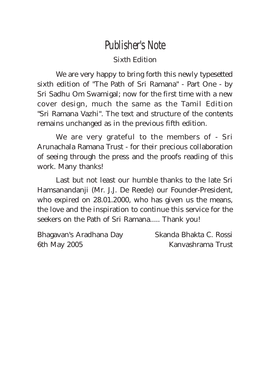### Publisher's Note Sixth Edition

We are very happy to bring forth this newly typesetted sixth edition of "The Path of Sri Ramana" - Part One - by Sri Sadhu Om Swamigal; now for the first time with a new cover design, much the same as the Tamil Edition "Sri Ramana Vazhi". The text and structure of the contents remains unchanged as in the previous fifth edition.

We are very grateful to the members of - Sri Arunachala Ramana Trust - for their precious collaboration of seeing through the press and the proofs reading of this work. Many thanks!

Last but not least our humble thanks to the late Sri Hamsanandanji (Mr. J.J. De Reede) our Founder-President, who expired on 28.01.2000, who has given us the means, the love and the inspiration to continue this service for the seekers on the Path of Sri Ramana..... Thank you!

| Bhagavan's Aradhana Day | Skanda Bhakta C. Rossi |
|-------------------------|------------------------|
| 6th May 2005            | Kanvashrama Trust      |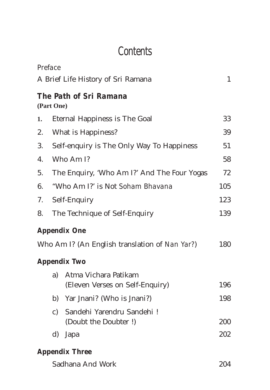### **Contents**

| Preface    |                                                                     |              |  |
|------------|---------------------------------------------------------------------|--------------|--|
|            | A Brief Life History of Sri Ramana                                  | $\mathbf{1}$ |  |
| (Part One) | <b>The Path of Sri Ramana</b>                                       |              |  |
| 1.         | Eternal Happiness is The Goal                                       | 33           |  |
| 2.         | What is Happiness?                                                  | 39           |  |
| 3.         | Self-enquiry is The Only Way To Happiness<br>51                     |              |  |
| 4.         | Who Am I?<br>58                                                     |              |  |
| 5.         | The Enquiry, 'Who Am I?' And The Four Yogas                         | 72           |  |
| 6.         | "Who Am I?' is Not Soham Bhavana                                    | 105          |  |
| 7.         | Self-Enquiry                                                        | 123          |  |
| 8.         | The Technique of Self-Enquiry                                       | 139          |  |
|            | <b>Appendix One</b>                                                 |              |  |
|            | Who Am I? (An English translation of Nan Yar?)                      | 180          |  |
|            | <b>Appendix Two</b>                                                 |              |  |
|            | Atma Vichara Patikam<br>a)<br>(Eleven Verses on Self-Enquiry)       | 196          |  |
|            | b) Yar Jnani? (Who is Jnani?)                                       | 198          |  |
|            | Sandehi Yarendru Sandehi !<br>$\mathbf{c})$<br>(Doubt the Doubter!) | 200          |  |
|            | d)<br>Japa                                                          | 202          |  |
|            | - 10 - 111                                                          |              |  |

#### **Appendix Three**

|  | Sadhana And Work | 204 |
|--|------------------|-----|
|--|------------------|-----|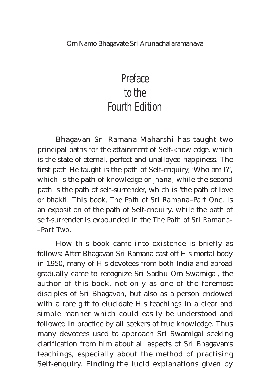### Preface to the Fourth Edition

Bhagavan Sri Ramana Maharshi has taught two principal paths for the attainment of Self-knowledge, which is the state of eternal, perfect and unalloyed happiness. The first path He taught is the path of Self-enquiry, 'Who am I?', which is the path of knowledge or *jnana,* while the second path is the path of self-surrender, which is 'the path of love or *bhakti.* This book, *The Path of Sri Ramana–Part One,* is an exposition of the path of Self-enquiry, while the path of self-surrender is expounded in the *The Path of Sri Ramana- –Part Two.*

How this book came into existence is briefly as follows: After Bhagavan Sri Ramana cast off His mortal body in 1950, many of His devotees from both India and abroad gradually came to recognize Sri Sadhu Om Swamigal, the author of this book, not only as one of the foremost disciples of Sri Bhagavan, but also as a person endowed with a rare gift to elucidate His teachings in a clear and simple manner which could easily be understood and followed in practice by all seekers of true knowledge. Thus many devotees used to approach Sri Swamigal seeking clarification from him about all aspects of Sri Bhagavan's teachings, especially about the method of practising Self-enquiry. Finding the lucid explanations given by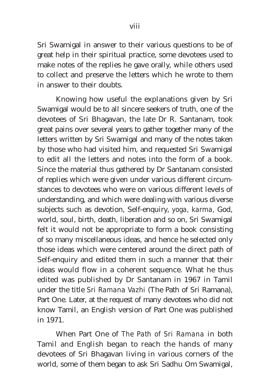Sri Swamigal in answer to their various questions to be of great help in their spiritual practice, some devotees used to make notes of the replies he gave orally, while others used to collect and preserve the letters which he wrote to them in answer to their doubts.

Knowing how useful the explanations given by Sri Swamigal would be to all sincere seekers of truth, one of the devotees of Sri Bhagavan, the late Dr R. Santanam, took great pains over several years to gather together many of the letters written by Sri Swamigal and many of the notes taken by those who had visited him, and requested Sri Swamigal to edit all the letters and notes into the form of a book. Since the material thus gathered by Dr Santanam consisted of replies which were given under various different circumstances to devotees who were on various different levels of understanding, and which were dealing with various diverse subjects such as devotion, Self-enquiry, *yoga, karma,* God, world, soul, birth, death, liberation and so on, Sri Swamigal felt it would not be appropriate to form a book consisting of so many miscellaneous ideas, and hence he selected only those ideas which were centered around the direct path of Self-enquiry and edited them in such a manner that their ideas would flow in a coherent sequence. What he thus edited was published by Dr Santanam in 1967 in Tamil under the title *Sri Ramana Vazhi* (The Path of Sri Ramana), Part One. Later, at the request of many devotees who did not know Tamil, an English version of Part One was published in 1971.

When Part One of *The Path of Sri Ramana* in both Tamil and English began to reach the hands of many devotees of Sri Bhagavan living in various corners of the world, some of them began to ask Sri Sadhu Om Swamigal,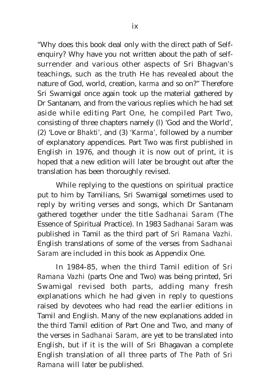"Why does this book deal only with the direct path of Selfenquiry? Why have you not written about the path of selfsurrender and various other aspects of Sri Bhagvan's teachings, such as the truth He has revealed about the nature of God, world, creation, *karma* and so on?" Therefore Sri Swamigal once again took up the material gathered by Dr Santanam, and from the various replies which he had set aside while editing Part One, he compiled Part Two, consisting of three chapters namely (l) 'God and the World', (2) 'Love or *Bhakti',* and (3) *'Karma',* followed by a number of explanatory appendices. Part Two was first published in English in 1976, and though it is now out of print, it is hoped that a new edition will later be brought out after the translation has been thoroughly revised.

While replying to the questions on spiritual practice put to him by Tamilians, Sri Swamigal sometimes used to reply by writing verses and songs, which Dr Santanam gathered together under the title *Sadhanai Saram* (The Essence of Spiritual Practice). In 1983 *Sadhanai Saram* was published in Tamil as the third part of *Sri Ramana Vazhi.* English translations of some of the verses from *Sadhanai Saram* are included in this book as Appendix One.

In 1984-85, when the third Tamil edition of *Sri Ramana Vazhi* (parts One and Two) was being printed, Sri Swamigal revised both parts, adding many fresh explanations which he had given in reply to questions raised by devotees who had read the earlier editions in Tamil and English. Many of the new explanations added in the third Tamil edition of Part One and Two, and many of the verses in *Sadhanai Saram,* are yet to be translated into English, but if it is the will of Sri Bhagavan a complete English translation of all three parts of *The Path of Sri Ramana* will later be published.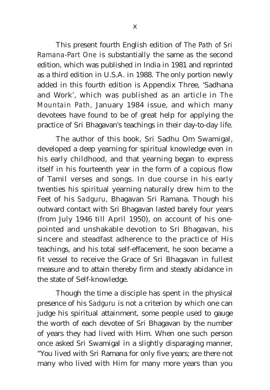This present fourth English edition of *The Path of Sri Ramana-Part One* is substantially the same as the second edition, which was published in India in 1981 and reprinted as a third edition in U.S.A. in 1988. The only portion newly added in this fourth edition is Appendix Three, 'Sadhana and Work', which was published as an article in *The Mountain Path,* January 1984 issue, and which many devotees have found to be of great help for applying the practice of Sri Bhagavan's teachings in their day-to-day life.

The author of this book, Sri Sadhu Om Swamigal, developed a deep yearning for spiritual knowledge even in his early childhood, and that yearning began to express itself in his fourteenth year in the form of a copious flow of Tamil verses and songs. In due course in his early twenties his spiritual yearning naturally drew him to the Feet of his *Sadguru,* Bhagavan Sri Ramana. Though his outward contact with Sri Bhagavan lasted barely four years (from July 1946 till April 1950), on account of his onepointed and unshakable devotion to Sri Bhagavan, his sincere and steadfast adherence to the practice of His teachings, and his total self-effacement, he soon became a fit vessel to receive the Grace of Sri Bhagavan in fullest measure and to attain thereby firm and steady abidance in the state of Self-knowledge.

Though the time a disciple has spent in the physical presence of his *Sadguru* is not a criterion by which one can judge his spiritual attainment, some people used to gauge the worth of each devotee of Sri Bhagavan by the number of years they had lived with Him. When one such person once asked Sri Swamigal in a slightly disparaging manner, "You lived with Sri Ramana for only five years; are there not many who lived with Him for many more years than you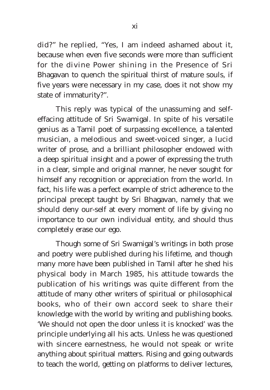did?" he replied, "Yes, I am indeed ashamed about it, because when even five seconds were more than sufficient for the divine Power shining in the Presence of Sri Bhagavan to quench the spiritual thirst of mature souls, if five years were necessary in my case, does it not show my state of immaturity?".

This reply was typical of the unassuming and selfeffacing attitude of Sri Swamigal. In spite of his versatile genius as a Tamil poet of surpassing excellence, a talented musician, a melodious and sweet-voiced singer, a lucid writer of prose, and a brilliant philosopher endowed with a deep spiritual insight and a power of expressing the truth in a clear, simple and original manner, he never sought for himself any recognition or appreciation from the world. In fact, his life was a perfect example of strict adherence to the principal precept taught by Sri Bhagavan, namely that we should deny our-self at every moment of life by giving no importance to our own individual entity, and should thus completely erase our ego.

Though some of Sri Swamigal's writings in both prose and poetry were published during his lifetime, and though many more have been published in Tamil after he shed his physical body in March 1985, his attitude towards the publication of his writings was quite different from the attitude of many other writers of spiritual or philosophical books, who of their own accord seek to share their knowledge with the world by writing and publishing books. 'We should not open the door unless it is knocked' was the principle underlying all his acts. Unless he was questioned with sincere earnestness, he would not speak or write anything about spiritual matters. Rising and going outwards to teach the world, getting on platforms to deliver lectures,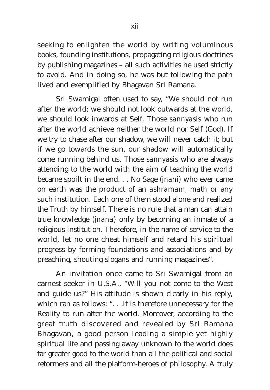seeking to enlighten the world by writing voluminous books, founding institutions, propagating religious doctrines by publishing magazines – all such activities he used strictly to avoid. And in doing so, he was but following the path lived and exemplified by Bhagavan Sri Ramana.

Sri Swamigal often used to say, "We should not run after the world; we should not look outwards at the world, we should look inwards at Self. Those *sannyasis* who run after the world achieve neither the world nor Self (God). If we try to chase after our shadow, we will never catch it; but if we go towards the sun, our shadow will automatically come running behind us. Those *sannyasis* who are always attending to the world with the aim of teaching the world became spoilt in the end. . . No Sage *(jnani)* who ever came on earth was the product of an *ashramam, math* or any such institution. Each one of them stood alone and realized the Truth by himself. There is no rule that a man can attain true knowledge *(jnana)* only by becoming an inmate of a religious institution. Therefore, in the name of service to the world, let no one cheat himself and retard his spiritual progress by forming foundations and associations and by preaching, shouting slogans and running magazines".

An invitation once came to Sri Swamigal from an earnest seeker in U.S.A., "Will you not come to the West and guide us?" His attitude is shown clearly in his reply, which ran as follows: ". . .It is therefore unnecessary for the Reality to run after the world. Moreover, according to the great truth discovered and revealed by Sri Ramana Bhagavan, a good person leading a simple yet highly spiritual life and passing away unknown to the world does far greater good to the world than all the political and social reformers and all the platform-heroes of philosophy. A truly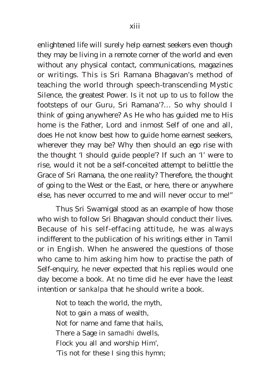enlightened life will surely help earnest seekers even though they may be living in a remote corner of the world and even without any physical contact, communications, magazines or writings. This is Sri Ramana Bhagavan's method of teaching the world through speech-transcending Mystic

Silence, the greatest Power. Is it not up to us to follow the footsteps of our Guru, Sri Ramana'?… So why should I think of going anywhere? As He who has guided me to His home is the Father, Lord and inmost Self of one and all, does He not know best how to guide home earnest seekers, wherever they may be? Why then should an ego rise with the thought 'I should guide people'? If such an 'I' were to rise, would it not be a self-conceited attempt to belittle the Grace of Sri Ramana, the one reality? Therefore, the thought of going to the West or the East, or here, there or anywhere else, has never occurred to me and will never occur to me!"

Thus Sri Swamigal stood as an example of how those who wish to follow Sri Bhagavan should conduct their lives. Because of his self-effacing attitude, he was always indifferent to the publication of his writings either in Tamil or in English. When he answered the questions of those who came to him asking him how to practise the path of Self-enquiry, he never expected that his replies would one day become a book. At no time did he ever have the least intention or *sankalpa* that he should write a book.

Not to teach the world, the myth, Not to gain a mass of wealth, Not for name and fame that hails, There a Sage in *samadhi* dwells, Flock you all and worship Him', 'Tis not for these I sing this hymn;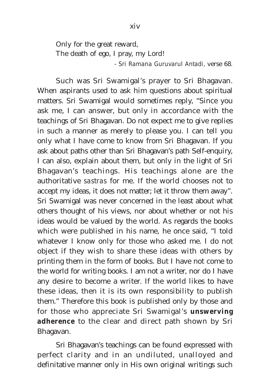Only for the great reward, The death of ego, I pray, my Lord! *- Sri Ramana Guruvarul Antadi,* verse 68*.*

Such was Sri Swamigal's prayer to Sri Bhagavan. When aspirants used to ask him questions about spiritual matters. Sri Swamigal would sometimes reply, "Since you ask me, I can answer, but only in accordance with the teachings of Sri Bhagavan. Do not expect me to give replies in such a manner as merely to please you. I can tell you only what I have come to know from Sri Bhagavan. If you ask about paths other than Sri Bhagavan's path Self-enquiry, I can also, explain about them, but only in the light of Sri Bhagavan's teachings. His teachings alone are the authoritative *sastras* for me. If the world chooses not to accept my ideas, it does not matter; let it throw them away". Sri Swamigal was never concerned in the least about what others thought of his views, nor about whether or not his ideas would be valued by the world. As regards the books which were published in his name, he once said, "I told whatever I know only for those who asked me. I do not object if they wish to share these ideas with others by printing them in the form of books. But I have not come to the world for writing books. I am not a writer, nor do I have any desire to become a writer. If the world likes to have these ideas, then it is its own responsibility to publish them." Therefore this book is published only by those and for those who appreciate Sri Swamigal's **unswerving adherence** to the clear and direct path shown by Sri Bhagavan.

Sri Bhagavan's teachings can be found expressed with perfect clarity and in an undiluted, unalloyed and definitative manner only in His own original writings such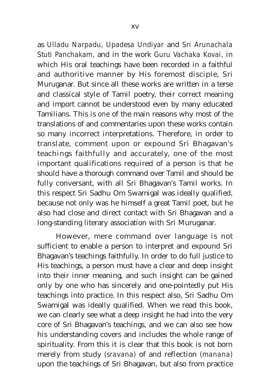as *Ulladu Narpadu, Upadesa Undiyar* and *Sri Arunachala Stuti Panchakam,* and in the work *Guru Vachaka Kovai,* in which His oral teachings have been recorded in a faithful and authoritive manner by His foremost disciple, Sri Muruganar. But since all these works are written in a terse and classical style of Tamil poetry, their correct meaning and import cannot be understood even by many educated Tamilians. This is *one* of the main reasons why most of the translations of and commentaries upon these works contain so many incorrect interpretations. Therefore, in order to translate, comment upon or expound Sri Bhagavan's teachings faithfully and accurately, one of the most important qualifications required of a person is that he should have a thorough command over Tamil and should be fully conversant, with all Sri Bhagavan's Tamil works. In this respect Sri Sadhu Om Swamigal was ideally qualified, because not only was he himself a great Tamil poet, but he also had close and direct contact with Sri Bhagavan and a long-standing literary association with Sri Muruganar.

However, mere command over language is not sufficient to enable a person to interpret and expound Sri Bhagavan's teachings faithfully. In order to do full justice to His teachings, a person must have a clear and deep insight into their inner meaning, and such insight can be gained only by one who has sincerely and one-pointedly put His teachings into practice. In this respect also, Sri Sadhu Om Swamigal was ideally qualified. When we read this book, we can clearly see what a deep insight he had into the very core of Sri Bhagavan's teachings, and we can also see how his understanding covers and includes the whole range of spirituality. From this it is clear that this book is not born merely from study *(sravana)* of and reflection *(manana)* upon the teachings of Sri Bhagavan, but also from practice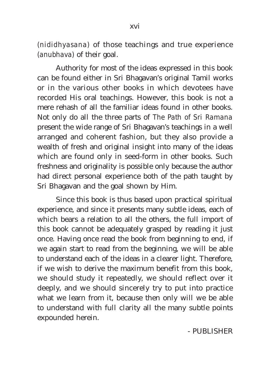*(nididhyasana)* of those teachings and true experience *(anubhava)* of their goal.

Authority for most of the ideas expressed in this book can be found either in Sri Bhagavan's original Tamil works or in the various other books in which devotees have recorded His oral teachings. However, this book is not a mere rehash of all the familiar ideas found in other books. Not only do all the three parts of *The Path of Sri Ramana* present the wide range of Sri Bhagavan's teachings in a well arranged and coherent fashion, but they also provide a wealth of fresh and original insight into many of the ideas which are found only in seed-form in other books. Such freshness and originality is possible only because the author had direct personal experience both of the path taught by Sri Bhagavan and the goal shown by Him.

Since this book is thus based upon practical spiritual experience, and since it presents many subtle ideas, each of which bears a relation to all the others, the full import of this book cannot be adequately grasped by reading it just once. Having once read the book from beginning to end, if we again start to read from the beginning, we will be able to understand each of the ideas in a clearer light. Therefore, if we wish to derive the maximum benefit from this book, we should study it repeatedly, we should reflect over it deeply, and we should sincerely try to put into practice what we learn from it, because then only will we be able to understand with full clarity all the many subtle points expounded herein.

- PUBLISHER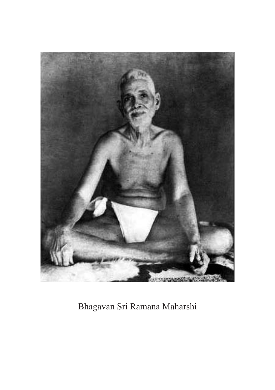

Bhagavan Sri Ramana Maharshi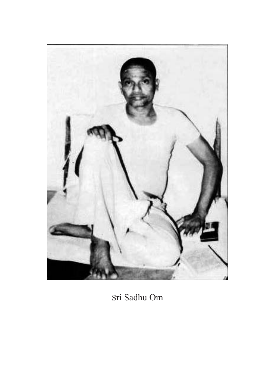

Sri Sadhu Om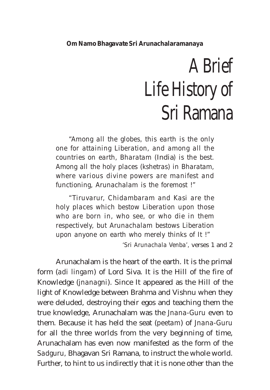#### **Om Namo Bhagavate Sri Arunachalaramanaya**

## A Brief Life History of Sri Ramana

*"Among all the globes, this earth is the only one for attaining Liberation, and among all the countries on earth, Bharatam (*India*) is the best. Among all the holy places (kshetras) in Bharatam, where various divine powers are manifest and functioning, Arunachalam is the foremost !"*

*"Tiruvarur, Chidambaram and Kasi are the holy places which bestow Liberation upon those who are born in, who see, or who die in them respectively, but Arunachalam bestows Liberation upon anyone on earth who merely thinks of It !"*

*'Sri Arunachala Venba',* verses 1 and 2

Arunachalam is the heart of the earth. It is the primal form (*adi lingam*) of Lord Siva. It is the Hill of the fire of Knowledge (*jnanagni*). Since It appeared as the Hill of the light of Knowledge between Brahma and Vishnu when they were deluded, destroying their egos and teaching them the true knowledge, Arunachalam was the *Jnana-Guru* even to them. Because it has held the seat (*peetam*) of *Jnana-Guru* for all the three worlds from the very beginning of time, Arunachalam has even now manifested as the form of the *Sadguru,* Bhagavan Sri Ramana, to instruct the whole world. Further, to hint to us indirectly that it is none other than the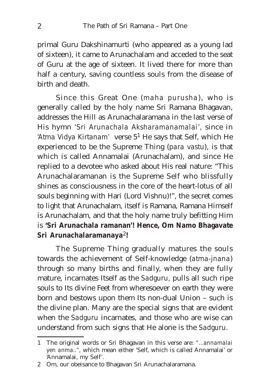primal Guru Dakshinamurti (who appeared as a young lad of sixteen), it came to Arunachalam and acceded to the seat of Guru at the age of sixteen. It lived there for more than half a century, saving countless souls from the disease of birth and death.

Since this Great One (*maha purusha*), who is generally called by the holy name Sri Ramana Bhagavan, addresses the Hill as Arunachalaramana in the last verse of His hymn *'Sri Arunachala Aksharamanamalai',* since in *'Atma Vidya Kirtanam'* verse 51 He says that Self, which He experienced to be the Supreme Thing (*para vastu*), is that which is called Annamalai (Arunachalam), and since He replied to a devotee who asked about His real nature: "This Arunachalaramanan is the Supreme Self who blissfully shines as consciousness in the core of the heart-lotus of all souls beginning with Hari (Lord Vishnu)!", the secret comes to light that Arunachalam, itself is Ramana, Ramana Himself is Arunachalam, and that the holy name truly befitting Him is **'Sri Arunachala ramanan'! Hence, Om Namo Bhagavate Sri Arunachalaramanaya**2**!**

The Supreme Thing gradually matures the souls towards the achievement of Self-knowledge (*atma-jnana*) through so many births and finally, when they are fully mature, incarnates Itself as the *Sadguru,* pulls all such ripe souls to Its divine Feet from wheresoever on earth they were born and bestows upon them Its non-dual Union – such is the divine plan. Many are the special signs that are evident when the *Sadguru* incarnates, and those who are wise can understand from such signs that He alone is the *Sadguru.*

<sup>1</sup> The original words or Sri Bhagavan in this verse are: *"...annamalai yen anma..",* which mean either 'Self, which is called Annamalai' or 'Annamalai, my Self'.

<sup>2</sup> Om, our obeisance to Bhagavan Sri Arunachalaramana.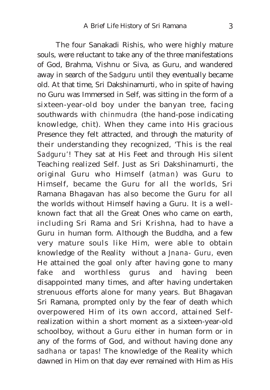The four Sanakadi Rishis, who were highly mature souls, were reluctant to take any of the three manifestations of God, Brahma, Vishnu or Siva, as Guru, and wandered away in search of the *Sadguru* until they eventually became old. At that time, Sri Dakshinamurti, who in spite of having no Guru was Immersed in Self, was sitting in the form of a sixteen-year-old boy under the banyan tree, facing southwards with *chinmudra* (the hand-pose indicating knowledge, chit). When they came into His gracious Presence they felt attracted, and through the maturity of their understanding they recognized, 'This is the real *Sadguru'*! They sat at His Feet and through His silent Teaching realized Self. Just as Sri Dakshinamurti, the original Guru who Himself (*atman*) was Guru to Himself, became the Guru for all the worlds, Sri Ramana Bhagavan has also become the Guru for all the worlds without Himself having a Guru. It is a wellknown fact that all the Great Ones who came on earth, including Sri Rama and Sri Krishna, had to have a Guru in human form. Although the Buddha, and a few very mature souls like Him, were able to obtain knowledge of the Reality without a *Jnana- Guru,* even He attained the goal only after having gone to many fake and worthless gurus and having been disappointed many times, and after having undertaken strenuous efforts alone for many years. But Bhagavan Sri Ramana, prompted only by the fear of death which overpowered Him of its own accord, attained Selfrealization within a short moment as a sixteen-year-old schoolboy, without a *Guru* either in human form or in any of the forms of God, and without having done any *sadhana* or *tapas*! The knowledge of the Reality which dawned in Him on that day ever remained with Him as His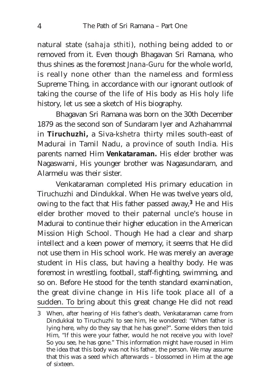natural state (*sahaja sthiti*), nothing being added to or removed from it. Even though Bhagavan Sri Ramana, who thus shines as the foremost *Jnana-Guru* for the whole world, is really none other than the nameless and formless Supreme Thing, in accordance with our ignorant outlook of taking the course of the life of His body as His holy life history, let us see a sketch of His biography.

Bhagavan Sri Ramana was born on the 30th December 1879 as the second son of Sundaram Iyer and Azhahammal in **Tiruchuzhi,** a Siva-*kshetra* thirty miles south-east of Madurai in Tamil Nadu, a province of south India. His parents named Him **Venkataraman.** His elder brother was Nagaswami, His younger brother was Nagasundaram, and Alarmelu was their sister.

Venkataraman completed His primary education in Tiruchuzhi and Dindukkal. When He was twelve years old, owing to the fact that His father passed away,**3** He and His elder brother moved to their paternal uncle's house in Madurai to continue their higher education in the American Mission High School. Though He had a clear and sharp intellect and a keen power of memory, it seems that He did not use them in His school work. He was merely an average student in His class, but having a healthy body. He was foremost in wrestling, football, staff-fighting, swimming, and so on. Before He stood for the tenth standard examination, the great divine change in His life took place all of a sudden. To bring about this great change He did not read

<sup>3</sup> When, after hearing of His father's death, Venkataraman came from Dindukkal to Tiruchuzhi to see him, He wondered: "When father is lying here, why do they say that he has gone?". Some elders then told Him, "If this were your father, would he not receive you with love? So you see, he has gone." This information might have roused in Him the idea that this body was not his father, the person. We may assume that this was a seed which afterwards – blossomed in Him at the age of sixteen.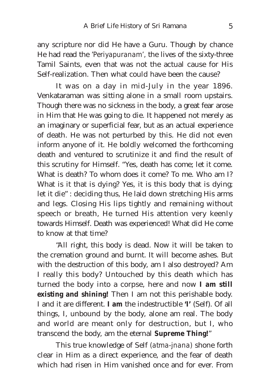any scripture nor did He have a Guru. Though by chance He had read the '*Periyapuranam',* the lives of the sixty-three Tamil Saints, even that was not the actual cause for His Self-realization. Then what could have been the cause?

It was on a day in mid-July in the year 1896. Venkataraman was sitting alone in a small room upstairs. Though there was no sickness in the body, a great fear arose in Him that He was going to die. It happened not merely as an imaginary or superficial fear, but as an actual experience of death. He was not perturbed by this. He did not even inform anyone of it. He boldly welcomed the forthcoming death and ventured to scrutinize it and find the result of this scrutiny for Himself. "Yes, death has come; let it come. What is death? To whom does it come? To me. Who am I? What is it that is dying? Yes, it is this body that is dying; let it die" : deciding thus, He laid down stretching His arms and legs. Closing His lips tightly and remaining without speech or breath, He turned His attention very keenly towards Himself. Death was experienced! What did He come to know at that time?

"All right, this body is dead. Now it will be taken to the cremation ground and burnt. It will become ashes. But with the destruction of this body, am I also destroyed? Am I really this body? Untouched by this death which has turned the body into a corpse, here and now **I am still existing and shining!** Then I am not this perishable body. I and it are different. **I am** the indestructible **'I'** (Self). Of all things, I, unbound by the body, alone am real. The body and world are meant only for destruction, but I, who transcend the body, am the eternal **Supreme Thing!**"

This true knowledge of Self *(atma-jnana)* shone forth clear in Him as a direct experience, and the fear of death which had risen in Him vanished once and for ever. From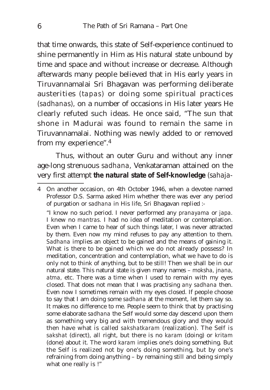that time onwards, this state of Self-experience continued to shine permanently in Him as His natural state unbound by time and space and without increase or decrease. Although afterwards many people believed that in His early years in Tiruvannamalai Sri Bhagavan was performing deliberate austerities *(tapas)* or doing some spiritual practices *(sadhanas),* on a number of occasions in His later years He clearly refuted such ideas. He once said, "The sun that shone in Madurai was found to remain the same in Tiruvannamalai. Nothing was newly added to or removed from my experience".<sup>4</sup>

Thus, without an outer Guru and without any inner age-long strenuous *sadhana,* Venkataraman attained on the very first attempt **the natural state of Self-knowledge** *(sahaja-*

<sup>4</sup> On another occasion, on 4th October 1946, when a devotee named Professor D.S. Sarma asked Him whether there was ever any period of purgation or *sadhana* in His life, Sri Bhagavan replied :-

<sup>&</sup>quot;I know no such period. I never performed any *pranayama* or *japa.* I knew no *mantras.* I had no idea of meditation or contemplation. Even when I came to hear of such things later, I was never attracted by them. Even now my mind refuses to pay any attention to them. *Sadhana* implies an object to be gained and the means of gaining it. What is there to be gained which we do not already possess? In meditation, concentration and contemplation, what we have to do is only not to think of anything, but to be still! Then we shall be in our natural state. This natural state is given many names – *moksha, jnana, atma,* etc. There was a time when I used to remain with my eyes closed. That does not mean that I was practising *any sadhana* then. Even now I sometimes remain with my eyes closed. If people choose to say that I am doing some *sadhana* at the moment, let them say so. It makes no difference to me. People seem to think that by practising some elaborate *sadhana* the Self would some day descend upon them as something very big and with tremendous glory and they would then have what is called *sakshatkaram* (realization). The Self is *sakshat* (direct), all right, but there is no *karam* (doing) or *kritam* (done) about it. The word *karam* implies one's doing something. But the Self is realized not by one's doing something, but by one's refraining from doing anything – by remaining still and being simply what one really is !"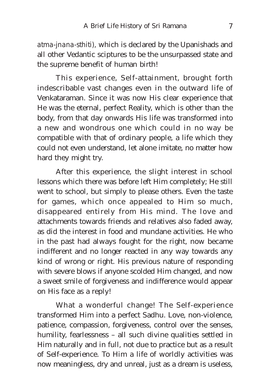*atma-jnana-sthiti),* which is declared by the Upanishads and all other Vedantic sciptures to be the unsurpassed state and the supreme benefit of human birth!

This experience, Self-attainment, brought forth indescribable vast changes even in the outward life of Venkataraman. Since it was now His clear experience that He was the eternal, perfect Reality, which is other than the body, from that day onwards His life was transformed into a new and wondrous one which could in no way be compatible with that of ordinary people, a life which they could not even understand, let alone imitate, no matter how hard they might try.

After this experience, the slight interest in school lessons which there was before left Him completely; He still went to school, but simply to please others. Even the taste for games, which once appealed to Him so much, disappeared entirely from His mind. The love and attachments towards friends and relatives also faded away, as did the interest in food and mundane activities. He who in the past had aIways fought for the right, now became indifferent and no longer reacted in any way towards any kind of wrong or right. His previous nature of responding with severe blows if anyone scolded Him changed, and now a sweet smile of forgiveness and indifference would appear on His face as a reply!

What a wonderful change! The Self-experience transformed Him into a perfect Sadhu. Love, non-violence, patience, compassion, forgiveness, control over the senses, humility, fearlessness – all such divine qualities settled in Him naturally and in full, not due to practice but as a result of Self-experience. To Him a life of worldly activities was now meaningless, dry and unreal, just as a dream is useless,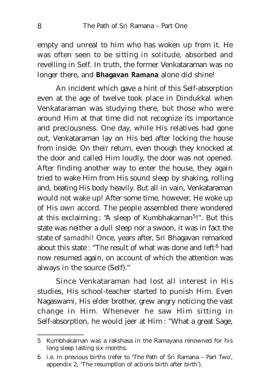empty and unreal to him who has woken up from it. He was often seen to be sitting in solitude, absorbed and revelling in Self. In truth, the former Venkataraman was no longer there, and **Bhagavan Ramana** alone did shine!

An incident which gave a hint of this Self-absorption even at the age of twelve took place in Dindukkal when Venkataraman was studying there, but those who were around Him at that time did not recognize its importance and preciousness. One day, while His relatives had gone out, Venkataraman lay on His bed after locking the house from inside. On their return, even though they knocked at the door and called Him loudly, the door was not opened. After finding another way to enter the house, they again tried to wake Him from His sound sleep by shaking, rolling and, beating His body heavily. But all in vain, Venkataraman would not wake up! After some time, however, He woke up of His own accord. The people assembled there wondered at this exclaiming : "A sleep of Kumbhakarnan $5$ !". But this state was neither a dull sleep nor a swoon, it was in fact the state of *samadhi!* Once, years after, Sri Bhagavan remarked about this state : "The result of what was done and left  $6$  had now resumed again, on account of which the attention was always in the source (Self)."

Since Venkataraman had lost all interest in His studies, His school-teacher started to punish Him. Even Nagaswami, His elder brother, grew angry noticing the vast change in Him. Whenever he saw Him sitting in Self-absorption, he would jeer at Him : "What a great Sage,

<sup>5</sup> Kumbhakarnan was a rakshasa in the Ramayana renowned for his long sleep lasting six months.

<sup>6</sup> i.e. In previous births (refer to 'The Path of Sri Ramana – Part Two', appendix 2, 'The resumptlon of actions birth after birth').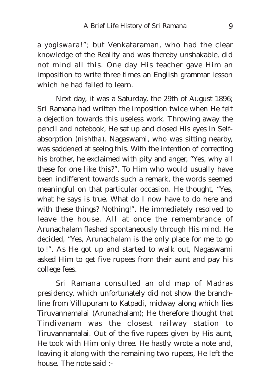a *yogiswara!";* but Venkataraman, who had the clear knowledge of the Reality and was thereby unshakable, did not mind all this. One day His teacher gave Him an imposition to write three times an English grammar lesson which he had failed to learn.

Next day, it was a Saturday, the 29th of August 1896; Sri Ramana had written the imposition twice when He felt a dejection towards this useless work. Throwing away the pencil and notebook, He sat up and closed His eyes in Selfabsorption *(nishtha).* Nagaswami, who was sitting nearby, was saddened at seeing this. With the intention of correcting his brother, he exclaimed with pity and anger, "Yes, why all these for one like this?". To Him who would usually have been indifferent towards such a remark, the words seemed meaningful on that particular occasion. He thought, "Yes, what he says is true. What do I now have to do here and with these things? Nothing!". He immediately resolved to leave the house. All at once the remembrance of Arunachalam flashed spontaneously through His mind. He decided, "Yes, Arunachalam is the only place for me to go to !". As He got up and started to walk out, Nagaswami asked Him to get five rupees from their aunt and pay his college fees.

Sri Ramana consulted an old map of Madras presidency, which unfortunately did not show the branchline from Villupuram to Katpadi, midway along which lies Tiruvannamalai (Arunachalam); He therefore thought that Tindivanam was the closest railway station to Tiruvannamalai. Out of the five rupees given by His aunt, He took with Him only three. He hastly wrote a note and, leaving it along with the remaining two rupees, He left the house. The note said :-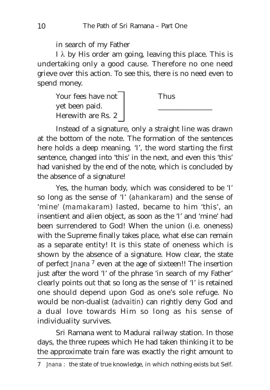in search of my Father

I  $\lambda$  by His order am going, leaving this place. This is undertaking only a good cause. Therefore no one need grieve over this action. To see this, there is no need even to spend money.

| Your fees have not | Thus |
|--------------------|------|
| yet been paid.     |      |
| Herewith are Rs. 2 |      |

Instead of a signature, only a straight line was drawn at the bottom of the note. The formation of the sentences here holds a deep meaning. 'I', the word starting the first sentence, changed into 'this' in the next, and even this 'this' had vanished by the end of the note, which is concluded by the absence of a signature!

Yes, the human body, which was considered to be 'I' so long as the sense of 'I' (*ahankaram*) and the sense of 'mine' (*mamakaram*) lasted, became to him 'this', an insentient and alien object, as soon as the 'I' and 'mine' had been surrendered to God! When the union (i.e. oneness) with the Supreme finally takes place, what else can remain as a separate entity! It is this state of oneness which is shown by the absence of a signature. How clear, the state of perfect *Jnana* <sup>7</sup> even at the age of sixteen!! The insertion just after the word 'I' of the phrase 'in search of my Father' clearly points out that so long as the sense of 'I' is retained one should depend upon God as one's sole refuge. No would be non-dualist (*advaitin*) can rightly deny God and a dual love towards Him so long as his sense of individuality survives.

Sri Ramana went to Madurai railway station. In those days, the three rupees which He had taken thinking it to be the approximate train fare was exactly the right amount to

<sup>7</sup> *Jnana :* the state of true knowledge, in which nothing exists but Self.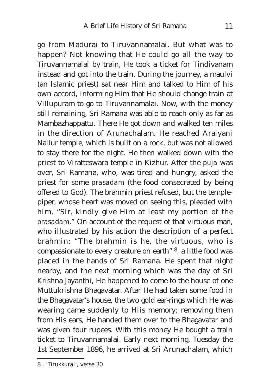go from Madurai to Tiruvannamalai. But what was to happen? Not knowing that He could go all the way to Tiruvannamalai by train, He took a ticket for Tindivanam instead and got into the train. During the journey, a maulvi (an Islamic priest) sat near Him and talked to Him of his own accord, informing Him that He should change train at Villupuram to go to Tiruvannamalai. Now, with the money still remaining, Sri Ramana was able to reach only as far as Mambazhappattu. There He got down and walked ten miles in the direction of Arunachalam. He reached Araiyani Nallur temple, which is built on a rock, but was not allowed to stay there for the night. He then walked down with the priest to Viratteswara temple in Kizhur. After the *puja* was over, Sri Ramana, who, was tired and hungry, asked the priest for some *prasadam* (the food consecrated by being offered to God). The brahmin priest refused, but the templepiper, whose heart was moved on seeing this, pleaded with him, "Sir, kindly give Him at least my portion of the *prasadam."* On account of the request of that virtuous man, who illustrated by his action the description of a perfect brahmin: "The brahmin is he, the virtuous, who is compassionate to every creature on earth" 8, a little food was placed in the hands of Sri Ramana. He spent that night nearby, and the next morning which was the day of Sri Krishna Jayanthi, He happened to come to the house of one Muttukrishna Bhagavatar. Aftar He had taken some food in the Bhagavatar's house, the two gold ear-rings which He was wearing came suddenly to Hlis memory; removing them from His ears, He handed them over to the Bhagavatar and was given four rupees. With this money He bought a train ticket to Tiruvannamalai. Early next morning, Tuesday the 1st September 1896, he arrived at Sri Arunachalam, which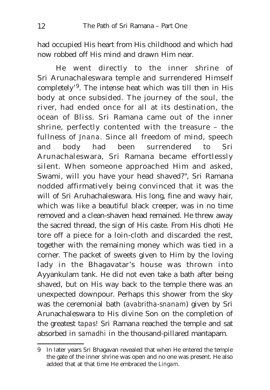had occupied His heart from His childhood and which had now robbed off His mind and drawn Him near.

He went directly to the inner shrine of Sri Arunachaleswara temple and surrendered Himself completely'<sup>9</sup>. The intense heat which was till then in His body at once subsided. The journey of the soul, the river, had ended once for all at its destination, the ocean of Bliss. Sri Ramana came out of the inner shrine, perfectly contented with the treasure – the fullness of *Jnana.* Since all freedom of mind, speech and body had been surrendered to Sri Arunachaleswara, Sri Ramana became effortlessly silent. When someone approached Him and asked, Swami, will you have your head shaved?", Sri Ramana nodded affirmatively being convinced that it was the will of Sri Aruhachaleswara. His long, fine and wavy hair, which was like a beautiful black creeper, was in no time removed and a clean-shaven head remained. He threw away the sacred thread, the sign of His caste. From His dhoti He tore off a piece for a loin-cloth and discarded the rest, together with the remaining money which was tied in a corner. The packet of sweets given to Him by the loving lady in the Bhagavatar's house was thrown into Ayyankulam tank. He did not even take a bath after being shaved, but on His way back to the temple there was an unexpected downpour. Perhaps this shower from the sky was the ceremonial bath (*avabritha-snanam*) given by Sri Arunachaleswara to His divine Son on the completion of the greatest *tapas!* Sri Ramana reached the temple and sat absorbed in *samadhi* in the thousand-pillared mantapam.

<sup>9</sup> In later years Sri Bhagavan revealed that when He entered the temple the gate of the inner shrine was open and no one was present. He also added that at that time He embraced the *Lingam.*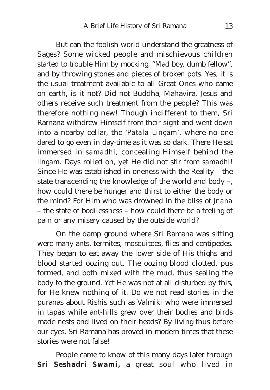But can the foolish world understand the greatness of Sages? Some wicked people and mischievous children started to trouble Him by mocking, "Mad boy, dumb fellow", and by throwing stones and pieces of broken pots. Yes, it is the usual treatment available to all Great Ones who came on earth, is it not? Did not Buddha, Mahavira, Jesus and others receive such treatment from the people? This was therefore nothing new! Though indifferent to them, Sri Rarnana withdrew Himself from their sight and went down into a nearby cellar, the *'Patala Lingam',* where no one dared to go even in day-time as it was so dark. There He sat immersed in *samadhi,* concealing Himself behind the *lingam.* Days rolled on, yet He did not stir from *samadhi!* Since He was established in oneness with the Reality – the state transcending the knowledge of the world and body –, how could there be hunger and thirst to either the body or the mind? For Him who was drowned in the bliss of *Jnana* – the state of bodilessness – how could there be a feeling of pain or any misery caused by the outside world?

On the damp ground where Sri Ramana was sitting were many ants, termites, mosquitoes, flies and centipedes. They began to eat away the lower side of His thighs and blood started oozing out. The oozing blood clotted, pus formed, and both mixed with the mud, thus sealing the body to the ground. Yet He was not at all disturbed by this, for He knew nothing of it. Do we not read stories in the puranas about Rishis such as Valmiki who were immersed in *tapas* while ant-hills grew over their bodies and birds made nests and lived on their heads? By living thus before our eyes, Sri Ramana has proved in modern times that these stories were not false!

People came to know of this many days later through **Sri Seshadri Swami,** a great soul who lived in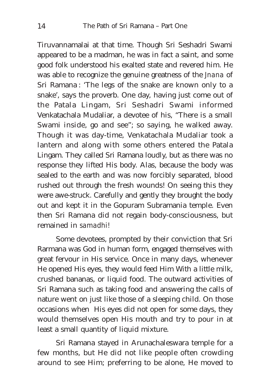Tiruvannamalai at that time. Though Sri Seshadri Swami appeared to be a madman, he was in fact a saint, and some good folk understood his exalted state and revered him. He was able to recognize the genuine greatness of the *Jnana* of Sri Ramana : 'The legs of the snake are known only to a snake', says the proverb. One day, having just come out of the Patala Lingam, Sri Seshadri Swami informed Venkatachala Mudaliar, a devotee of his, "There is a small Swami inside, go and see"; so saying, he walked away. Though it was day-time, Venkatachala Mudaliar took a lantern and along with some others entered the Patala Lingam. They called Sri Ramana loudly, but as there was no response they lifted His body. Alas, because the body was sealed to the earth and was now forcibly separated, blood rushed out through the fresh wounds! On seeing this they were awe-struck. Carefully and gently they brought the body out and kept it in the Gopuram Subramania temple. Even then Sri Ramana did not regain body-consciousness, but remained in *samadhi!*

Some devotees, prompted by their conviction that Sri Rarmana was God in human form, engaged themselves with great fervour in His service. Once in many days, whenever He opened His eyes, they would feed Him With a little milk, crushed bananas, or liquid food. The outward activities of Sri Ramana such as taking food and answering the calls of nature went on just like those of a sleeping child. On those occasions when His eyes did not open for some days, they would themselves open His mouth and try to pour in at least a small quantity of liquid mixture.

Sri Ramana stayed in Arunachaleswara temple for a few months, but He did not like people often crowding around to see Him; preferring to be alone, He moved to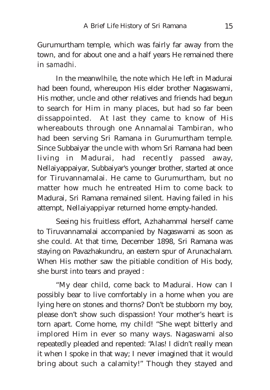Gurumurtham temple, which was fairly far away from the town, and for about one and a half years He remained there in *samadhi.*

In the meanwlhile, the note which He left in Madurai had been found, whereupon His elder brother Nagaswami, His mother, uncle and other relatives and friends had begun to search for Him in many places, but had so far been dissappointed. At last they came to know of His whereabouts through one Annamalai Tambiran, who had been serving Sri Ramana in Gurumurtham temple. Since Subbaiyar the uncle with whom Sri Ramana had been living in Madurai, had recently passed away, Nellaiyappaiyar, Subbaiyar's younger brother, started at once for Tiruvannamalai. He came to Gurumurtham, but no matter how much he entreated Him to come back to Madurai, Sri Ramana remained silent. Having failed in his attempt, Nellaiyappiyar returned home empty-handed.

Seeing his fruitless effort, Azhahammal herself came to Tiruvannamalai accompanied by Nagaswami as soon as she could. At that time, December 1898, Sri Ramana was staying on Pavazhakundru, an eastern spur of Arunachalam. When His mother saw the pitiable condition of His body, she burst into tears and prayed :

"My dear child, come back to Madurai. How can I possibly bear to live comfortably in a home when you are lying here on stones and thorns? Don't be stubborn my boy, please don't show such dispassion! Your mother's heart is torn apart. Come home, my child! "She wept bitterly and implored Him in ever so many ways. Nagaswami also repeatedly pleaded and repented: "Alas! I didn't really mean it when I spoke in that way; I never imagined that it would bring about such a calamity!" Though they stayed and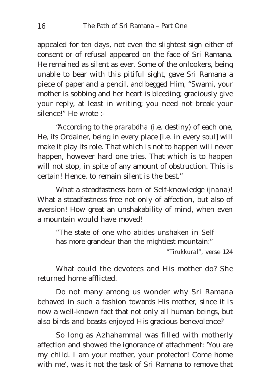appealed for ten days, not even the slightest sign either of consent or of refusal appeared on the face of Sri Ramana. He remained as silent as ever. Some of the onlookers, being unable to bear with this pitiful sight, gave Sri Ramana a piece of paper and a pencil, and begged Him, "Swami, your mother is sobbing and her heart is bleeding; graciously give your reply, at least in writing; you need not break your silence!" He wrote :-

"According to the *prarabdha* (i.e. destiny) of each one, He, its Ordainer, being in every place [i.e. in every soul] will make it play its role. That which is not to happen will never happen, however hard one tries. That which is to happen will not stop, in spite of any amount of obstruction. This is certain! Hence, to remain silent is the best."

What a steadfastness born of Self-knowledge *(jnana)!* What a steadfastness free not only of affection, but also of aversion! How great an unshakability of mind, when even a mountain would have moved!

"The state of one who abides unshaken in SeIf has more grandeur than the mightiest mountain:"

*"Tirukkural",* verse 124

What could the devotees and His mother do? She returned home afflicted.

Do not many among us wonder why Sri Ramana behaved in such a fashion towards His mother, since it is now a well-known fact that not only all human beings, but also birds and beasts enjoyed His gracious benevolence?

So long as Azhahammal was filled with motherly affection and showed the ignorance of attachment: 'You are my child. I am your mother, your protector! Come home with me', was it not the task of Sri Ramana to remove that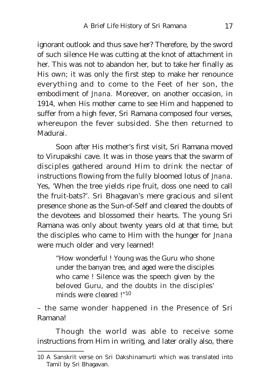ignorant outlook and thus save her? Therefore, by the sword of such silence He was cutting at the knot of attachment in her. This was not to abandon her, but to take her finally as His own; it was only the first step to make her renounce everything and to come to the Feet of her son, the embodiment of *Jnana.* Moreover, on another occasion, in 1914, when His mother came to see Him and happened to suffer from a high fever, Sri Ramana composed four verses, whereupon the fever subsided. She then returned to Madurai.

Soon after His mother's first visit, Sri Ramana moved to Virupakshi cave. It was in those years that the swarm of disciples gathered around Him to drink the nectar of instructions flowing from the fully bloomed lotus of *Jnana.* Yes, 'When the tree yields ripe fruit, doss one need to call the fruit-bats?'. Sri Bhagavan's mere gracious and silent presence shone as the Sun-of-Self and cleared the doubts of the devotees and blossomed their hearts. The young Sri Ramana was only about twenty years old at that time, but the disciples who came to Him with the hunger for *Jnana* were much older and very learned!

"How wonderful ! Young was the Guru who shone under the banyan tree, and aged were the disciples who came ! Silence was the speech given by the beloved Guru, and the doubts in the disciples' minds were cleared !"10

– the same wonder happened in the Presence of Sri Ramana!

Though the world was able to receive some instructions from Him in writing, and later orally also, there

<sup>10</sup> A Sanskrit verse on Sri Dakshinamurti which was translated into Tamil by Sri Bhagavan.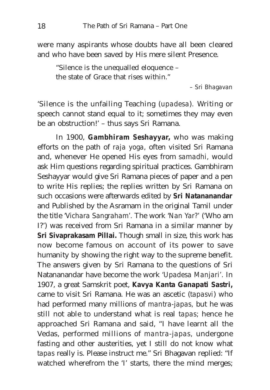were many aspirants whose doubts have all been cleared and who have been saved by His mere silent Presence.

"Silence is the unequalled eloquence – the state of Grace that rises within."

*– Sri Bhagavan*

'Silence is the unfailing Teaching (*upadesa*)*.* Writing or speech cannot stand equal to it; sometimes they may even be an obstruction!' – thus says Sri Ramana.

In 1900, **Gambhiram Seshayyar,** who was making efforts on the path of *raja yoga,* often visited Sri Ramana and, whenever He opened His eyes from *samadhi,* would ask Him questions regarding spiritual practices. Gambhiram Seshayyar would give Sri Ramana pieces of paper and a pen to write His replies; the replies written by Sri Ramana on such occasions were afterwards edited by **Sri Natananandar** and Published by the Asramam in the original Tamil under the title '*Vichara Sangraham'.* The work '*Nan Yar?'* ('Who am I?') was received from Sri Ramana in a similar manner by **Sri Sivaprakasam PilIai.** Though small in size, this work has now become famous on account of its power to save humanity by showing the right way to the supreme benefit. The answers given by Sri Ramana to the questions of Sri Natananandar have become the work '*Upadesa Manjari'.* In 1907, a great Samskrit poet, **Kavya Kanta Ganapati Sastri,** came to visit Sri Ramana. He was an ascetic (*tapasvi*) who had performed many millions of *mantra-japas,* but he was still not able to understand what is real *tapas;* hence he approached Sri Ramana and said, "I have learnt all the Vedas, performed millions of *mantra-japas,* undergone fasting and other austerities, yet I still do not know what *tapas* really is. Please instruct me." Sri Bhagavan replied: "If watched wherefrom the 'I' starts, there the mind merges;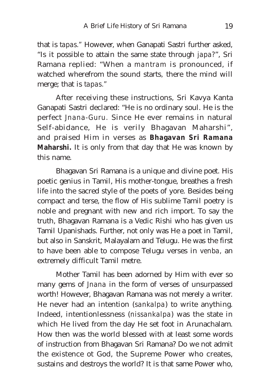that is *tapas."* However, when Ganapati Sastri further asked, "Is it possible to attain the same state through *japa?*", Sri Ramana replied: "When a *mantram* is pronounced, if watched wherefrom the sound starts*,* there the mind will merge; that is *tapas."*

After receiving these instructions, Sri Kavya Kanta Ganapati Sastri declared: "He is no ordinary soul. He is the perfect *Jnana-Guru.* Since He ever remains in natural Self-abidance, He is verily Bhagavan Maharshi", and praised Him in verses as **Bhagavan Sri Ramana Maharshi.** It is only from that day that He was known by this name.

Bhagavan Sri Ramana is a unique and divine poet. His poetic genius in Tamil, His mother-tongue, breathes a fresh life into the sacred style of the poets of yore. Besides being compact and terse, the flow of His sublime Tamil poetry is noble and pregnant with new and rich import. To say the truth, Bhagavan Ramana is a Vedic Rishi who has given us Tamil Upanishads. Further, not only was He a poet in Tamil, but also in Sanskrit, Malayalam and Telugu. He was the first to have been able to compose Telugu verses in *venba,* an extremely difficult Tamil metre.

Mother Tamil has been adorned by Him with ever so many gems of *Jnana* in the form of verses of unsurpassed worth! However, Bhagavan Ramana was not merely a writer. He never had an intention (*sankalpa*) to write anything. Indeed, intentionlessness (*nissankalpa*) was the state in which He lived from the day He set foot in Arunachalam. How then was the world blessed with at least some words of instruction from Bhagavan Sri Ramana? Do we not admit the existence ot God, the Supreme Power who creates, sustains and destroys the world? It is that same Power who,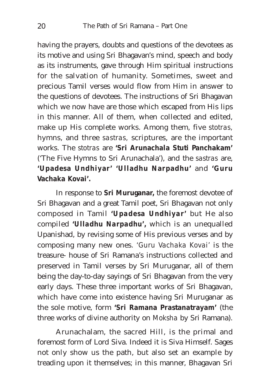having the prayers, doubts and questions of the devotees as its motive and using Sri Bhagavan's mind, speech and body as its instruments, gave through Him spiritual instructions for the salvation of humanity. Sometimes, sweet and precious Tamil verses would flow from Him in answer to the questions of devotees. The instructions of Sri Bhagavan which we now have are those which escaped from His lips in this manner. All of them, when collected and edited, make up His complete works. Among them, five *stotras,* hymns, and three *sastras,* scriptures, are the important works. The *stotras* are **'Sri Arunachala Stuti Panchakam'** ('The Five Hymns to Sri Arunachala'), and the *sastras* are, **'Upadesa Undhiyar' 'Ulladhu Narpadhu'** and **'Guru Vachaka Kovai'.**

In response to **Sri Muruganar,** the foremost devotee of Sri Bhagavan and a great Tamil poet, Sri Bhagavan not only composed in Tamil *'Upadesa Undhiyar'* but He also compiled *'Ulladhu Narpadhu',* which is an unequalled Upanishad, by revising some of His previous verses and by composing many new ones. *'Guru Vachaka Kovai'* is the treasure- house of Sri Ramana's instructions collected and preserved in Tamil verses by Sri Muruganar, all of them being the day-to-day sayings of Sri Bhagavan from the very early days. These three important works of Sri Bhagavan, which have come into existence having Sri Muruganar as the sole motive, form **'Sri Ramana Prastanatrayam'** (the three works of divine authority on *Moksha* by Sri Ramana).

Arunachalam, the sacred Hill, is the primal and foremost form of Lord Siva. Indeed it is Siva Himself. Sages not only show us the path, but also set an example by treading upon it themselves; in this manner, Bhagavan Sri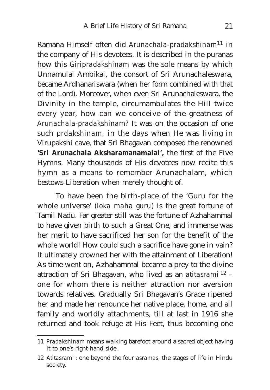Ramana Himself often did *Arunachala-pradakshinam*<sup>11</sup> in the company of His devotees. It is described in the puranas how this *Giripradakshinam* was the sole means by which Unnamulai Ambikai, the consort of Sri Arunachaleswara, became Ardhanariswara (when her form combined with that of the Lord). Moreover, when even Sri Arunachaleswara, the Divinity in the temple, circumambulates the Hill twice every year, how can we conceive of the greatness of *Arunachala-pradakshinam?* It was on the occasion of one such *prdakshinam,* in the days when He was living in Virupakshi cave, that Sri Bhagavan composed the renowned **'Sri Arunachala Aksharamanamalai',** the first of the Five Hymns. Many thousands of His devotees now recite this hymn as a means to remember Arunachalam, which bestows Liberation when merely thought of.

To have been the birth-place of the 'Guru for the whole universe' (*loka maha guru*) is the great fortune of Tamil Nadu. Far greater still was the fortune of Azhahammal to have given birth to such a Great One, and immense was her merit to have sacrificed her son for the benefit of the whole world! How could such a sacrifice have gone in vain? It ultimately crowned her with the attainment of Liberation! As time went on, Azhahammal became a prey to the divine attraction of Sri Bhagavan, who lived as an *atitasrami* <sup>12</sup> – one for whom there is neither attraction nor aversion towards relatives. Gradually Sri Bhagavan's Grace ripened her and made her renounce her native place, home, and all family and worldly attachments, till at last in 1916 she returned and took refuge at His Feet, thus becoming one

<sup>11</sup> *Pradakshinam* means walking barefoot around a sacred object having it to one's right-hand side.

<sup>12</sup> *Atitasrami :* one beyond the four *asramas,* the stages of life in Hindu society.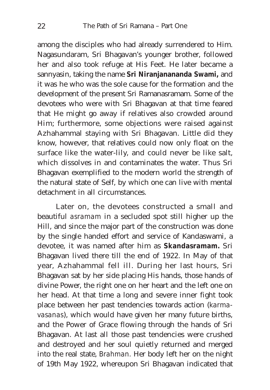among the disciples who had already surrendered to Him. Nagasundaram, Sri Bhagavan's younger brother, followed her and also took refuge at His Feet. He later became a sannyasin, taking the name **Sri Niranjanananda Swami,** and it was he who was the sole cause for the formation and the development of the present Sri Ramanasramam. Some of the devotees who were with Sri Bhagavan at that time feared that He might go away if relatives also crowded around Him; furthermore, some objections were raised against Azhahammal staying with Sri Bhagavan. Little did they know, however, that relatives could now only float on the surface like the water-lily, and could never be like salt, which dissolves in and contaminates the water. Thus Sri Bhagavan exemplified to the modern world the strength of the natural state of Self, by which one can live with mental detachment in all circumstances.

Later on, the devotees constructed a small and beautiful *asramam* in a secluded spot still higher up the Hill, and since the major part of the construction was done by the single handed effort and service of Kandaswami, a devotee, it was named after him as **Skandasramam.** Sri Bhagavan lived there till the end of 1922. In May of that year, Azhahammal fell ill. During her last hours, Sri Bhagavan sat by her side placing His hands, those hands of divine Power, the right one on her heart and the left one on her head. At that time a long and severe inner fight took place between her past tendencies towards action (*karmavasanas*), which would have given her many future births, and the Power of Grace flowing through the hands of Sri Bhagavan. At last all those past tendencies were crushed and destroyed and her soul quietly returned and merged into the real state, *Brahman.* Her body left her on the night of 19th May 1922, whereupon Sri Bhagavan indicated that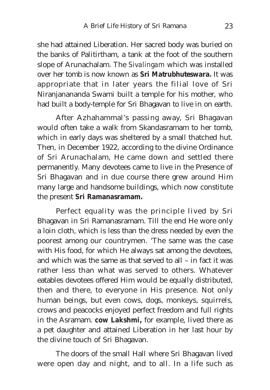she had attained Liberation. Her sacred body was buried on the banks of Palitirtham, a tank at the foot of the southern slope of Arunachalam. The *Sivalingam* which was installed over her tomb is now known as **Sri Matrubhuteswara.** It was appropriate that in later years the filial love of Sri Niranjanananda Swami built a temple for his mother, who had built a body-temple for Sri Bhagavan to live in on earth.

After Azhahammal's passing away, Sri Bhagavan would often take a walk from Skandasramam to her tomb, which in early days was sheltered by a small thatched hut. Then, in December 1922, according to the divine Ordinance of Sri Arunachalam, He came down and settled there permanently. Many devotees came to live in the Presence of Sri Bhagavan and in due course there grew around Him many large and handsome buildings, which now constitute the present **Sri Ramanasramam.**

Perfect equality was the principle lived by Sri Bhagavan in Sri Ramanasramam. Till the end He wore only a loin cloth, which is less than the dress needed by even the poorest among our countrymen. 'The same was the case with His food, for which He always sat among the devotees, and which was the same as that served to all – in fact it was rather less than what was served to others. Whatever eatables devotees offered Him would be equally distributed, then and there, to everyone in His presence. Not only human beings, but even cows, dogs, monkeys, squirrels, crows and peacocks enjoyed perfect freedom and full rights in the Asramam. **cow Lakshmi,** for example, lived there as a pet daughter and attained Liberation in her last hour by the divine touch of Sri Bhagavan.

The doors of the small Hall where Sri Bhagavan lived were open day and night, and to all. In a life such as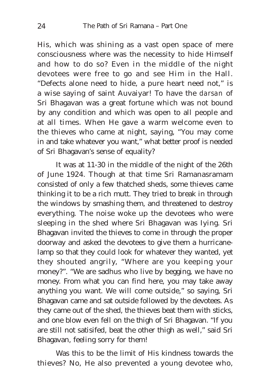His, which was shining as a vast open space of mere consciousness where was the necessity to hide Himself and how to do so? Even in the middle of the night devotees were free to go and see Him in the Hall. "Defects alone need to hide, a pure heart need not," is a wise saying of saint Auvaiyar! To have the *darsan* of Sri Bhagavan was a great fortune which was not bound by any condition and which was open to all people and at all times. When He gave a warm welcome even to the thieves who came at night, saying, "You may come in and take whatever you want," what better proof is needed of Sri Bhagavan's sense of equality?

It was at 11-30 in the middle of the night of the 26th of June 1924. Though at that time Sri Ramanasramam consisted of only a few thatched sheds, some thieves came thinking it to be a rich mutt. They tried to break in through the windows by smashing them, and threatened to destroy everything. The noise woke up the devotees who were sleeping in the shed where Sri Bhagavan was Iying. Sri Bhagavan invited the thieves to come in through the proper doorway and asked the devotees to give them a hurricanelamp so that they could look for whatever they wanted, yet they shouted angrily, "Where are you keeping your money?". "We are sadhus who live by begging, we have no money. From what you can find here, you may take away anything you want. We will come outside," so saying, Sri Bhagavan came and sat outside followed by the devotees. As they came out of the shed, the thieves beat them with sticks, and one blow even fell on the thigh of Sri Bhagavan. "If you are still not satisifed, beat the other thigh as well," said Sri Bhagavan, feeling sorry for them!

Was this to be the limit of His kindness towards the thieves? No, He also prevented a young devotee who,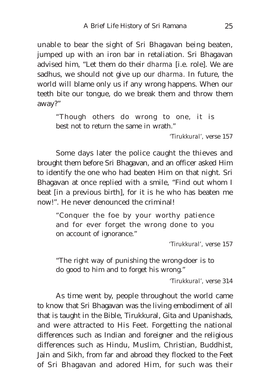unable to bear the sight of Sri Bhagavan being beaten, jumped up with an iron bar in retaliation. Sri Bhagavan advised him, "Let them do their *dharma* [i.e. role]. We are sadhus, we should not give up our *dharma.* In future, the world will blame only us if any wrong happens. When our teeth bite our tongue, do we break them and throw them away?"

"Though others do wrong to one, it is best not to return the same in wrath."

*'Tirukkural',* verse 157

Some days later the police caught the thieves and brought them before Sri Bhagavan, and an officer asked Him to identify the one who had beaten Him on that night. Sri Bhagavan at once replied with a smile, "Find out whom I beat [in a previous birth], for it is he who has beaten me now!". He never denounced the criminal!

"Conquer the foe by your worthy patience and for ever forget the wrong done to you on account of ignorance."

*'Tirukkural',* verse 157

"The right way of punishing the wrong-doer is to do good to him and to forget his wrong."

*'Tirukkural',* verse 314

As time went by, people throughout the world came to know that Sri Bhagavan was the living embodiment of all that is taught in the Bible, Tirukkural, Gita and Upanishads, and were attracted to His Feet. Forgetting the national differences such as Indian and foreigner and the religious differences such as Hindu, Muslim, Christian, Buddhist, Jain and Sikh, from far and abroad they flocked to the Feet of Sri Bhagavan and adored Him, for such was their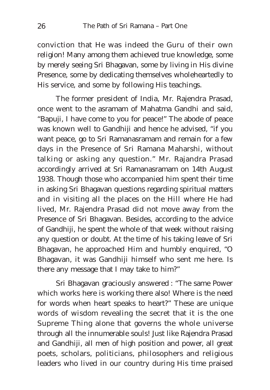conviction that He was indeed the Guru of their own religion! Many among them achieved true knowledge, some by merely seeing Sri Bhagavan, some by living in His divine Presence, some by dedicating themselves wholeheartedly to His service, and some by following His teachings.

The former president of India, Mr. Rajendra Prasad, once went to the asramam of Mahatma Gandhi and said, "Bapuji, I have come to you for peace!" The abode of peace was known well to Gandhiji and hence he advised, "if you want peace, go to Sri Ramanasramam and remain for a few days in the Presence of Sri Ramana Maharshi, without talking or asking any question." Mr. Rajandra Prasad accordingly arrived at Sri Ramanasramam on 14th August 1938. Though those who accompanied him spent their time in asking Sri Bhagavan questions regarding spiritual matters and in visiting all the places on the Hill where He had lived, Mr. Rajendra Prasad did not move away from the Presence of Sri Bhagavan. Besides, according to the advice of Gandhiji, he spent the whole of that week without raising any question or doubt. At the time of his taking leave of Sri Bhagavan, he approached Him and humbly enquired, "O Bhagavan, it was Gandhiji himself who sent me here. Is there any message that I may take to him?"

Sri Bhagavan graciously answered : "The same Power which works here is working there also! Where is the need for words when heart speaks to heart?" These are unique words of wisdom revealing the secret that it is the one Supreme Thing alone that governs the whole universe through all the innumerable souls! Just like Rajendra Prasad and Gandhiji, all men of high position and power, all great poets, scholars, politicians, philosophers and religious leaders who lived in our country during His time praised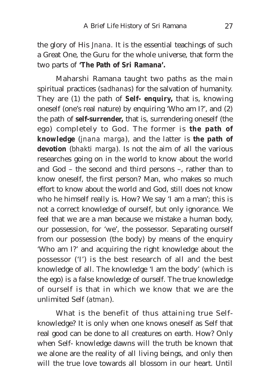the glory of His *Jnana.* It is the essential teachings of such a Great One, the Guru for the whole universe, that form the two parts of **'The Path of Sri Ramana'.**

Maharshi Ramana taught two paths as the main spiritual practices (*sadhanas*) for the salvation of humanity. They are (1) the path of **Self- enquiry,** that is, knowing oneself (one's real nature) by enquiring 'Who am I?', and (2) the path of **self-surrender,** that is, surrendering oneself (the ego) completely to God. The former is **the path of knowledge** (*jnana marga*)*,* and the latter is **the path of devotion** (*bhakti marga*)*.* Is not the aim of all the various researches going on in the world to know about the world and God – the second and third persons –, rather than to know oneself, the first person? Man, who makes so much effort to know about the world and God, still does not know who he himself really is. How? We say 'I am a man'; this is not a correct knowledge of ourself, but only ignorance. We feel that we are a man because we mistake a human body, our possession, for 'we', the possessor. Separating ourself from our possession (the body) by means of the enquiry 'Who am I?' and acquiring the right knowledge about the possessor ('I') is the best research of all and the best knowledge of all. The knowledge 'I am the body' (which is the ego) is a false knowledge of ourself. The true knowledge of ourself is that in which we know that we are the unlimited Self (*atman*).

What is the benefit of thus attaining true Selfknowledge? It is only when one knows oneself as Self that real good can be done to all creatures on earth. How? Only when Self- knowledge dawns will the truth be known that we alone are the reality of all living beings, and only then will the true love towards all blossom in our heart. Until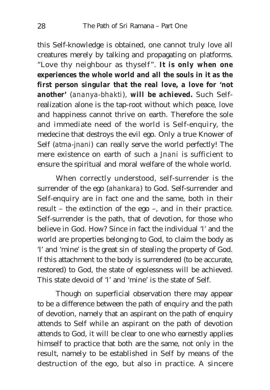this Self-knowledge is obtained, one cannot truly love all creatures merely by talking and propagating on platforms. "Love thy neighbour as thyself". **It is only when one experiences the whole world and all the souls in it as the first person singular that the real love, a love for 'not another'** (*ananya-bhakti*)*,* **will be achieved.** Such Selfrealization alone is the tap-root without which peace, love and happiness cannot thrive on earth. Therefore the sole and immediate need of the world is Self-enquiry, the medecine that destroys the evil ego. Only a true Knower of Self (*atma-jnani*) can really serve the world perfectly! The mere existence on earth of such a *Jnani* is sufficient to ensure the spiritual and moral welfare of the whole world.

When correctly understood, self-surrender is the surrender of the ego (*ahankara*) to God. Self-surrender and Self-enquiry are in fact one and the same, both in their result – the extinction of the ego –, and in their practice. Self-surrender is the path, that of devotion, for those who believe in God. How? Since in fact the individual 'I' and the world are properties belonging to God, to claim the body as 'I' and 'mine' is the great sin of stealing the property of God. If this attachment to the body is surrendered (to be accurate, restored) to God, the state of egolessness will be achieved. This state devoid of 'I' and 'mine' is the state of Self.

Though on superficial observation there may appear to be a difference between the path of enquiry and the path of devotion, namely that an aspirant on the path of enquiry attends to Self while an aspirant on the path of devotion attends to God, it will be clear to one who earnestly applies himself to practice that both are the same, not only in the result, namely to be established in Self by means of the destruction of the ego, but also in practice. A sincere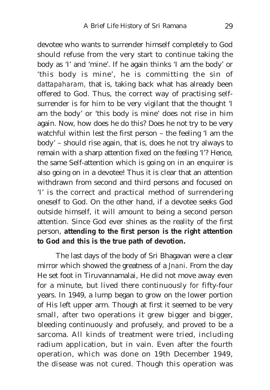devotee who wants to surrender himself completely to God should refuse from the very start to continue taking the body as 'I' and 'mine'. If he again thinks 'I am the body' or 'this body is mine', he is committing the sin of *dattapaharam,* that is, taking back what has already been offered to God. Thus, the correct way of practising selfsurrender is for him to be very vigilant that the thought 'I am the body' or 'this body is mine' does not rise in him again. Now, how does he do this? Does he not try to be very watchful within lest the first person – the feeling 'I am the body' – should rise again, that is, does he not try always to remain with a sharp attention fixed on the feeling 'I'? Hence, the same Self-attention which is going on in an enquirer is also going on in a devotee! Thus it is clear that an attention withdrawn from second and third persons and focused on 'I' is the correct and practical method of surrendering oneself to God. On the other hand, if a devotee seeks God outside himself, it will amount to being a second person attention. Since God ever shines as the reality of the first person, **attending to the first person is the right attention to God and this is the true path of devotion.**

The last days of the body of Sri Bhagavan were a clear mirror which showed the greatness of a *Jnani.* From the day He set foot in Tiruvannamalai, He did not move away even for a minute, but lived there continuously *for* fifty-four years. In 1949, a lump began to grow on the lower portion of His left upper arm. Though at first it seemed to be very small, after two operations it grew bigger and bigger, bleeding continuously and profusely, and proved to be a sarcoma. All kinds of treatment were tried, including radium application, but in vain. Even after the fourth operation, which was done on 19th December 1949, the disease was not cured. Though this operation was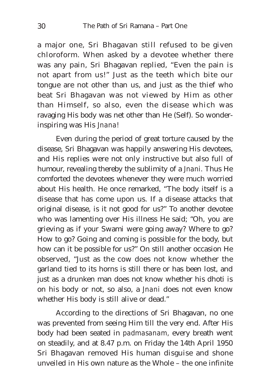a major one, Sri Bhagavan still refused to be given chloroform. When asked by a devotee whether there was any pain, Sri Bhagavan replied, "Even the pain is not apart from us!" Just as the teeth which bite our tongue are not other than us, and just as the thief who beat Sri Bhagavan was not viewed by Him as other than Himself, so also, even the disease which was ravaging His body was net other than He (Self). So wonderinspiring was His *Jnana!*

Even during the period of great torture caused by the disease, Sri Bhagavan was happily answering His devotees, and His replies were not only instructive but also full of humour, revealing thereby the sublimity of a *Jnani.* Thus He comforted the devotees whenever they were much worried about His health. He once remarked, "The body itself is a disease that has come upon us. If a disease attacks that original disease, is it not good for us?" To another devotee who was lamenting over His illness He said; "Oh, you are grieving as if your Swami were going away? Where to go? How to go? Going and coming is possible for the body, but how can it be possible for us?" On still another occasion He observed, "Just as the cow does not know whether the garland tied to its horns is still there or has been lost, and just as a drunken man does not know whether his dhoti is on his body or not, so also, a *Jnani* does not even know whether His body is still alive or dead."

According to the directions of Sri Bhagavan, no one was prevented from seeing Him till the very end. After His body had been seated in *padmasanam,* every breath went on steadily, and at 8.47 p.m. on Friday the 14th April 1950 Sri Bhagavan removed His human disguise and shone unveiled in His own nature as the Whole – the one infinite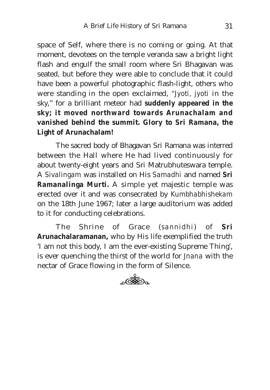space of Self, where there is no coming or going. At that moment, devotees on the temple veranda saw a bright light flash and engulf the small room where Sri Bhagavan was seated, but before they were able to conclude that it could have been a powerful photographic flash-light, others who were standing in the open exclaimed, *"Jyoti, jyoti* in the sky," for a brilliant meteor had **suddenly appeared in the sky; it moved northward towards Arunachalam and vanished behind the summit. Glory to Sri Ramana, the Light of Arunachalam!**

The sacred body of Bhagavan Sri Ramana was interred between the Hall where He had lived continuously for about twenty-eight years and Sri Matrubhuteswara temple. A *Sivalingam* was installed on His *Samadhi* and named **Sri Ramanalinga Murti.** A simple yet majestic temple was erected over it and was consecrated by *Kumbhabhishekam* on the 18th June 1967; later a large auditorium was added to it for conducting celebrations.

The Shrine of Grace (*sannidhi*) of **Sri Arunachalaramanan,** who by His life exemplified the truth 'I am not this body, I am the ever-existing Supreme Thing', is ever quenching the thirst of the world for *Jnana* with the nectar of Grace flowing in the form of Silence.

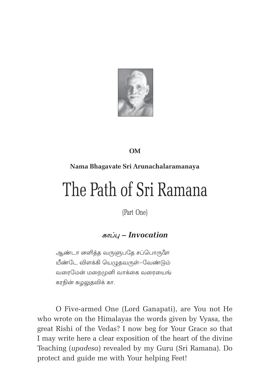

### $\Omega$

### Nama Bhagavate Sri Arunachalaramanaya

### The Path of Sri Ramana

(Part One)

### $\epsilon$ <sub>5</sub> $\mu$ <sup>-</sup> $\mu$ <sup>-</sup> $\mu$ <sup>-</sup> $\mu$ <sup>-</sup> $\sigma$ <sup>-</sup> $\sigma$

ஆண்டா னளித்த வருளுபதே சப்பொருளே யீண்டே விளக்கி யெழுதவருள்–வேண்டும் வரைமேன் மறைமுனி வாக்கை வரையைங் கரநின் கழலுதவிக் கா.

O Five-armed One (Lord Ganapati), are You not He who wrote on the Himalayas the words given by Vyasa, the great Rishi of the Vedas? I now beg for Your Grace so that I may write here a clear exposition of the heart of the divine Teaching (upadesa) revealed by my Guru (Sri Ramana). Do protect and guide me with Your helping Feet!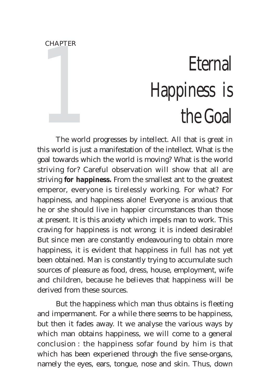**CHAPTER** 

### Eternal<br>Happiness is<br>the Goal Happiness is the Goal

The world progresses by intellect. All that is great in this world is just a manifestation of the intellect. What is the goal towards which the world is moving? What is the world striving for? Careful observation will show that all are striving **for happiness.** From the smallest ant to the greatest emperor, everyone is tirelessly working. For what? For happiness, and happiness alone! Everyone is anxious that he or she should live in happier circumstances than those at present. It is this anxiety which impels man to work. This craving for happiness is not wrong; it is indeed desirable! But since men are constantly endeavouring to obtain more happiness, it is evident that happiness in full has not yet been obtained. Man is constantly trying to accumulate such sources of pleasure as food, dress, house, employment, wife and children, because he believes that happiness will be derived from these sources.

But the happiness which man thus obtains is fleeting and impermanent. For a while there seems to be happiness, but then it fades away. It we analyse the various ways by which man obtains happiness, we will come to a general conclusion : the happiness sofar found by him is that which has been experiened through the five sense-organs, namely the eyes, ears, tongue, nose and skin. Thus, down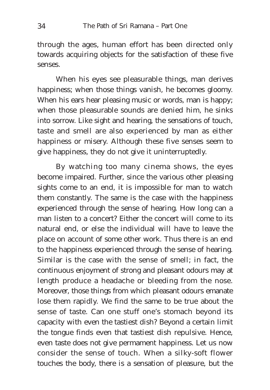through the ages, human effort has been directed only towards acquiring objects for the satisfaction of these five senses.

When his eyes see pleasurable things, man derives happiness; when those things vanish, he becomes gloomy. When his ears hear pleasing music or words, man is happy; when those pleasurable sounds are denied him, he sinks into sorrow. Like sight and hearing, the sensations of touch, taste and smell are also experienced by man as either happiness or misery. Although these five senses seem to give happiness, they do not give it uninterruptedly.

By watching too many cinema shows, the eyes become impaired. Further, since the various other pleasing sights come to an end, it is impossible for man to watch them constantly. The same is the case with the happiness experienced through the sense of hearing. How long can a man listen to a concert? Either the concert will come to its natural end, or else the individual will have to leave the place on account of some other work. Thus there is an end to the happiness experienced through the sense of hearing. Similar is the case with the sense of smell; in fact, the continuous enjoyment of strong and pleasant odours may at length produce a headache or bleeding from the nose. Moreover, those things from which pleasant odours emanate lose them rapidly. We find the same to be true about the sense of taste. Can one stuff one's stomach beyond its capacity with even the tastiest dish? Beyond a certain limit the tongue finds even that tastiest dish repulsive. Hence, even taste does not give permament happiness. Let us now consider the sense of touch. When a silky-soft flower touches the body, there is a sensation of pleasure, but the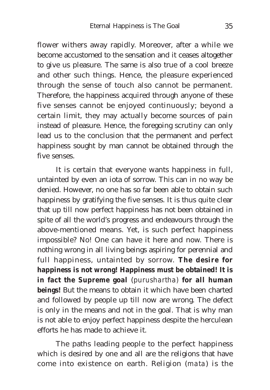flower withers away rapidly. Moreover, after a while we become accustomed to the sensation and it ceases altogether to give us pleasure. The same is also true of a cool breeze and other such things. Hence, the pleasure experienced through the sense of touch also cannot be permanent. Therefore, the happiness acquired through anyone of these five senses cannot be enjoyed continuously; beyond a certain limit, they may actually become sources of pain instead of pleasure. Hence, the foregoing scrutiny can only lead us to the conclusion that the permanent and perfect happiness sought by man cannot be obtained through the five senses.

It is certain that everyone wants happiness in full, untainted by even an iota of sorrow. This can in no way be denied. However, no one has so far been able to obtain such happiness by gratifying the five senses. It is thus quite clear that up till now perfect happiness has not been obtained in spite of all the world's progress and endeavours through the above-mentioned means. Yet, is such perfect happiness impossible? No! One can have it here and now. There is nothing wrong in all living beings aspiring for perennial and full happiness, untainted by sorrow. **The desire for happiness is not wrong! Happiness must be obtained! It is in fact the Supreme goal** (*purushartha)* **for all human beings!** But the means to obtain it which have been charted and followed by people up till now are wrong. The defect is only in the means and not in the goal. That is why man is not able to enjoy perfect happiness despite the herculean efforts he has made to achieve it.

The paths leading people to the perfect happiness which is desired by one and all are the religions that have come into existence on earth. Religion (*mata*) is the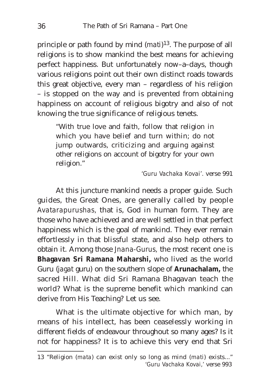principle or path found by mind (*mati*)13. The purpose of all religions is to show mankind the best means for achieving perfect happiness. But unfortunately now–a–days, though various religions point out their own distinct roads towards this great objective, every man – regardless of his religion – is stopped on the way and is prevented from obtaining happiness on account of religious bigotry and also of not knowing the true significance of religious tenets.

"With true love and faith, follow that religion in which you have belief and turn within; do not jump outwards, criticizing and arguing against other religions on account of bigotry for your own religion."

*'Guru Vachaka Kovai'.* verse 991

At this juncture mankind needs a proper guide. Such guides, the Great Ones, are generally called by people *Avatarapurushas,* that is, God in human form. They are those who have achieved and are well settled in that perfect happiness which is the goal of mankind. They ever remain effortlessly in that blissful state, and also help others to obtain it. Among those *Jnana-Gurus,* the most recent one is **Bhagavan Sri Ramana Maharshi,** who lived as the world Guru (*jagat* guru) on the southern slope of **Arunachalam,** the sacred Hill. What did Sri Ramana Bhagavan teach the world? What is the supreme benefit which mankind can derive from His Teaching? Let us see.

What is the ultimate objective for which man, by means of his intellect, has been ceaselessly working in different fields of endeavour throughout so many ages? Is it not for happiness? It is to achieve this very end that Sri

<sup>13 &</sup>quot;Religion (*mata*) can exist only so long as mind (*mati*) exists..." *'Guru Vachaka Kovai,'* verse 993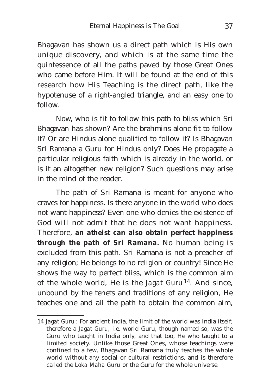Bhagavan has shown us a direct path which is His own unique discovery, and which is at the same time the quintessence of all the paths paved by those Great Ones who came before Him. It will be found at the end of this research how His Teaching is the direct path, like the hypotenuse of a right-angled triangle, and an easy one to follow.

Now, who is fit to follow this path to bliss which Sri Bhagavan has shown? Are the brahmins alone fit to follow It? Or are Hindus alone qualified to follow it? Is Bhagavan Sri Ramana a Guru for Hindus only? Does He propagate a particular religious faith which is already in the world, or is it an altogether new religion? Such questions may arise in the mind of the reader.

The path of Sri Ramana is meant for anyone who craves for happiness. Is there anyone in the world who does not want happiness? Even one who denies the existence of God will not admit that he does not want happiness. Therefore, **an atheist can also obtain perfect happiness through the path of Sri Ramana.** No human being is excluded from this path. Sri Ramana is not a preacher of any religion; He belongs to no religion or country! Since He shows the way to perfect bliss, which is the common aim of the whole world, He is the *Jagat Guru*14*.* And since, unbound by the tenets and traditions of any religion, He teaches one and all the path to obtain the common aim,

<sup>14</sup> *Jagat Guru :* For ancient India, the limit of the world was India itself; therefore a *Jagat Guru,* i.e. world Guru, though named so, was the Guru who taught in India only, and that too, He who taught to a limited society. Unlike those Great Ones, whose teachings were confined to a few, Bhagavan Sri Ramana truly teaches the whole world without any social or cultural restrictions, and is therefore called the *Loka Maha Guru* or the Guru for the whole universe.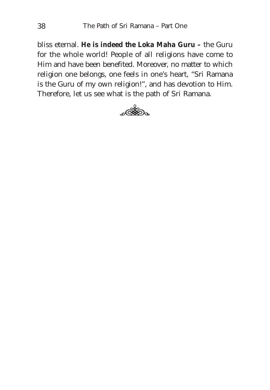bliss eternal. **He is indeed the Loka Maha Guru –** the Guru for the whole world! People of all religions have come to Him and have been benefited. Moreover, no matter to which religion one belongs, one feels in one's heart, "Sri Ramana is the Guru of my own religion!", and has devotion to Him. Therefore, let us see what is the path of Sri Ramana.

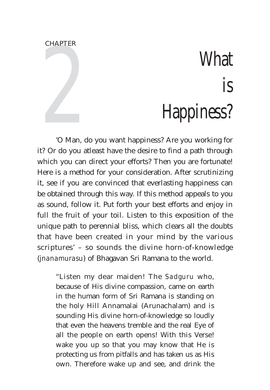**CHAPTER** 

## What<br>
is<br>
Happiness? is Happiness?

'O Man, do you want happiness? Are you working for it? Or do you atleast have the desire to find a path through which you can direct your efforts? Then you are fortunate! Here is a method for your consideration. After scrutinizing it, see if you are convinced that everlasting happiness can be obtained through this way. If this method appeals to you as sound, follow it. Put forth your best efforts and enjoy in full the fruit of your toil. Listen to this exposition of the unique path to perennial bliss, which clears all the doubts that have been created in your mind by the various scriptures' – so sounds the divine horn-of-knowledge (*jnanamurasu*) of Bhagavan Sri Ramana to the world.

"Listen my dear maiden! The *Sadguru* who, because of His divine compassion, came on earth in the human form of Sri Ramana is standing on the holy Hill Annamalai (Arunachalam) and is sounding His divine horn-of-knowledge so loudly that even the heavens tremble and the real Eye of all the people on earth opens! With this Verse! wake you up so that you may know that He is protecting us from pitfalls and has taken us as His own. Therefore wake up and see, and drink the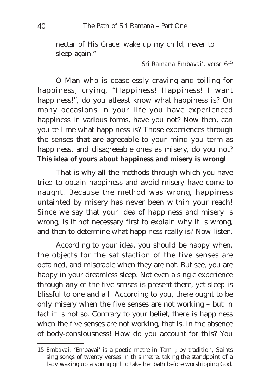nectar of His Grace: wake up my child, never to sleep again."

### *'Sri Ramana Embavai'.* verse 6<sup>15</sup>

O Man who is ceaselessly craving and toiling for happiness, crying, "Happiness! Happiness! I want happiness!", do you atleast know what happiness is? On many occasions in your life you have experienced happiness in various forms, have you not? Now then, can you tell me what happiness is? Those experiences through the senses that are agreeable to your mind you term as happiness, and disagreeable ones as misery, do you not? **This idea of yours about happiness and misery is wrong!**

That is why all the methods through which you have tried to obtain happiness and avoid misery have come to naught. Because the method was wrong, happiness untainted by misery has never been within your reach! Since we say that your idea of happiness and misery is wrong, is it not necessary first to explain why it is wrong, and then to determine what happiness really is? Now listen.

According to your idea, you should be happy when, the objects for the satisfaction of the five senses are obtained, and miserable when they are not. But see, you are happy in your dreamless sleep. Not even a single experience through any of the five senses is present there, yet sleep is blissful to one and all! According to you, there ought to be only misery when the five senses are not working – but in fact it is not so. Contrary to your belief, there is happiness when the five senses are not working, that is, in the absence of body-consiousness! How do you account for this? You

<sup>15</sup> *Embavai:* 'Embavai' is a poetic metre in Tamil; by tradition, Saints sing songs of twenty verses in this metre, taking the standpoint of a lady waking up a young girl to take her bath before worshipping God.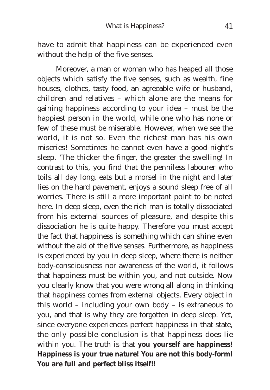have to admit that happiness can be experienced even without the help of the five senses.

Moreover, a man or woman who has heaped all those objects which satisfy the five senses, such as wealth, fine houses, clothes, tasty food, an agreeable wife or husband, children and relatives – which alone are the means for gaining happiness according to your idea – must be the happiest person in the world, while one who has none or few of these must be miserable. However, when we see the world, it is not so. Even the richest man has his own miseries! Sometimes he cannot even have a good night's sleep. 'The thicker the finger, the greater the swelling! In contrast to this, you find that the penniless labourer who toils all day long, eats but a morsel in the night and later lies on the hard pavement, enjoys a sound sleep free of all worries. There is still a more important point to be noted here. In deep sleep, even the rich man is totally dissociated from his external sources of pleasure, and despite this dissociation he is quite happy. Therefore you must accept the fact that happiness is something which can shine even without the aid of the five senses. Furthermore, as happiness is experienced by you in deep sleep, where there is neither body-consciousness nor awareness of the world, it follows that happiness must be within you, and not outside. Now you clearly know that you were wrong all along in thinking that happiness comes from external objects. Every object in this world – including your own body – is extraneous to you, and that is why they are forgotten in deep sleep. Yet, since everyone experiences perfect happiness in that state, the only possible conclusion is that happiness does lie within you. The truth is that **you yourself are happiness! Happiness is your true nature! You are not this body-form! You are full and perfect bliss itself!!**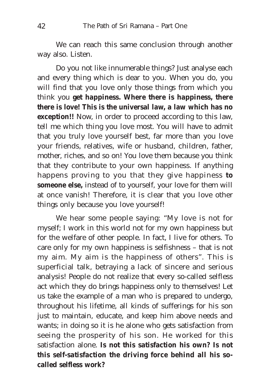We can reach this same conclusion through another way also. Listen.

Do you not like innumerable things? Just analyse each and every thing which is dear to you. When you do, you will find that you love only those things from which you think you **get happiness. Where there is happiness, there there is love! This is the universal law, a law which has no exception!!** Now, in order to proceed according to this law, tell me which thing you love most. You will have to admit that you truly love yourself best, far more than you love your friends, relatives, wife or husband, children, father, mother, riches, and so on! You love them because you think that they contribute to your own happiness. If anything happens proving to you that they give happiness **to someone else,** instead of to yourself, your love for them will at once vanish! Therefore, it is clear that you love other things only because you love yourself!

We hear some people saying: "My love is not for myself; I work in this world not for my own happiness but for the welfare of other people. In fact, I live for others. To care only for my own happiness is selfishness – that is not my aim. My aim is the happiness of others". This is superficial talk, betraying a lack of sincere and serious analysis! People do not realize that every so-called selfless act which they do brings happiness only to themselves! Let us take the example of a man who is prepared to undergo, throughout his lifetime, all kinds of sufferings for his son just to maintain, educate, and keep him above needs and wants; in doing so it is he alone who gets satisfaction from seeing the prosperity of his son. He worked for this satisfaction alone. **Is not this satisfaction his own? Is not this self-satisfaction the driving force behind all his socalled selfless work?**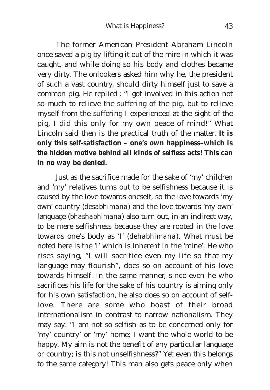The former American President Abraham Lincoln once saved a pig by lifting it out of the mire in which it was caught, and while doing so his body and clothes became very dirty. The onlookers asked him why he, the president of such a vast country, should dirty himself just to save a common pig. He replied : "I got involved in this action not so much to relieve the suffering of the pig, but to relieve myself from the suffering I experienced at the sight of the pig, I did this only for my own peace of mind!" What Lincoln said then is the practical truth of the matter. **It is only this self-satisfaction – one's own happiness–which is the hidden motive behind all kinds of selfless acts! This can in no way be denied.**

Just as the sacrifice made for the sake of 'my' children and 'my' relatives turns out to be selfishness because it is caused by the love towards oneself, so the love towards 'my own' country (*desabhimana*) and the love towards 'my own' language (*bhashabhimana*) also turn out, in an indirect way*,* to be mere selfishness because they are rooted in the love towards one's body as 'I' (*dehabhimana*)*.* What must be noted here is the 'I' which is inherent in the 'mine'. He who rises saying, "I will sacrifice even my life so that my language may flourish", does so on account of his love towards himself. In the same manner, since even he who sacrifices his life for the sake of his country is aiming only for his own satisfaction, he also does so on account of selflove. There are some who boast of their broad internationalism in contrast to narrow nationalism. They may say: "I am not so selfish as to be concerned only for 'my' country' or 'my' home; I want the whole world to be happy. My aim is not the benefit of any particular language or country; is this not unselfishness?" Yet even this belongs to the same category! This man also gets peace only when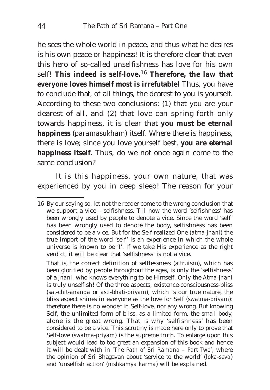he sees the whole world in peace, and thus what he desires is his own peace or happiness! It is therefore clear that even this hero of so-called unselfishness has love for his own self! **This indeed is self-love.**16 **Therefore, the law that everyone loves himself most is irrefutable!** Thus, you have to conclude that, of all things, the dearest to you is yourself. According to these two conclusions: (1) that you are your dearest of all, and (2) that love can spring forth only towards happiness, it is clear that **you must be eternal happiness** (*paramasukham*) itself. Where there is happiness, there is love; since you love yourself best, **you are eternal happiness itself.** Thus, do we not once again come to the same conclusion?

It is this happiness, your own nature, that was experienced by you in deep sleep! The reason for your

<sup>16</sup> By our saying so, let not the reader come to the wrong conclusion that we support a vice – selfishness. Till now the word 'selfishness' has been wrongly used by people to denote a vice. Since the word 'self' has been wrongly used to denote the body, selfishness has been considered to be a vice. But for the Self-realized One (*atma-jnani*) the true import of the word 'self' is an experience in which the whole universe is known to be 'I'. If we take His experience as the right verdict, it will be clear that 'selfishness' is not a vice.

That is, the correct definition of selflessness (altruism), which has been glorified by people throughout the ages, is only the 'selfishness' of a *Jnani,* who knows everything to be Himself. Only the *Atma-jnani* is truly unselfish! Of the three aspects, existence-consciousness-bliss (*sat-chit-ananda* or *asti-bhati-priyam*)*,* which is our true nature, the bliss aspect shines in everyone as the love for Self (*swatma-priyam*): therefore there is no wonder in Self-love, nor any wrong. But knowing Self, the unlimited form of bliss, as a limited form, the small body, alone is the great wrong. That is why 'selfishness' has been considered to be a vice. This scrutiny is made here only to prove that Self-love (*swatma-priyam*) is the supreme truth. To enlarge upon this subject would lead to too great an expansion of this book and hence it will be dealt with in *'The Path of Sri Ramana – Part Two',* where the opinion of Sri Bhagavan about 'service to the world' (*loka-seva*) and 'unselfish action' (*nishkamya karma*) *will* be explained.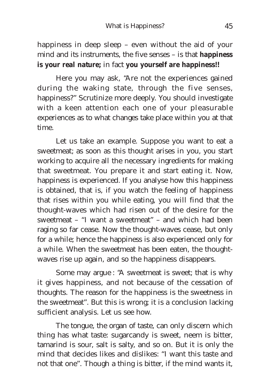happiness in deep sleep – even without the aid of your mind and its instruments, the five senses – is that **happiness is your real nature;** in fact **you yourself are happiness!!**

Here you may ask, "Are not the experiences gained during the waking state, through the five senses, happiness?" Scrutinize more deeply. You should investigate with a keen attention each one of your pleasurable experiences as to what changes take place within you at that time.

Let us take an example. Suppose you want to eat a sweetmeat; as soon as this thought arises in you, you start working to acquire all the necessary ingredients for making that sweetmeat. You prepare it and start eating it. Now, happiness is experienced. If you analyse how this happiness is obtained, that is, if you watch the feeling of happiness that rises within you while eating, you will find that the thought-waves which had risen out of the desire for the sweetmeat – "I want a sweetmeat" – and which had been raging so far cease. Now the thought-waves cease, but only for a while; hence the happiness is also experienced only for a while. When the sweetmeat has been eaten, the thoughtwaves rise up again, and so the happiness disappears.

Some may argue : "A sweetmeat is sweet; that is why it gives happiness, and not because of the cessation of thoughts. The reason for the happiness is the sweetness in the sweetmeat". But this is wrong; it is a conclusion lacking sufficient analysis. Let us see how.

The tongue, the organ of taste, can only discern which thing has what taste: sugarcandy is sweet, neem is bitter, tamarind is sour, salt is salty, and so on. But it is only the mind that decides likes and dislikes: "I want this taste and not that one". Though a thing is bitter, if the mind wants it,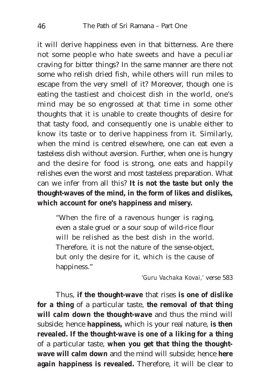it will derive happiness even in that bitterness. Are there not some people who hate sweets and have a peculiar craving for bitter things? In the same manner are there not some who relish dried fish, while others will run miles to escape from the very smell of it? Moreover, though one is eating the tastiest and choicest dish in the world, one's mind may be so engrossed at that time in some other thoughts that it is unable to create thoughts of desire for that tasty food, and consequently one is unable either to know its taste or to derive happiness from it. Similarly, when the mind is centred elsewhere, one can eat even a tasteless dish without aversion. Further, when one is hungry and the desire for food is strong, one eats and happily relishes even the worst and most tasteless preparation. What can we infer from all this? **It is not the taste but only the thought-waves of the mind, in the form of likes and dislikes, which account for one's happiness and misery.**

"When the fire of a ravenous hunger is raging, even a stale gruel or a sour soup of wild-rice flour will be relished as the best dish in the world. Therefore, it is not the nature of the sense-object, but only the desire for it, which is the cause of happiness."

*'Guru Vachaka Kovai,'* verse 583

Thus, **if the thought-wave** that rises **is one of dislike for a thing** of a particular taste, **the removal of that thing will calm down the thought-wave** and thus the mind will subside; hence **happiness,** which is your real nature, **is then revealed. If the thought-wave is one of a liking for a thing** of a particular taste, **when you get that thing the thoughtwave will calm down** and the mind will subside; hence **here again happiness is revealed.** Therefore, it will be clear to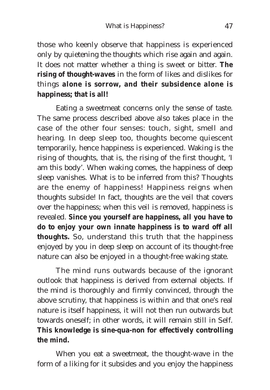those who keenly observe that happiness is experienced only by quietening the thoughts which rise again and again. It does not matter whether a thing is sweet or bitter. **The rising of thought-waves** in the form of likes and dislikes for things **alone is sorrow, and their subsidence alone is happiness; that is all!**

Eating a sweetmeat concerns only the sense of taste. The same process described above also takes place in the case of the other four senses: touch, sight, smell and hearing. In deep sleep too, thoughts become quiescent temporarily, hence happiness is experienced. Waking is the rising of thoughts, that is, the rising of the first thought, 'I am this body'. When waking comes, the happiness of deep sleep vanishes. What is to be inferred from this? Thoughts are the enemy of happiness! Happiness reigns when thoughts subside! In fact, thoughts are the veil that covers over the happiness; when this veil is removed, happiness is revealed. **Since you yourself are happiness, all you have to do to enjoy your own innate happiness is to ward off all thoughts.** So, understand this truth that the happiness enjoyed by you in deep sleep on account of its thought-free nature can also be enjoyed in a thought-free waking state.

The mind runs outwards because of the ignorant outlook that happiness is derived from external objects. If the mind is thoroughly and firmly convinced, through the above scrutiny, that happiness is within and that one's real nature is itself happiness, it will not then run outwards but towards oneself; in other words, it will remain still in Self. **This knowledge is sine-qua-non for effectively controlling the mind.**

When you eat a sweetmeat, the thought-wave in the form of a liking for it subsides and you enjoy the happiness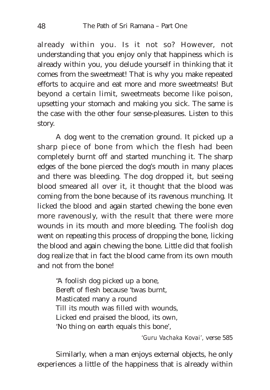already within you. Is it not so? However, not understanding that you enjoy only that happiness which is already within you, you delude yourself in thinking that it comes from the sweetmeat! That is why you make repeated efforts to acquire and eat more and more sweetmeats! But beyond a certain limit, sweetmeats become like poison, upsetting your stomach and making you sick. The same is the case with the other four sense-pleasures. Listen to this story.

A dog went to the cremation ground. It picked up a sharp piece of bone from which the flesh had been completely burnt off and started munching it. The sharp edges of the bone pierced the dog's mouth in many places and there was bleeding. The dog dropped it, but seeing blood smeared all over it, it thought that the blood was coming from the bone because of its ravenous munching. It licked the blood and again started chewing the bone even more ravenously, with the result that there were more wounds in its mouth and more bleeding. The foolish dog went on repeating this process of dropping the bone, licking the blood and again chewing the bone. Little did that foolish dog realize that in fact the blood came from its own mouth and not from the bone!

"A foolish dog picked up a bone, Bereft of flesh because 'twas burnt, Masticated many a round Till its mouth was filled with wounds, Licked end praised the blood, its own, 'No thing on earth equals this bone',

*'Guru Vachaka Kovai',* verse 585

Similarly, when a man enjoys external objects, he only experiences a little of the happiness that is already within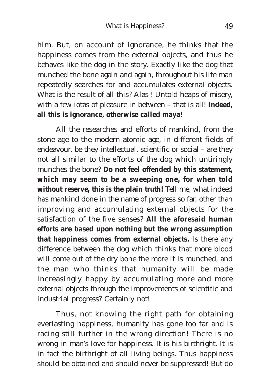him. But, on account of ignorance, he thinks that the happiness comes from the external objects, and thus he behaves like the dog in the story. Exactly like the dog that munched the bone again and again, throughout his life man repeatedly searches for and accumulates external objects. What is the result of all this? Alas ! Untold heaps of misery, with a few iotas of pleasure in between – that is all! **Indeed, all this is ignorance, otherwise called maya!**

All the researches and efforts of mankind, from the stone age to the modern atomic age, in different fields of endeavour, be they intellectual, scientific or social – are they not all similar to the efforts of the dog which untiringly munches the bone? **Do not feel offended by this statement, which may seem to be a sweeping one, for when told without reserve, this is the plain truth!** Tell me, what indeed has mankind done in the name of progress so far, other than improving and accumulating external objects for the satisfaction of the five senses? **All the aforesaid human efforts are based upon nothing but the wrong assumption that happiness comes from external objects.** Is there any difference between the dog which thinks that more blood will come out of the dry bone the more it is munched, and the man who thinks that humanity will be made increasingly happy by accumulating more and more external objects through the improvements of scientific and industrial progress? Certainly not!

Thus, not knowing the right path for obtaining everlasting happiness, humanity has gone too far and is racing still further in the wrong direction! There is no wrong in man's love for happiness. It is his birthright. It is in fact the birthright of all living beings. Thus happiness should be obtained and should never be suppressed! But do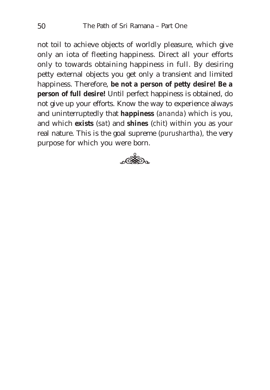not toil to achieve objects of worldly pleasure, which give only an iota of fleeting happiness. Direct all your efforts only to towards obtaining happiness in full. By desiring petty external objects you get only a transient and limited happiness. Therefore, **be not a person of petty desire! Be a person of full desire!** Until perfect happiness is obtained, do not give up your efforts. Know the way to experience always and uninterruptedly that **happiness** (*ananda*) which is you, and which **exists** (*sat*) and **shines** (*chit*) within you as your real nature. This is the goal supreme (*purushartha*)*,* the very purpose for which you were born.

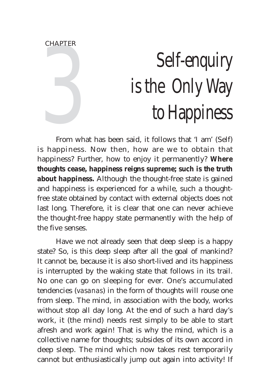**CHAPTER** 

# Self-enquiry is the Only Way<br>to Happiness

From what has been said, it follows that 'I am' (Self) is happiness. Now then, how are we to obtain that happiness? Further, how to enjoy it permanently? **Where thoughts cease, happiness reigns supreme; such is the truth about happiness.** Although the thought-free state is gained and happiness is experienced for a while, such a thoughtfree state obtained by contact with external objects does not last long. Therefore, it is clear that one can never achieve the thought-free happy state permanently with the help of the five senses.

Have we not already seen that deep sleep is a happy state? So, is this deep sleep after all the goal of mankind? It cannot be, because it is also short-lived and its happiness is interrupted by the waking state that follows in its trail. No one can go on sleeping for ever. One's accumulated tendencies (*vasanas*) in the form of thoughts will rouse one from sleep. The mind, in association with the body, works without stop all day long. At the end of such a hard day's work, it (the mind) needs rest simply to be able to start afresh and work again! That is why the mind, which is a collective name for thoughts; subsides of its own accord in deep sleep. The mind which now takes rest temporarily cannot but enthusiastically jump out again into activity! If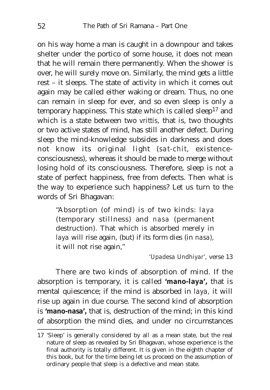on his way home a man is caught in a downpour and takes shelter under the portico of some house, it does not mean that he will remain there permanently. When the shower is over, he will surely move on. Similarly, the mind gets a little rest – it sleeps. The state of activity in which it comes out again may be called either waking or dream. Thus, no one can remain in sleep for ever, and so even sleep is only a temporary happiness. This state which is called sleep<sup>17</sup> and which is a state between two *vrittis,* that is, two thoughts or two active states of mind, has still another defect. During sleep the mind-knowledge subsides in darkness and does not know its original light (*sat-chit,* existenceconsciousness), whereas it should be made to merge without losing hold of its consciousness. Therefore, sleep is not a state of perfect happiness, free from defects. Then what is the way to experience such happiness? Let us turn to the words of Sri Bhagavan:

"Absorption (of mind) is of two kinds: *laya* (temporary stillness) and *nasa* (permanent destruction). That which is absorbed merely in *laya* will rise again, (but) if its form dies (in *nasa),* it will not rise again,"

#### *'Upadesa Undhiyar',* verse 13

There are two kinds of absorption of mind. If the absorption is temporary, it is called **'mano-laya',** that is mental quiescence; if the mind is absorbed in *laya,* it will rise up again in due course. The second kind of absorption is **'mano-nasa',** that is, destruction of the mind; in this kind of absorption the mind dies, and under no circumstances

<sup>17 &#</sup>x27;Sleep' is generally considered by all as a mean state, but the real nature of sleep as revealed by Sri Bhagavan, whose experience is the final authority is totally different. It is given in the eighth chapter of this book, but for the time being let us proceed on the assumption of ordinary people that sleep is a defective and mean state.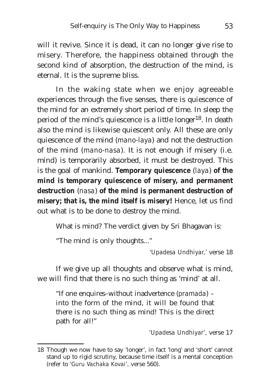will it revive. Since it is dead, it can no longer give rise to misery. Therefore, the happiness obtained through the second kind of absorption, the destruction of the mind, is eternal. It is the supreme bliss.

In the waking state when we enjoy agreeable experiences through the five senses, there is quiescence of the mind for an extremely short period of time. In sleep the period of the mind's quiescence is a little longer<sup>18</sup>. In death also the mind is likewise quiescent only. All these are only quiescence of the mind (*mano-laya*) and not the destruction of the mind (*mano-nasa*)*.* It is not enough if misery (i.e. mind) is temporarily absorbed, it must be destroyed. This is the goal of mankind. **Temporary quiescence** (*laya*) **of the mind is temporary quiescence of misery, and permanent destruction** (*nasa*) **of the mind is permanent destruction of misery; that is, the mind itself is misery!** Hence, let us find out what is to be done to destroy the mind.

What is mind? The verdict given by Sri Bhagavan is:

"The mind is only thoughts..."

*'Upadesa Undhiyar,'* verse 18

If we give up all thoughts and observe what is mind, we will find that there is no such thing as 'mind' at all.

"If one enquires–without inadvertence (*pramada*) – into the form of the mind, it will be found that there is no such thing as mind! This is the direct path for all!"

*'Upadesa Undhiyar',* verse 17

<sup>18</sup> Though we now have to say 'longer', in fact 'long' and 'short' cannot stand up to rigid scrutiny, because time itself is a mental conception (refer to *'Guru Vachaka Kovai',* verse 560).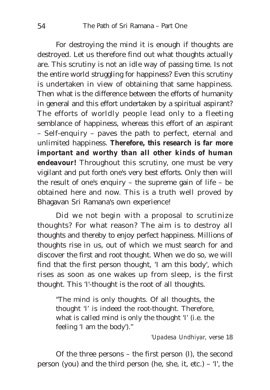For destroying the mind it is enough if thoughts are destroyed. Let us therefore find out what thoughts actually are. This scrutiny is not an idle way of passing time. Is not the entire world struggling for happiness? Even this scrutiny is undertaken in view of obtaining that same happiness. Then what is the difference between the efforts of humanity in general and this effort undertaken by a spiritual aspirant? The efforts of worldly people lead only to a fleeting semblance of happiness, whereas this effort of an aspirant – Self-enquiry – paves the path to perfect, eternal and unlimited happiness. **Therefore, this research is far more important and worthy than all other kinds of human endeavour!** Throughout this scrutiny, one must be very vigilant and put forth one's very best efforts. Only then will the result of one's enquiry – the supreme gain of life – be obtained here and now. This is a truth well proved by Bhagavan Sri Ramana's own experience!

Did we not begin with a proposal to scrutinize thoughts? For what reason? The aim is to destroy all thoughts and thereby to enjoy perfect happiness. Millions of thoughts rise in us, out of which we must search for and discover the first and root thought. When we do so, we will find that the first person thought, 'I am this body', which rises as soon as one wakes up from sleep, is the first thought. This 'I'-thought is the root of all thoughts.

"The mind is only thoughts. Of all thoughts, the thought 'I' is indeed the root-thought. Therefore, what is called mind is only the thought 'I' (i.e. the feeling 'I am the body')."

*'Upadesa Undhiyar,* verse 18

Of the three persons – the first person (I), the second person (you) and the third person (he, she, it, etc.) – 'I', the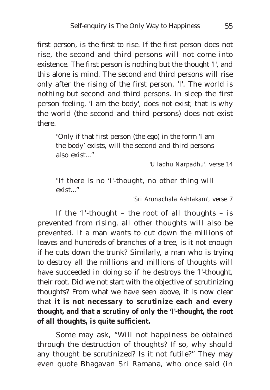first person, is the first to rise. If the first person does not rise, the second and third persons will not come into existence. The first person is nothing but the thought 'I', and this alone is mind. The second and third persons will rise only after the rising of the first person, 'I'. The world is nothing but second and third persons. In sleep the first person feeling, 'l am the body', does not exist; that is why the world (the second and third persons) does not exist there.

"Only if that first person (the ego) in the form 'I am the body' exists, will the second and third persons also exist..."

*'Ulladhu Narpadhu'.* verse 14

"If there is no 'I'-thought, no other thing will exist..."

*'Sri Arunachala Ashtakam',* verse 7

If the 'I'-thought – the root of all thoughts – is prevented from rising, all other thoughts will also be prevented. If a man wants to cut down the millions of leaves and hundreds of branches of a tree, is it not enough if he cuts down the trunk? Similarly, a man who is trying to destroy all the millions and millions of thoughts will have succeeded in doing so if he destroys the 'I'-thought, their root. Did we not start with the objective of scrutinizing thoughts? From what we have seen above, it is now clear that **it is not necessary to scrutinize each and every thought, and that a scrutiny of only the 'I'-thought, the root of all thoughts, is quite sufficient.**

Some may ask, "Will not happiness be obtained through the destruction of thoughts? If so, why should any thought be scrutinized? Is it not futile?" They may even quote Bhagavan Sri Ramana, who once said (in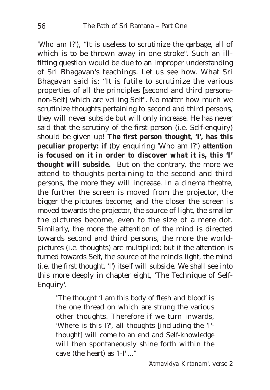*'Who am I?*'), "It is useless to scrutinize the garbage, all of which is to be thrown away in one stroke". Such an illfitting question would be due to an improper understanding of Sri Bhagavan's teachings. Let us see how. What Sri Bhagavan said is: "It is futile to scrutinize the various properties of all the principles [second and third personsnon-Self] which are veiling Self". No matter how much we scrutinize thoughts pertaining to second and third persons, they will never subside but will only increase. He has never said that the scrutiny of the first person (i.e. Self-enquiry) should be given up! **The first person thought, 'I', has this peculiar property: if** (by enquiring 'Who am I?') **attention is focused on it in order to discover what it is, this 'I' thought will subside.** But on the contrary, the more we attend to thoughts pertaining to the second and third persons, the more they will increase. In a cinema theatre, the further the screen is moved from the projector, the bigger the pictures become; and the closer the screen is moved towards the projector, the source of light, the smaller the pictures become, even to the size of a mere dot. Similarly, the more the attention of the mind is directed towards second and third persons, the more the worldpictures (i.e. thoughts) are multiplied; but if the attention is turned towards Self, the source of the mind's light, the mind (i.e. the first thought, 'I') itself will subside. We shall see into this more deeply in chapter eight, 'The Technique of Self-Enquiry'.

"The thought 'I am this body of flesh and blood' is the one thread on which are strung the various other thoughts. Therefore if we turn inwards, 'Where is this I?', all thoughts [including the 'I' thought] will come to an end and Self-knowledge will then spontaneously shine forth within the cave (the heart) as 'I-I' ..."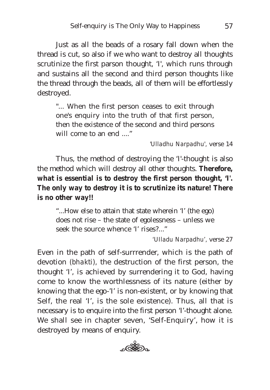Just as all the beads of a rosary fall down when the thread is cut, so also if we who want to destroy all thoughts scrutinize the first parson thought, 'I', which runs through and sustains all the second and third person thoughts like the thread through the beads, all of them will be effortlessly destroyed.

"... When the first person ceases to exit through one's enquiry into the truth of that first person, then the existence of the second and third persons will come to an end  $\ddot{\,}$ "

*'Ulladhu Narpadhu',* verse 14

Thus, the method of destroying the 'I'-thought is also the method which will destroy all other thoughts. **Therefore, what is essential is to destroy the first person thought, 'I'. The only way to destroy it is to scrutinize its nature! There is no other way!!**

"...How else to attain that state wherein 'I' (the ego) does not rise – the state of egolessness – unless we seek the source whence 'I' rises?..."

*'UIladu Narpadhu',* verse 27

Even in the path of self-surrrender, which is the path of devotion *(bhakti),* the destruction of the first person, the thought 'I', is achieved by surrendering it to God, having come to know the worthlessness of its nature (either by knowing that the ego-'I' is non-existent, or by knowing that Self, the real 'I', is the sole existence). Thus, all that is necessary is to enquire into the first person 'I'-thought alone. We shall see in chapter seven, 'Self-Enquiry', how it is destroyed by means of enquiry.

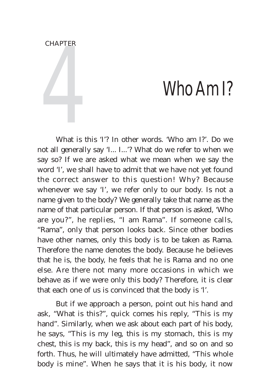#### **CHAPTER**

# Who Am I?

What is this 'I'? In other words. 'Who am I?'. Do we not all generally say 'I... I...'? What do we refer to when we say so? If we are asked what we mean when we say the word 'I', we shall have to admit that we have not yet found the correct answer to this question! Why? Because whenever we say 'I', we refer only to our body. Is not a name given to the body? We generally take that name as the name of that particular person. If that person is asked, 'Who are you?", he replies, "I am Rama". If someone calls, "Rama", only that person looks back. Since other bodies have other names, only this body is to be taken as Rama. Therefore the name denotes the body. Because he believes that he is, the body, he feels that he is Rama and no one else. Are there not many more occasions in which we behave as if we were only this body? Therefore, it is clear that each one of us is convinced that the body is 'l'.

But if we approach a person, point out his hand and ask, "What is this?", quick comes his reply, "This is my hand". Similarly, when we ask about each part of his body, he says, "This is my leg, this is my stomach, this is my chest, this is my back, this is my head", and so on and so forth. Thus, he will ultimately have admitted, "This whole body is mine". When he says that it is his body, it now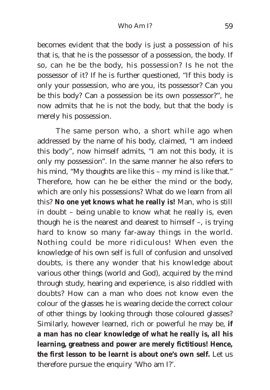becomes evident that the body is just a possession of his that is, that he is the possessor of a possession, the body. If so, can he be the body, his possession? Is he not the possessor of it? If he is further questioned, "If this body is only your possession, who are you, its possessor? Can you be this body? Can a possession be its own possessor?", he now admits that he is not the body, but that the body is merely his possession.

The same person who, a short while ago when addressed by the name of his body, claimed, "I am indeed this body", now himself admits, "I am not this body, it is only my possession". In the same manner he also refers to his mind, "My thoughts are like this – my mind is like that." Therefore, how can he be either the mind or the body, which are only his possessions? What do we learn from all this? **No one yet knows what he really is!** Man, who is still in doubt – being unable to know what he really is, even though he is the nearest and dearest to himself –, is trying hard to know so many far-away things in the world. Nothing could be more ridiculous! When even the knowledge of his own self is full of confusion and unsolved doubts, is there any wonder that his knowledge about various other things (world and God), acquired by the mind through study, hearing and experience, is also riddled with doubts? How can a man who does not know even the colour of the glasses he is wearing decide the correct colour of other things by looking through those coloured glasses? Similarly, however learned, rich or powerful he may be, **if a man has no clear knowledge of what he really is, all his learning, greatness and power are merely fictitious! Hence, the first lesson to be learnt is about one's own self.** Let us therefore pursue the enquiry 'Who am I?'.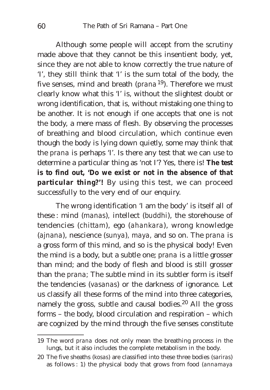Although some people will accept from the scrutiny made above that they cannot be this insentient body, yet, since they are not able to know correctly the true nature of 'I', they still think that 'I' is the sum total of the body, the five senses, mind and breath (*prana*19). Therefore we must clearly know what this 'I' is, without the slightest doubt or wrong identification, that is, without mistaking one thing to be another. It is not enough if one accepts that one is not the body, a mere mass of flesh. By observing the processes of breathing and blood circulation, which continue even though the body is lying down quietly, some may think that the *prana* is perhaps 'I'. Is there any test that we can use to determine a particular thing as 'not I'? Yes, there is! **The test is to find out, 'Do we exist or not in the absence of that particular thing?'!** By using this test, we can proceed successfully to the very end of our enquiry.

The wrong identification 'I am the body' is itself all of these : mind (*manas*)*,* intellect (*buddhi*), the storehouse of tendencies (*chittam*), ego (*ahankara*), wrong knowledge (*ajnana*), nescience (*sunya*)*, maya,* and so on. The *prana* is a gross form of this mind, and so is the physical body! Even the mind is a body, but a subtle one; *prana* is a little grosser than mind; and the body of flesh and blood is still grosser than the *prana;* The subtle mind in its subtler form is itself the tendencies (*vasanas*) or the darkness of ignorance. Let us classify all these forms of the mind into three categories, namely the gross, subtle and causal bodies.<sup>20</sup> All the gross forms – the body, blood circulation and respiration – which are cognized by the mind through the five senses constitute

<sup>19</sup> The word *prana* does not only mean the breathing process in the lungs, but it also includes the complete metabolism in the body.

<sup>20</sup> The five sheaths (*kosas*) are classified into these three bodies (*sariras*) as follows : 1) the physical body that grows from food (*annamaya*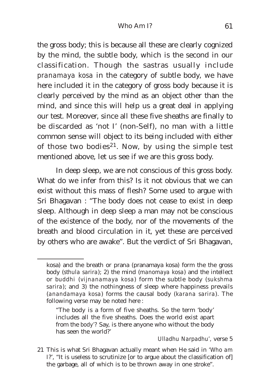the gross body; this is because all these are clearly cognized by the mind, the subtle body, which is the second in our classification. Though the sastras usually include *pranamaya kosa* in the category of subtle body, we have here included it in the category of gross body because it is clearly perceived by the mind as an object other than the mind, and since this will help us a great deal in applying our test. Moreover, since all these five sheaths are finally to be discarded as 'not I' (non-Self), no man with a little common sense will object to its being included with either of those two bodies<sup>21</sup>. Now, by using the simple test mentioned above, let us see if we are this gross body.

In deep sleep, we are not conscious of this gross body. What do we infer from this? Is it not obvious that we can exist without this mass of flesh? Some used to argue with Sri Bhagavan : "The body does not cease to exist in deep sleep. Although in deep sleep a man may not be conscious of the existence of the body, nor of the movements of the breath and blood circulation in it, yet these are perceived by others who are awake". But the verdict of Sri Bhagavan,

*Ulladhu Narpadhu',* verse 5

kosa) and the breath or prana (pranamaya kosa) form the the gross body (*sthula sarira*); 2) the mind (*manomaya kosa*) and the intellect or *buddhi* (*vijnanamaya kosa*) form the subtle body (*sukshma sarira*); and 3) the nothingness of sleep where happiness prevails (*anandamaya kosa*) forms the causal body (*karana sarira*). The following verse may be noted here :

<sup>&</sup>quot;The body is a form of five sheaths. So the term 'body' includes all the five sheaths. Does the world exist apart from the *body'?* Say, is there anyone who without the body has seen the world?'

<sup>21</sup> This is what Sri Bhagavan actually meant when He said in *'Who am I*?', "It is useless to scrutinize [or to argue about the classification of] the garbage, all of which is to be thrown away in one stroke".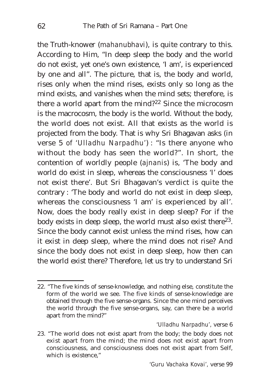the Truth-knower (*mahanubhavi*), is quite contrary to this. According to Him, "In deep sleep the body and the world do not exist, yet one's own existence, 'I am', is experienced by one and all". The picture, that is, the body and world, rises only when the mind rises, exists only so long as the mind exists, and vanishes when the mind sets; therefore, is there a world apart from the mind?<sup>22</sup> Since the microcosm is the macrocosm, the body is the world. Without the body, the world does not exist. All that exists as the world is projected from the body. That is why Sri Bhagavan asks (in verse 5 *of 'Ulladhu Narpadhu'*) : "Is there anyone who without the body has seen the world?". In short, the contention of worldly people (*ajnanis*) is, 'The body and world do exist in sleep, whereas the consciousness 'I' does not exist there'. But Sri Bhagavan's verdict is quite the contrary : 'The body and world do not exist in deep sleep, whereas the consciousness 'I am' is experienced by all'. Now, does the body really exist in deep sleep? For if the body exists in deep sleep, the world must also exist there<sup>23</sup>. Since the body cannot exist unless the mind rises, how can it exist in deep sleep, where the mind does not rise? And since the body does not exist in deep sleep, how then can the world exist there? Therefore, let us try to understand Sri

*'Ulladhu Narpadhu',* verse 6

<sup>22. &</sup>quot;The five kinds of sense-knowledge, and nothing else, constitute the form of the world we see. The five kinds of sense-knowledge are obtained through the five sense-organs. Since the one mind perceives the world through the five sense-organs, say, can there be a world apart from the mind?"

<sup>23. &</sup>quot;The world does not exist apart from the body; the body does not exist apart from the mind; the mind does not exist apart from consciousness, and consciousness does not exist apart from Self, which is existence,"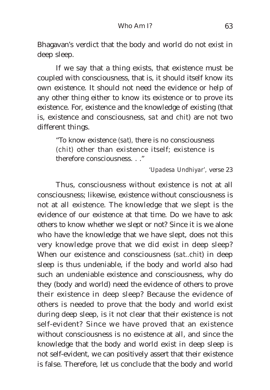Bhagavan's verdict that the body and world do not exist in deep sleep.

If we say that a thing exists, that existence must be coupled with consciousness, that is, it should itself know its own existence. It should not need the evidence or help of any other thing either to know its existence or to prove its existence. For, existence and the knowledge of existing (that is, existence and consciousness, *sat* and *chit*) are not two different things.

"To know existence *(sat),* there is no consciousness *(chit)* other than existence itself; existence is therefore consciousness. . ."

*'Upadesa Undhiyar',* verse 23

Thus, consciousness without existence is not at all consciousness; likewise, existence without consciousness is not at all existence. The knowledge that we slept is the evidence of our existence at that time. Do we have to ask others to know whether we slept or not? Since it is we alone who have the knowledge that we have slept, does not this very knowledge prove that we did exist in deep sleep? When our existence and consciousness (*sat..chit*) in deep sleep is thus undeniable, if the body and world also had such an undeniable existence and consciousness, why do they (body and world) need the evidence of others to prove their existence in deep sleep? Because the evidence of others is needed to prove that the body and world exist during deep sleep, is it not clear that their existence is not self-evident? Since we have proved that an existence without consciousness is no existence at all, and since the knowledge that the body and world exist in deep sleep is not self-evident, we can positively assert that their existence is false. Therefore, let us conclude that the body and world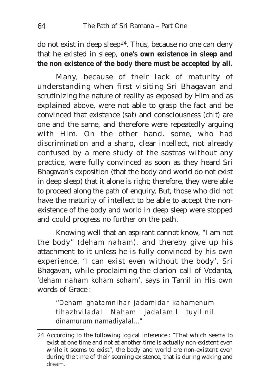do not exist in deep sleep<sup>24</sup>. Thus, because no one can deny that he existed in sleep, **one's own existence in sleep and the non existence of the body there must be accepted by all.**

Many, because of their lack of maturity of understanding when first visiting Sri Bhagavan and scrutinizing the nature of reality as exposed by Him and as explained above, were not able to grasp the fact and be convinced that existence *(sat)* and consciousness *(chit)* are one and the same, and therefore were repeatedly arguing with Him. On the other hand. some, who had discrimination and a sharp, clear intellect, not already confused by a mere study of the sastras without any practice, were fully convinced as soon as they heard Sri Bhagavan's exposition (that the body and world do not exist in deep sleep) that it alone is right; therefore, they were able to proceed along the path of enquiry, But, those who did not have the maturity of intellect to be able to accept the nonexistence of the body and world in deep sleep were stopped and could progress no further on the path.

Knowing well that an aspirant cannot know, "I am not the body" *(deham naham),* and thereby give up his attachment to it unless he is fully convinced by his own experience, 'I can exist even without the body', Sri Bhagavan, while proclaiming the clarion call of Vedanta, *'deham naham koham soham',* says in Tamil in His own words of Grace :

"*Deham ghatamnihar jadamidar kahamenum tihazhviladal Naham jadalamil tuyilinil dinamurum namadiyalal..."*

<sup>24</sup> According to the following logical inference : "That which seems to exist at one time and not at another time is actually non-existent even while it seems to exist", the body and world are non-existent even during the time of their seeming existence, that is during waking and dream.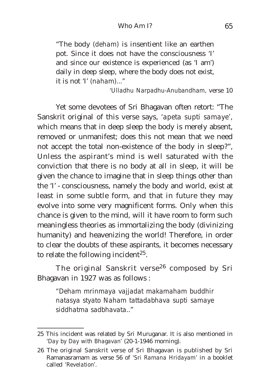#### Who Am I?

"The body *(deham)* is insentient like an earthen pot. Since it does not have the consciousness 'I' and since our existence is experienced (as 'I am') daily in deep sleep, where the body does not exist, it is not 'I' *(naham)..."*

*'Ulladhu Narpadhu-Anubandham,* verse 10

Yet some devotees of Sri Bhagavan often retort: "The Sanskrit original of this verse says, *'apeta supti samaye',* which means that in deep sleep the body is merely absent, removed or unmanifest; does this not mean that we need not accept the total non-existence of the body in sleep?", Unless the aspirant's mind is well saturated with the conviction that there is no body at all in sleep, it will be given the chance to imagine that in sleep things other than the 'I' - consciousness, namely the body and world, exist at least in some subtle form, and that in future they may evolve into some very magnificent forms. Only when this chance is given to the mind, will it have room to form such meaningless theories as immortalizing the body (divinizing humanity) and heavenizing the world! Therefore, in order to clear the doubts of these aspirants, it becomes necessary to relate the following incident<sup>25</sup>.

The original Sanskrit verse<sup>26</sup> composed by Sri Bhagavan in 1927 was as follows :

*"Deham mrinmaya vajjadat makamaham buddhir natasya styato Naham tattadabhava supti samaye siddhatma sadbhavata*.."

<sup>25</sup> This incident was related by Sri Muruganar. It is also mentioned in *'Day by Day with Bhagavan'* (20-1-1946 morning).

<sup>26</sup> The original Sanskrit verse of Sri Bhagavan is published by Sri Ramanasramam as verse 56 of *'Sri Ramana Hridayam'* in a booklet called *'Revelation'.*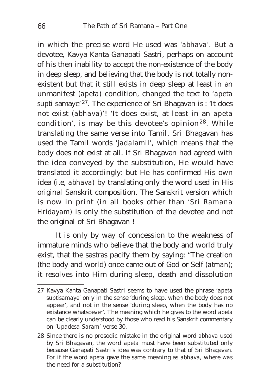in which the precise word He used was *'abhava'.* But a devotee, Kavya Kanta Ganapati Sastri, perhaps on account of his then inability to accept the non-existence of the body in deep sleep, and believing that the body is not totally nonexistent but that it still exists in deep sleep at least in an unmanifest *(apeta)* condition, changed the text to *'apeta supti* samaye<sup>' 27</sup>. The experience of Sri Bhagavan is : 'It does not exist *(abhava)'*! 'It does exist, at least in an *apeta* condition', is may be this devotee's opinion<sup>28</sup>. While translating the same verse into Tamil, Sri Bhagavan has used the Tamil words *'jadalamil',* which means that the body does not exist at all. If Sri Bhagavan had agreed with the idea conveyed by the substitution, He would have translated it accordingly: but He has confirmed His own idea (i.e, *abhava)* by translating only the word used in His original Sanskrit composition. The Sanskrit version which is now in print (in all books other than *'Sri Ramana Hridayam)* is only the substitution of the devotee and not the original of Sri Bhagavan !

It is only by way of concession to the weakness of immature minds who believe that the body and world truly exist, that the sastras pacify them by saying: "The creation (the body and world) once came out of God or Self *(atman);* it resolves into Him during sleep, death and dissolution

<sup>27</sup> Kavya Kanta Ganapati Sastri seems to have used the phrase *'apeta suptisamaye'* only in the sense 'during sleep, when the body does not appear', and not in the sense 'during sleep, when the body has no existance whatsoever'. The meaning which he gives to the word *apeta* can be clearly understood by those who read his Sanskrit commentary on *'Upadesa Saram'* verse 30.

<sup>28</sup> Since there is no prosodic mistake in the original word *abhava* used by Sri Bhagavan, the word *apeta* must have been substituted only because Ganapati Sastri's idea was contrary to that of Sri Bhagavan. For if the word *apeta* gave the same meaning as *abhava,* where *was* the need for a substitution?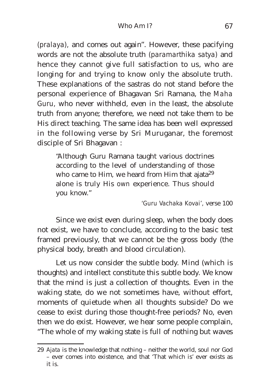*(pralaya),* and comes out again". However, these pacifying words are not the absolute truth *(paramarthika satya)* and hence they cannot give full satisfaction to us, who are longing for and trying to know only the absolute truth. These explanations of the sastras do not stand before the personal experience of Bhagavan Sri Ramana, the *Maha Guru,* who never withheld, even in the least, the absolute truth from anyone; therefore, we need not take them to be His direct teaching. The same idea has been well expressed in the following verse by Sri Muruganar, the foremost disciple of Sri Bhagavan :

"Although Guru Ramana taught various doctrines according to the level of understanding of those who came to Him, we heard from Him that ajata<sup>29</sup> alone is truly His *own* experience. Thus should you know."

*'Guru Vachaka Kovai',* verse 100

Since we exist even during sleep, when the body does not exist, we have to conclude, according to the basic test framed previously, that we cannot be the gross body (the physical body, breath and blood circulation).

Let us now consider the subtle body. Mind (which is thoughts) and intellect constitute this subtle body. We know that the mind is just a collection of thoughts. Even in the waking state, do we not sometimes have, without effort, moments of quietude when all thoughts subside? Do we cease to exist during those thought-free periods? No, even then we do exist. However, we hear some people complain, "The whole of my waking state is full of nothing but waves

<sup>29</sup> *Ajata* is the knowledge that nothing – neither the world, soul nor God – ever comes into existence, and that 'That which is' ever exists as it is.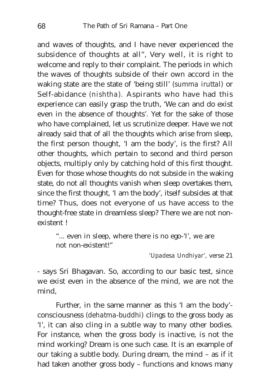and waves of thoughts, and I have never experienced the subsidence of thoughts at all", Very well, it is right to welcome and reply to their complaint. The periods in which the waves of thoughts subside of their own accord in the waking state are the state of 'being still' *(summa iruttal)* or Self-abidance *(nishtha).* Aspirants who have had this experience can easily grasp the truth, 'We can and do exist even in the absence of thoughts'. Yet for the sake of those who have complained, let us scrutinize deeper. Have we not already said that of all the thoughts which arise from sleep, the first person thought, 'I am the body', is the first? All other thoughts, which pertain to second and third person objects, multiply only by catching hold of this first thought. Even for those whose thoughts do not subside in the waking state, do not all thoughts vanish when sleep overtakes them, since the first thought, 'I am the body', itself subsides at that time? Thus, does not everyone of us have access to the thought-free state in dreamless sleep? There we are not nonexistent !

"... even in sleep, where there is no ego-'I', we are not non-existent!"

*'Upadesa Undhiyar',* verse 21

- says Sri Bhagavan. So, according to our basic test, since we exist even in the absence of the mind, we are not the mind,

Further, in the same manner as this 'I am the body' consciousness *(dehatma-buddhi)* clings to the gross body as 'I', it can also cling in a subtle way to many other bodies. For instance, when the gross body is inactive, is not the mind working? Dream is one such case. It is an example of our taking a subtle body. During dream, the mind – as if it had taken another gross body – functions and knows many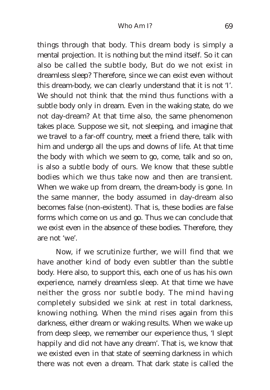things through that body. This dream body is simply a mental projection. It is nothing but the mind itself. So it can also be called the subtle body, But do we not exist in dreamless sleep? Therefore, since we can exist even without this dream-body, we can clearly understand that it is not 'I'. We should not think that the mind thus functions with a subtle body only in dream. Even in the waking state, do we not day-dream? At that time also, the same phenomenon takes place. Suppose we sit, not sleeping, and imagine that we travel to a far-off country, meet a friend there, talk with him and undergo all the ups and downs of life. At that time the body with which we seem to go, come, talk and so on, is also a subtle body of ours. We know that these subtle bodies which we thus take now and then are transient. When we wake up from dream, the dream-body is gone. In the same manner, the body assumed in day-dream also becomes false (non-existent). That is, these bodies are false forms which come on us and go. Thus we can conclude that we exist even in the absence of these bodies. Therefore, they are not 'we'.

Now, if we scrutinize further, we will find that we have another kind of body even subtler than the subtle body. Here also, to support this, each one of us has his own experience, namely dreamless sleep. At that time we have neither the gross nor subtle body. The mind having completely subsided we sink at rest in total darkness, knowing nothing. When the mind rises again from this darkness, either dream or waking results. When we wake up from deep sleep, we remember our experience thus, 'I slept happily and did not have any dream'. That is, we know that we existed even in that state of seeming darkness in which there was not even a dream. That dark state is called the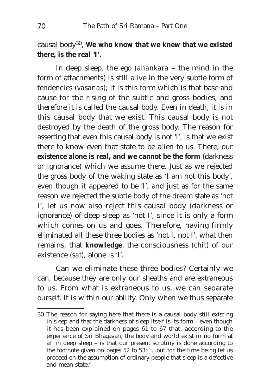### causal body30, **We who know that we knew that we existed there, is the real 'I'.**

In deep sleep, the ego *(ahankara* – the mind in the form of attachments) is still alive in the very subtle form of tendencies *(vasanas);* it is this form which is that base and cause for the rising of the subtle and gross bodies, and therefore it is called the causal body. Even in death, it is in this causal body that we exist. This causal body is not destroyed by the death of the gross body. The reason for asserting that even this causal body is not 'I', is that we exist there to know even that state to be alien to us. There, our **existence alone is real, and we cannot be the form** (darkness or ignorance) which we assume there. Just as we rejected the gross body of the waking state as 'I am not this body', even though it appeared to be 'I', and just as for the same reason we rejected the subtle body of the dream state as 'not I', let us now also reject this causal body (darkness or ignorance) of deep sleep as 'not I', since it is only a form which comes on us and goes. Therefore, having firmly eliminated all these three bodies as 'not I, not I', what then remains, that **knowledge**, the consciousness *(chit)* of our existence *(sat),* alone is 'I'.

Can we eliminate these three bodies? Certainly we can, because they are only our sheaths and are extraneous to us. From what is extraneous to us, we can separate ourself. It is within our ability. Only when we thus separate

<sup>30</sup> The reason for saying here that there is a causal body still existing in sleep and that the darkness of sleep itself is its form – even though it has been explained on pages 61 to 67 that, according to the experience of Sri Bhagavan, the body and world exist in no form at all in deep sleep – is that our present scrutiny is done according to the footnote given on pages 52 to 53: "...but for the time being let us proceed on the assumption of ordinary people that sleep is a defective and mean state."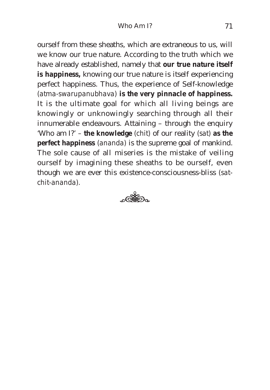ourself from these sheaths, which are extraneous to us, will we know our true nature. According to the truth which we have already established, namely that **our true nature itself is happiness,** knowing our true nature is itself experiencing perfect happiness. Thus, the experience of Self-knowledge *(atma-swarupanubhava)* **is the very pinnacle of happiness.** It is the ultimate goal for which all living beings are knowingly or unknowingly searching through all their innumerable endeavours. Attaining – through the enquiry 'Who am I?*' –* **the knowledge** *(chit)* of our reality *(sat)* **as the perfect happiness** *(ananda)* is the supreme goal of mankind. The sole cause of all miseries is the mistake of veiling ourself by imagining these sheaths to be ourself, even though we are ever this existence-consciousness-bliss *(satchit-ananda).*

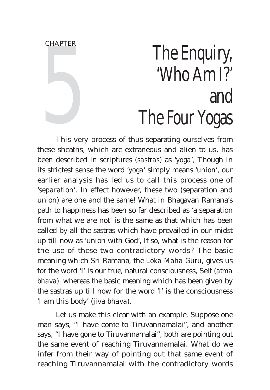**CHAPTER** 

## The Enquiry, 'Who Am I?' and<br>The Four Yogas

This very process of thus separating ourselves from these sheaths, which are extraneous and alien to us, has been described in scriptures *(sastras)* as '*yoga*', Though in its strictest sense the word '*yoga*' simply means '*union*', our earlier analysis has led us to call this process one of '*separation*'. In effect however, these two (separation and union) are one and the same! What in Bhagavan Ramana's path to happiness has been so far described as 'a separation from what we are not' is the same as that which has been called by all the sastras which have prevailed in our midst up till now as 'union with God', If so, what is the reason for the use of these two contradictory words? The basic meaning which Sri Ramana, the *Loka Maha Guru,* gives us for the word 'I' is our true, natural consciousness, Self *(atma bhava),* whereas the basic meaning which has been given by the sastras up till now for the word 'I' is the consciousness 'I am this body' (jiva *bhava).*

Let us make this clear with an example. Suppose one man says, "I have come to Tiruvannamalai", and another says, "I have gone to Tiruvannamalai", both are pointing out the same event of reaching Tiruvannamalai. What do we infer from their way of pointing out that same event of reaching Tiruvannamalai with the contradictory words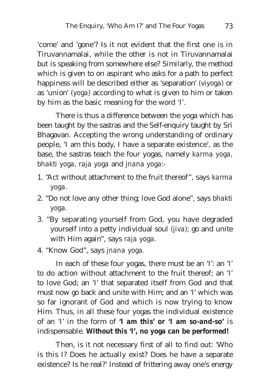'come' and 'gone'? Is it not evident that the first one is in Tiruvannamalai, while the other is not in Tiruvannamalai but is speaking from somewhere else? Similarly, the method which is given to on aspirant who asks for a path to perfect happiness will be described either as 'separation' *(viyoga)* or as 'union' *(yoga)* according to what is given to him or taken by him as the basic meaning for the word 'I'.

There is thus a difference between the yoga which has been taught by the sastras and the Self-enquiry taught by Sri Bhagavan. Accepting the wrong understanding of ordinary people, 'I am this body, I have a separate existence', as the base, the sastras teach the four yogas, namely *karma yoga, bhakti yoga, raja yoga* and *jnana yoga:-*

- 1. "Act without attachment to the fruit thereof", says *karma yoga.*
- 2. "Do not love any other thing; love God alone", says *bhakti yoga.*
- 3. "By separating yourself from God, you have degraded yourself into a petty individual soul *(jiva);* go and unite with Him again", says *raja yoga.*
- 4. "Know God", says *jnana yoga.*

In each of these four yogas, there must be an 'I': an 'I' to do action without attachment to the fruit thereof; an 'I' to love God; an 'I' that separated itself from God and that must now go back and unite with Him; and an 'I' which was so far ignorant of God and which is now trying to know Him. Thus, in all these four yogas the individual existence of an 'I' in the form of **'I am this' or 'I am so-and-so'** is indispensable. **Without this 'I', no yoga can be performed!**

Then, is it not necessary first of all to find out: 'Who is this I? Does he actually exist? Does he have a separate existence? Is he real?' Instead of frittering away one's energy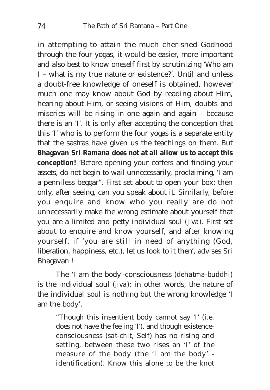in attempting to attain the much cherished Godhood through the four yogas, it would be easier, more important and also best to know oneself first by scrutinizing 'Who am I – what is my true nature or existence?'. Until and unless a doubt-free knowledge of oneself is obtained, however much one may know about God by reading about Him, hearing about Him, or seeing visions of Him, doubts and miseries will be rising in one again and again – because there is an 'I'. It is only after accepting the conception that this 'I' who is to perform the four yogas is a separate entity that the sastras have given us the teachings on them. But **Bhagavan Sri Ramana does not at all allow us to accept this conception!** 'Before opening your coffers and finding your assets, do not begin to wail unnecessarily, proclaiming, 'I am a penniless beggar". First set about to open your box; then only, after seeing, can you speak about it. Similarly, before you enquire and know who you really are do not unnecessarily make the wrong estimate about yourself that you are a limited and petty individual soul *(jiva).* First set about to enquire and know yourself, and after knowing yourself, if 'you are still in need of anything (God, liberation, happiness, etc.), let us look to it then', advises Sri Bhagavan !

The 'I am the body'-consciousness *(dehatma-buddhi)* is the individual soul *(jiva);* in other words, the nature of the individual soul is nothing but the wrong knowledge 'I am the body'.

"Though this insentient body cannot say 'I' (i.e. does not have the feeling 'I'), and though existenceconsciousness *(sat-chit,* Self) has no rising and setting, between these two rises an 'I' of the measure of the body (the 'I am the body' identification). Know this alone to be the knot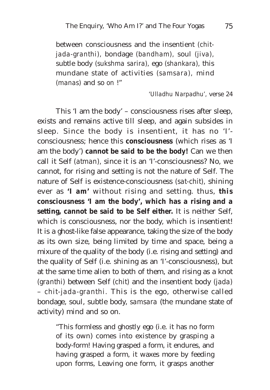between consciousness and the insentient *(chitjada-granthi),* bondage *(bandham),* soul *(jiva),* subtle body *(sukshma sarira),* ego *(shankara),* this mundane state of activities *(samsara),* mind *(manas)* and so *on* !"

*'Ulladhu Narpadhu',* verse 24

This 'I am the body' – consciousness rises after sleep, exists and remains active till sleep, and again subsides in sleep. Since the body is insentient, it has no 'I' consciousness; hence this **consciousness** (which rises as 'I am the body') **cannot be said to be the body!** Can we then call it Self *(atman),* since it is an 'I'-consciousness? No, we cannot, for rising and setting is not the nature of Self. The nature of Self is existence-consciousness *(sat-chit),* shining ever as **'I am'** without rising and setting. thus, **this consciousness 'I am the body', which has a rising and a setting, cannot be said to be Self either.** It is neither Self, which is consciousness, nor the body, which is insentient! It is a ghost-like false appearance, taking the size of the body as its own size, being limited by time and space, being a mixure of the quality of the body (i.e. rising and setting) and the quality of Self (i.e. shining as an 'I'-consciousness), but at the same time alien to both of them, and rising as a knot *(granthi)* between Self *(chit)* and the insentient body *(jada)* – *chit-jada-granthi.* This is the ego, otherwise called bondage, soul, subtle body, *samsara* (the mundane state of activity) mind and so on.

"This formless and ghostly ego (i.e. it has no form of its own) comes into existence by grasping a body-form! Having grasped a form, it endures, and having grasped a form, it waxes more by feeding upon forms, Leaving one form, it grasps another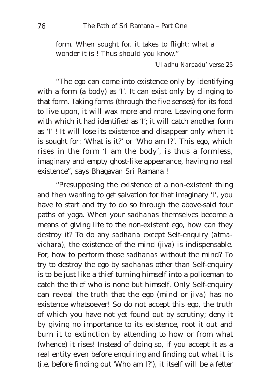form. When sought for, it takes to flight; what a wonder it is ! Thus should you know."

*'Ulladhu Narpadu'* verse 25

"The ego can come into existence only by identifying with a form (a body) as 'I'. It can exist only by clinging to that form. Taking forms (through the five senses) for its food to live upon, it will wax more and more. Leaving one form with which it had identified as 'I': it will catch another form as 'I' ! It will lose its existence and disappear only when it is sought for: 'What is it?' or 'Who am I?'. This ego, which rises in the form 'I am the body', is thus a formless, imaginary and empty ghost-like appearance, having no real existence", says Bhagavan Sri Ramana !

"Presupposing the existence of a non-existent thing and then wanting to get salvation for that imaginary 'I', you have to start and try to do so through the above-said four paths of yoga. When your *sadhanas* themselves become a means of giving life to the non-existent ego, how can they destroy it? To do any *sadhana* except Self-enquiry *(atmavichara),* the existence of the mind *(jiva)* is indispensable. For, how to perform those *sadhanas* without the mind? To try to destroy the ego by *sadhanas* other than Self-enquiry is to be just like a thief turning himself into a policeman to catch the thief who is none but himself. Only Self-enquiry can reveal the truth that the ego (mind or *jiva)* has no existence whatsoever! So do not accept this ego, the truth of which you have not yet found out by scrutiny; deny it by giving no importance to its existence, root it out and burn it to extinction by attending to how or from what (whence) it rises! Instead of doing so, if you accept it as a real entity even before enquiring and finding out what it is (i.e. before finding out 'Who am I?'), it itself will be a fetter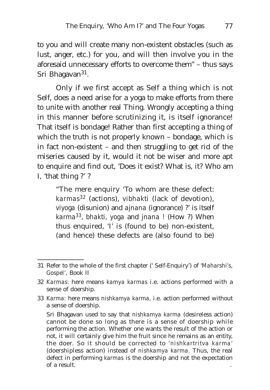to you and will create many non-existent obstacles (such as lust, anger, etc.) for you, and will then involve you in the aforesaid unnecessary efforts to overcome them" – thus says Sri Bhagavan<sup>31</sup>.

Only if we first accept as Self a thing which is not Self, does a need arise for a yoga to make efforts from there to unite with another real Thing. Wrongly accepting a thing in this manner before scrutinizing it, is itself ignorance! That itself is bondage! Rather than first accepting a thing of which the truth is not properly known – bondage, which is in fact non-existent – and then struggling to get rid of the miseries caused by it, would it not be wiser and more apt to enquire and find out, 'Does it exist? What is, it? Who am I, 'that thing ?' ?

"The mere enquiry 'To whom are these defect: *karmas32* (actions), *vibhakti* (lack of devotion), *viyoga* (disunion) and *ajnana* (ignorance) ?' is itself *karma33*, *bhakti, yoga* and *jnana !* (How ?) When thus enquired, 'I' is (found to be) non-existent, (and hence) these defects are (also found to be)

33 *Karma:* here means *nishkamya karma,* i.e. action performed without a sense of doership.

<sup>31</sup> Refer to the whole of the first chapter (' Self-Enquiry') of '*Maharshi's, Gospel',* Book II

<sup>32</sup> *Karmas:* here means *kamya karmas* i.e. actions performed with a sense of doership.

Sri Bhagavan used to say that *nishkamya karma* (desireless action) cannot be done so long as there is a sense of doership while performing the action. Whether one wants the result of the action or not, it will certainly give him the fruit since he remains as an entity, the doer. So it should be corrected to *'nishkartritva karma'* (doershipless action) instead of *nishkamya karma.* Thus, the real defect in performing *karmas* is the doership and not the expectation of a result. .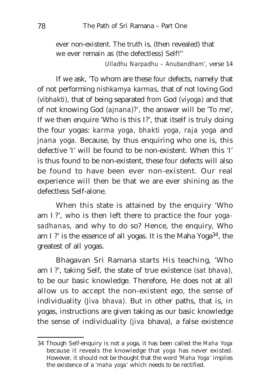ever non-existent. The truth is, (then revealed) that we ever remain as (the defectless) Self!" *Ulladhu Narpadhu – Anubandham',* verse 14

If we ask, 'To whom are these *four* defects, namely that of not performing *nishkamya karmas,* that of not loving God *(vibhakti),* that of being separated *from* God *(viyoga)* and that of not knowing God *(ajnana)?',* the answer will be 'To me', If we then enquire 'Who is this I?', that itself is truly doing the four yogas: *karma yoga, bhakti yoga, raja yoga* and *jnana yoga.* Because, by thus enquiring who one is, this defective 'I' will be found to be non-existent. When this 'I' is thus found to be non-existent, these *four* defects will also be found to have been ever non-existent. Our real experience will then be that we are ever shining as the defectless Self-alone.

When this state is attained by the enquiry 'Who am I?', who is then left there to practice the four *yogasadhanas,* and why to do so? Hence, the enquiry, Who am I?' is the essence of all yogas. It is the Maha Yoga<sup>34</sup>, the greatest of all yogas.

Bhagavan Sri Ramana starts His teaching, 'Who am I ?', taking Self, the state of true existence *(sat bhava),* to be our basic knowledge. Therefore, He does not at all allow us to accept the non-existent ego, the sense of individuality *(Jiva bhava).* But in other paths, that is, in yogas, instructions are given taking as our basic knowledge the sense of individuality *(jiva* bhava), a false existence

<sup>34</sup> Though Self-enquiry is not a yoga, it has been called the *Maha Yoga* because it reveals the knowledge that *yoga* has never existed. However, it should not be thought that the word '*Maha Yoga'* implies the existence of a *'maha yoga'* which needs to be rectified.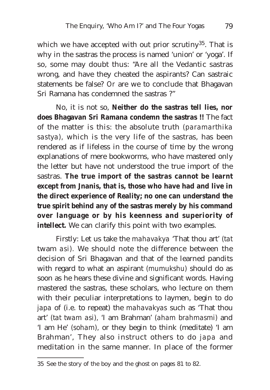which we have accepted with out prior scrutiny<sup>35</sup>. That is why in the sastras the process is named 'union' or 'yoga'. If so, some may doubt thus: "Are all the Vedantic sastras wrong, and have they cheated the aspirants? Can sastraic statements be false? *Or* are we to conclude that Bhagavan Sri Ramana has condemned the sastras ?"

No, it is not so, **Neither do the sastras tell lies, nor does Bhagavan Sri Ramana condemn the sastras !!** The fact of the matter is this: the absolute truth *(paramarthika sastya),* which is the very life of the sastras, has been rendered as if lifeless in the course of time by the wrong explanations of mere bookworms, who have mastered only the letter but have not understood the true import of the sastras. **The true import of the sastras cannot be learnt except from Jnanis, that is, those who have had and live in the direct experience of Reality; no one can understand the true spirit behind any of the sastras merely by his command over language or by his keenness and superiority of intellect.** We can clarify this point with two examples.

Firstly: Let us take the *mahavakya* 'That thou art' *(tat* twam *asi).* We should note the difference between the decision of Sri Bhagavan and that of the learned pandits with regard to what an aspirant *(mumukshu)* should do as soon as he hears these divine and significant words. Having mastered the sastras, these scholars, who lecture on them with their peculiar interpretations to laymen, begin to do *japa* of (i.e. to repeat) the *mahavakyas* such as 'That thou art' *(tat twam asi),* 'I am Brahman' *(aham brahmasmi)* and 'I am He' *(soham),* or they begin to think (meditate) 'I am Brahman', They also instruct others to do *japa* and meditation in the same manner. In place of the former

<sup>35</sup> See the story of the boy and the ghost on pages 81 to 82.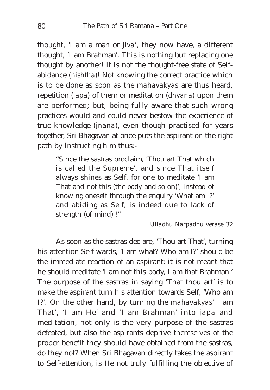thought, 'I am a man or *jiva',* they now have, a different thought, 'I am Brahman'. This is nothing but replacing one thought by another! It is not the thought-free state of Selfabidance *(nishtha)!* Not knowing the correct practice which is to be done as soon as the *mahavakyas* are thus heard, repetition *(japa)* of them or meditation *(dhyana)* upon them are performed; but, being fully aware that such wrong practices would and could never bestow the experience *of* true knowledge *(jnana),* even though practised for years together, Sri Bhagavan at once puts the aspirant on the right path by instructing him thus:-

"Since the sastras proclaim, 'Thou art That which is called the Supreme', and since That itself always shines as Self, for one to meditate 'I am That and not this (the *body* and so on)', instead of knowing oneself through the enquiry 'What am I?' and abiding as Self, is indeed due to lack of strength (of mind) !"

*Ulladhu Narpadhu verase* 32

As soon as the sastras declare, 'Thou art That', turning his attention Self wards, 'I am what? Who am I?' should be the immediate reaction of an aspirant; it is not meant that he should meditate 'I am not this body, I am that Brahman.' The purpose of the sastras in saying 'That thou art' is to make the aspirant turn his attention towards Self, 'Who am I?'. On the other hand, by turning the *mahavakyas'* I am That', 'I am He' and 'I am Brahman' into *japa* and meditation, not only is the very purpose of the sastras defeated, but also the aspirants deprive themselves of the proper benefit they should have obtained from the sastras, do they not? When Sri Bhagavan directly takes the aspirant to Self-attention, is He not truly fulfilling the objective of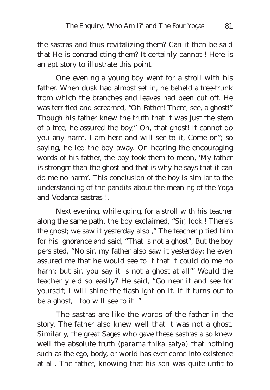the sastras and thus revitalizing them? Can it then be said that He is contradicting them? It certainly cannot ! Here is an apt story to illustrate this point.

One evening a young boy went for a stroll with his father. When dusk had almost set in, he beheld a tree-trunk from which the branches and leaves had been cut off. He was terrified and screamed, "Oh Father! There, see, a ghost!" Though his father knew the truth that it was just the stem of a tree, he assured the boy," Oh, that ghost! It cannot do you any harm. I am here and will see to it, Come on"; so saying, he led the boy away. On hearing the encouraging words of his father, the boy took them to mean, 'My father is stronger than the ghost and that is why he says that it can do me no harm'. This conclusion of the boy is similar to the understanding of the pandits about the meaning of the Yoga and Vedanta sastras !.

Next evening, while going, for a stroll with his teacher along the same path, the boy exclaimed, "Sir, look ! There's the ghost; we saw it yesterday also ," The teacher pitied him for his ignorance and said, "That is not a ghost", But the boy persisted, "No sir, my father also saw it yesterday; he even assured me that he would see to it that it could do me no harm; but sir, you say it is not a ghost at all'" Would the teacher yield so easily? He said, "Go near it and see for yourself; I will shine the flashlight on it. If it turns out to be a ghost, I too will see to it !"

The sastras are like the words of the father in the story. The father also knew well that it was not a ghost. Similarly, the great Sages who gave these sastras also knew well the absolute truth *(paramarthika satya)* that nothing such as the ego, body, or world has ever come into existence at all. The father, knowing that his son was quite unfit to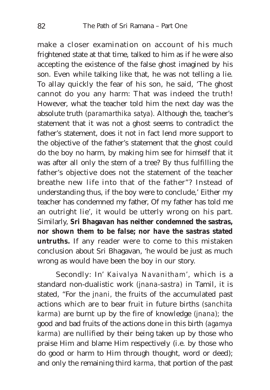make a closer examination on account of his much frightened state at that time, talked to him as if he were also accepting the existence of the false ghost imagined by his son. Even while talking like that, he was not telling a lie. To allay quickly the fear of his son, he said, 'The ghost cannot do you any harm: That was indeed the truth! However, what the teacher told him the next day was the absolute truth *(paramarthika satya).* Although the, teacher's statement that it was not a ghost seems to contradict the father's statement, does it not in fact lend more support to the objective of the father's statement that the ghost could do the boy no harm, by making him see for himself that it was after all only the stem of a tree? By thus fulfilling the father's objective does not the statement of the teacher breathe new life into that of the father"? Instead of understanding thus, if the boy were to conclude,' Either my teacher has condemned my father, Of my father has told me an outright lie', it would be utterly wrong on his part. Similarly, **Sri Bhagavan has neither condemned the sastras, nor shown them to be false; nor have the sastras stated untruths.** If any reader were to come to this mistaken conclusion about Sri Bhagavan, 'he would be just as much wrong as would have been the boy in our story.

Secondly: In' *Kaivalya Navanitham',* which is a standard non-dualistic work *(jnana-sastra)* in Tamil, it is stated, "For the *jnani,* the fruits of the accumulated past actions which are to bear fruit in future births *(sanchita karma)* are burnt up by the fire of knowledge *(jnana);* the good and bad fruits of the actions done in this birth *(agamya karma)* are nullified by their being taken up by those who praise Him and blame Him respectively (i.e. by those who do good or harm to Him through thought, word or deed); and only the remaining third *karma,* that portion of the past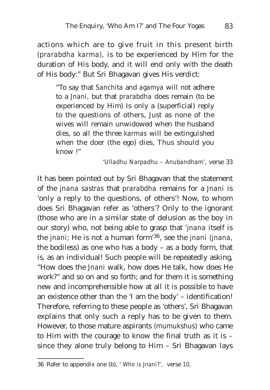actions which are to give fruit in this present birth *(prarabdha karma),* is to be experienced by Him for the duration of His body, and it will end only with the death of His body:" But Sri Bhagavan gives His verdict:

"To say that *Sanchita* and *agamya* will not adhere to a *Jnani,* but that *prarabdha* does remain (to be experienced by Him) Is only a (superficial) reply to the questions of others, Just as none of the wives will remain unwidowed when the husband dies, so all the three *karmas* will be extinguished when the doer (the ego) dies, Thus should you know !"

*'Ulladhu Narpadhu – Anubandham',* verse 33

It has been pointed out by Sri Bhagavan that the statement of the *jnana sastras* that *prarabdha* remains for a *Jnani* is 'only a reply to the questions, of others'! Now, to whom does Sri Bhagavan refer as 'others'? Only to the ignorant (those who are in a similar state of delusion as the boy in our story) who, not being able to grasp that *'jnana* itself is the *jnani;* He is not a human form'36, see the *jnani (jnana,* the bodiless) as one who has a body – as a body form, that is, as an individual! Such people will be repeatedly asking, "How does the *Jnani* walk, how does He talk, how does He work?" and so on and so forth; and for them it is something new and incomprehensible how at all it is possible to have an existence other than the 'I am the body' – identification! Therefore, referring to these people as 'others', Sri Bhagavan explains that only such a reply has to be given to them. However, to those mature aspirants *(mumukshus)* who came to Him with the courage to know the final truth as it is – since they alone truly belong to Him – Sri Bhagavan lays

<sup>36</sup> Rafer to appendix one (b), ' *Who is Jnani?',* verse *10,*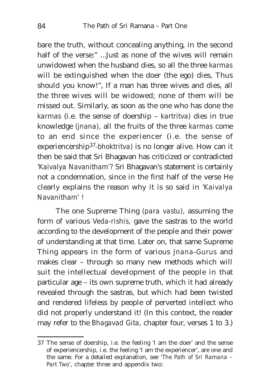bare the truth, without concealing anything, in the second half of the verse:" ...Just as none of the wives will remain unwidowed when the husband dies, so all the three *karmas* will be extinguished when the doer (the ego) dies, Thus should you know!", If a man has three wives and dies, all the three wives will be widowed; none of them will be missed out. Similarly, as soon as the one who has done the *karmas* (i.e. the sense of doership – *kartritva)* dies in true knowledge *(jnana),* all the fruits of the three *karmas* come to an end since the experiencer (i.e. the sense of experiencership37*-bhoktritva)* is no longer alive. How can it then be said that Sri Bhagavan has criticized or contradicted '*Kaivalya Navanitham'?* Sri Bhagavan's statement is certainly not a condemnation, since in the first half of the verse He clearly explains the reason why it is so said in '*Kaivalya Navanitham' !*

The one Supreme Thing *(para vastu),* assuming the form of various *Veda-rishis,* gave the sastras to the world according to the development of the people and their power of understanding at that time. Later on, that same Supreme Thing appears in the form of various *Jnana-Gurus* and makes clear – through so many new methods which will suit the intellectual development of the people in that particular age – its own supreme truth, which it had already revealed through the sastras, but which had been twisted and rendered lifeless by people of perverted intellect who did not properly understand it! (In this context, the reader may refer to the *Bhagavad Gita,* chapter four, verses 1 to 3.)

<sup>37</sup> The sense of doership, i.e. the feeling 'I am the doer' and the sense of experiencership, i.e. the feeling 'I am the experiencer', are one and the same. For a detailed explanation, see *'The Path of Sri Ramana – Part Two',* chapter three and appendix two: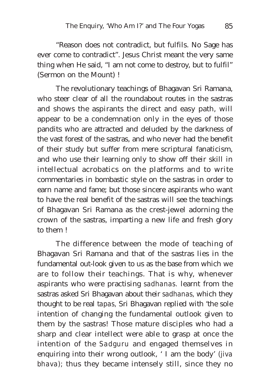"Reason does not contradict, but fulfils. No Sage has ever come to contradict". Jesus Christ meant the very same thing when He said, "I am not come to destroy, but to fulfil" (Sermon on the Mount) !

The revolutionary teachings of Bhagavan Sri Ramana, who steer clear of all the roundabout routes in the sastras and shows the aspirants the direct and easy path, will appear to be a condemnation only in the eyes of those pandits who are attracted and deluded by the darkness of the vast forest of the sastras, and who never had the benefit of their study but suffer from mere scriptural fanaticism, and who use their learning only to show off their skill in intellectual acrobatics on the platforms and to write commentaries in bombastic style on the sastras in order to earn name and fame; but those sincere aspirants who want to have the real benefit of the sastras will see the teachings of Bhagavan Sri Ramana as the crest-jewel adorning the crown of the sastras, imparting a new life and fresh glory to them !

The difference between the mode of teaching of Bhagavan Sri Ramana and that of the sastras lies in the fundamental out-look given to us as the base from which we are to follow their teachings. That is why, whenever aspirants who were practising *sadhanas.* learnt from the sastras asked Sri Bhagavan about their *sadhanas,* which they thought to be real *tapas,* Sri Bhagavan replied with 'the sole intention of changing the fundamental outlook given to them by the sastras! Those mature disciples who had a sharp and clear intellect were able to grasp at once the intention of the *Sadguru* and engaged themselves in enquiring into their wrong outlook, ' I am the body' *(jiva bhava);* thus they became intensely still, since they no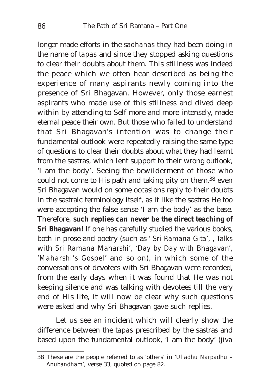longer made efforts in the *sadhanas* they had been doing in the name of *tapas* and since they stopped asking questions to clear their doubts about them. This stillness was indeed the peace which we often hear described as being the experience of many aspirants newly coming into the presence of Sri Bhagavan. However, only those earnest aspirants who made use of this stillness and dived deep within by attending to Self more and more intensely, made eternal peace their own. But those who failed to understand that Sri Bhagavan's intention was to change their fundamental outlook were repeatedly raising the same type of questions to clear their doubts about what they had learnt from the sastras, which lent support to their wrong outlook, 'I am the body'. Seeing the bewilderment of those who could not come to His path and taking pity on them,<sup>38</sup> even Sri Bhagavan would on some occasions reply to their doubts in the sastraic terminology itself, as if like the sastras He too were accepting the false sense 'I am the body' as the base. Therefore, **such replies can never be the direct teaching of Sri Bhagavan!** If one has carefully studied the various books, both in prose and poetry (such as ' *Sri Ramana Gita',* , *Talks* with *Sri Ramana Maharshi', 'Day by Day with Bhagavan', 'Maharshi's Gospel*' and so on), in which some of the conversations of devotees with Sri Bhagavan were recorded, from the early days when it was found that He was not keeping silence and was talking with devotees till the very end of His life, it will now be clear why such questions were asked and why Sri Bhagavan gave such replies.

Let us see an incident which will clearly show the difference between the *tapas* prescribed by the sastras and based upon the fundamental outlook, 'I am the body' *(jiva*

<sup>38</sup> These are the people referred to as 'others' in *'Ulladhu Narpadhu – Anubandham',* verse 33, quoted on page 82.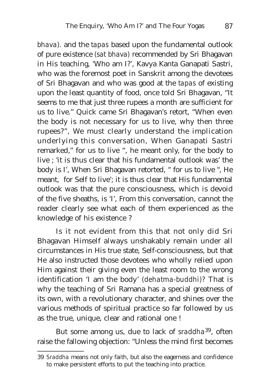*bhava).* and the *tapas* based upon the fundamental outlook of pure existence *(sat bhava)* recommended by Sri Bhagavan in His teaching, 'Who am I?', Kavya Kanta Ganapati Sastri, who was the foremost poet in Sanskrit among the devotees of Sri Bhagavan and who was good at the *tapas* of existing upon the least quantity of food, once told Sri Bhagavan, "It seems to me that just three rupees a month are sufficient for us to live." Quick came Sri Bhagavan's retort, "When even the body is not necessary for us to live, why then three rupees?", We must clearly understand the implication underlying this conversation, When Ganapati Sastri remarked," for us to live ", he meant only, for the body to live ; 'it is thus clear that his fundamental outlook was' the body is I', When Sri Bhagavan retorted, " for us to live ", He meant, for Self to live'; it is thus clear that His fundamental outlook was that the pure consciousness, which is devoid of the five sheaths, is 'I', From this conversation, cannot the reader clearly see what each of them experienced as the knowledge of his existence ?

Is it not evident from this that not only did Sri Bhagavan Himself always unshakably remain under all circumstances in His true state, Self-consciousness, but that He also instructed those devotees who wholly relied upon Him against their giving even the least room to the wrong identification 'I am the body' *(dehatma-buddhi)?* That is why the teaching of Sri Ramana has a special greatness of its own, with a revolutionary character, and shines over the various methods of spiritual practice so far followed by us as the true, unique, clear and rational one !

But some among us, due to lack of *sraddha*39, often raise the fallowing objection: "Unless the mind first becomes

<sup>39</sup> *Sraddha* means not only faith, but also the eagerness and confidence to make persistent efforts to put the teaching into practice.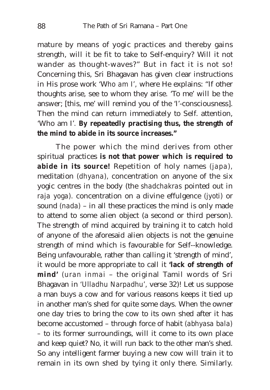mature by means of yogic practices and thereby gains strength, will it be fit to take to Self-enquiry? Will it not wander as thought-waves?" But in fact it is not so! Concerning this, Sri Bhagavan has given clear instructions in His prose work 'W*ho am I',* where He explains: "If other thoughts arise, see to whom they arise. 'To me' will be the answer; [this, me' will remind you of the 'I'-consciousness]. Then the mind can return immediately to Self. attention, 'Who am I'*.* **By repeatedly practising thus, the strength of the mind to abide in its source increases."**

The power which the mind derives from other spiritual practices **is not that power which is required to abide in its source!** Repetition of holy names *(japa),* meditation *(dhyana),* concentration on anyone of the six yogic centres in the body (the *shadchakras* pointed out in *raja yoga).* concentration on a divine effulgence *(jyoti)* or sound *(nada)* – in all these practices the mind is only made to attend to some alien object (a second or third person). The strength of mind acquired by training it to catch hold of anyone of the aforesaid alien objects is not the genuine strength of mind which is favourable for Self--knowledge. Being unfavourable, rather than calling it 'strength of mind', it would be more appropriate to call it **'lack of strength of mind'** *(uran inmai* – the original Tamil words of Sri Bhagavan in *'Ulladhu Narpadhu',* verse 32)! Let us suppose a man buys a cow and for various reasons keeps it tied up in another man's shed for quite some days. When the owner one day tries to bring the cow to its own shed after it has become accustomed – through force of habit *(abhyasa bala) –* to its former surroundings, will it come to its own place and keep quiet? No, it will run back to the other man's shed. So any intelligent farmer buying a new cow will train it to remain in its own shed by tying it only there. Similarly.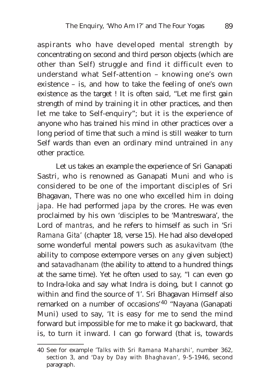aspirants who have developed mental strength by concentrating on second and third person objects (which are other than Self) struggle and find it difficult even to understand what Self-attention – knowing one's own existence – is, and how to take the feeling of one's own existence as the target ! It is often said, "Let me first gain strength of mind by training it in other practices, and then let me take to Self-enquiry"; but it is the experience of anyone who has trained his mind in other practices over a long period of time that such a mind is still weaker to turn Self wards than even an ordinary mind untrained in *any* other practice.

Let us takes an example the experience of Sri Ganapati Sastri, who is renowned as Ganapati Muni and who is considered to be one of the important disciples of Sri Bhagavan, There was no one who excelled him in doing *japa.* He had performed *japa* by the crores. He was even proclaimed by his own 'disciples to be 'Mantreswara', the Lord of *mantras,* and he refers to himself as such in '*Sri Ramana Gita'* (chapter 18, verse 15). He had also developed some wonderful mental powers such as *asukavitvam* (the ability to compose extempore verses on *any* given subject) and *satavadhanam* (the ability to attend to a hundred things at the same time). Yet he often used to *say,* "I can even go to Indra-loka and say what Indra is doing, but I cannot go within and find the source of 'I'. Sri Bhagavan Himself also remarked on a number of occasions'40 "Nayana (Ganapati Muni) used to say, 'It is easy for me to send the mind forward but impossible for me to make it go backward, that is, to turn it inward. I can go forward (that is, towards

<sup>40</sup> See for example *'Talks with Sri Ramana Maharshi',* number 362, section 3, and '*Day by Day with Bhaghavan', 9-*5-1946, second paragraph.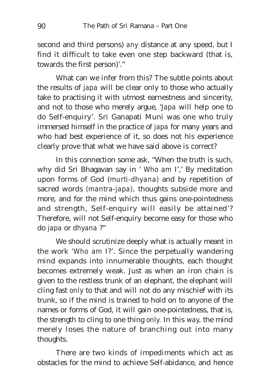second and third persons) *any* distance at any speed, but I find it difficult to take even one step backward (that is, towards the first person)'."

What can we infer from this? The subtle points about the results of *japa* will be clear only to those who actually take to practising it with utmost earnestness and sincerity, and not to those who merely argue, '*Japa* will help one to do Self-enquiry'. Sri Ganapati Muni was one who truly immersed himself in the practice of *japa* for many years and who had best experience of it, so does not his experience clearly prove that what we have said above is correct?

In this connection some ask, "When the truth is such, why did Sri Bhagavan say in ' *Who am* I',' By meditation upon forms of God (*murti-dhyana)* and by repetition of sacred words *(mantra-japa),* thoughts subside more and more, and for the mind which thus gains one-pointedness and strength, Self-enquiry will easily be attained'? Therefore, will not Self-enquiry become easy for those who do *japa* or *dhyana* ?"

We should scrutinize deeply what is actually meant in the work *'Who am I*?'. Since the perpetually wandering mind expands into innumerable thoughts, each thought becomes extremely weak. Just as when an iron chain is given to the restless trunk of an elephant, the elephant will cling fast *only* to that and will not do any mischief with its trunk, so if the mind is trained to hold on to anyone of the names or forms of God, it will gain one-pointedness, that is, the strength to cling to one thing *only.* In this *way,* the mind merely loses the nature of branching out into many thoughts.

There are two kinds of impediments which act as obstacles for the mind to achieve Self-abidance, and hence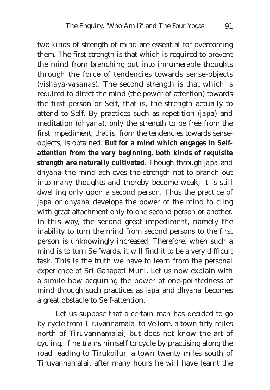two kinds of strength of mind are essential for overcoming them. The first strength is that which is required to prevent the mind from branching out into innumerable thoughts through the force of tendencies towards sense-objects *(vishaya-vasanas).* The second strength is that which is required to direct the mind (the power of attention) towards the first person or Self, that is, the strength actually to attend to Self. By practices such as repetition *(japa)* and meditation *(dhyana), only* the strength to be free from the first impediment, that is, from the tendencies towards senseobjects, is obtained. **But for a mind which engages in Selfattention from the very beginning, both kinds of requisite strength are naturally cultivated.** Though through *japa* and *dhyana* the mind achieves the strength not to branch out into *many* thoughts and thereby become weak, it is still dwelling only upon a second person. Thus the practice of *japa* or *dhyana* develops the power of the mind to cling with great attachment only to one second person or another. In this way, the second great impediment, namely the inability to turn the mind from second persons to the first person is unknowingly increased. Therefore, when such a mind is to turn Selfwards, it will find it to be a very difficult task. This is the truth we have to learn from the personal experience of Sri Ganapati Muni. Let us now explain with a simile how acquiring the power of one-pointedness of mind through such practices as *japa* and *dhyana* becomes a great obstacle to Self-attention.

Let us suppose that a certain man has decided to go by cycle from Tiruvannamalai to Vellore, a town fifty miles north of Tiruvannamalai, but does not know the art of cycling. If he trains himself to cycle by practising along the road leading to Tirukoilur, a town twenty miles south of Tiruvannamalai, after many hours he will have learnt the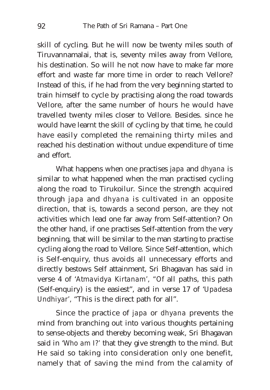skill of cycling. But he will now be twenty miles south of Tiruvannamalai, that is, seventy miles away from Vellore, his destination. So will he not now have to make far more effort and waste far more time in order to reach Vellore? Instead of this, if he had from the very beginning started to train himself to cycle by practising along the road towards Vellore, after the same number of hours he would have travelled twenty miles closer to Vellore. Besides. since he would have learnt the skill of cycling by that time, he could have easily completed the remaining thirty miles and reached his destination without undue expenditure of time and effort.

What happens when one practises *japa* and *dhyana* is similar to what happened when the man practised cycling along the road to Tirukoilur. Since the strength acquired through *japa* and *dhyana* is cultivated in an opposite direction, that is, towards a second person, are they not activities which lead one far away from Self-attention? On the other hand, if one practises Self-attention from the very beginning, that will be similar to the man starting to practise cycling along the road to Vellore. Since Self-attention, which is Self-enquiry, thus avoids all unnecessary efforts and directly bestows Self attainment, Sri Bhagavan has said in verse 4 of '*Atmavidya Kirtanam', "Of* all paths, this path (Self-enquiry) is the easiest", and in verse 17 of '*Upadesa Undhiyar',* "This is the direct path for all".

Since the practice of *japa* or *dhyana* prevents the mind from branching out into various thoughts pertaining to sense-objects and thereby becoming weak, Sri Bhagavan said in '*Who am I?'* that they give strength to the mind. But He said so taking into consideration only one benefit, namely that of saving the mind from the calamity of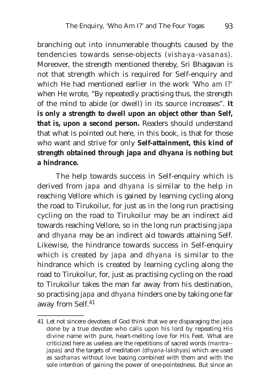branching out into innumerable thoughts caused by the tendencies towards sense-objects *(vishaya-vasanas).* Moreover, the strength mentioned thereby, Sri Bhagavan is not that strength which is required for Self-enquiry and which He had mentioned earlier in the work 'W*ho am I?'* when He wrote, "By repeatedly practising thus, the strength of the mind to abide (or dwell) in its source increases". **It is only a strength to dwell upon an object other than Self, that is, upon a second person.** Readers should understand that what is pointed out here, in this book, is that for those who want and strive for only **Self-attainment, this kind of strength obtained through japa and dhyana is nothing but a hindrance.**

The help towards success in Self-enquiry which is derived from *japa* and *dhyana* is similar to the help in reaching Vellore which is gained by learning cycling along the road to Tirukoilur, for just as in the long run practising cycling on the road to Tirukoilur may be an indirect aid towards reaching Vellore, so in the long run practising *japa* and *dhyana* may be an indirect aid towards attaining Self. Likewise, the hindrance towards success in Self-enquiry which is created by *japa* and *dhyana* is similar to the hindrance which is created by learning cycling along the road to Tirukoilur, for, just as practising cycling on the road to Tirukoilur takes the man far away from his destination, so practising *japa* and *dhyana* hinders one by taking one far away from Self.41

<sup>41</sup> Let not sincere devotees of God think that we are disparaging the *japa* done by a true devotee who calls upon his lord by repeating His divine name with pure, heart-melting love for His Feet. What are criticized here as useless are the repetitions of sacred words *(mantra- japas)* and the targets of meditation *(dhyana-lakshyas)* which are used as s*adhanas* without *love* basing combined with them and with the sole intention of gaining the power of one-pointedness. But since an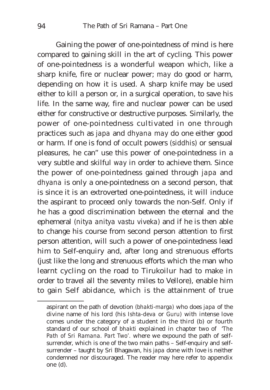Gaining the power of one-pointedness of mind is here compared to gaining skill in the art of cycling. This power of one-pointedness is a wonderful weapon which, like a sharp knife, fire or nuclear power; *may* do good or harm, depending on how it is used. A sharp knife may be used either to kill a person or, in a surgical operation, to save his life. In the same way, fire and nuclear power can be used either for constructive or destructive purposes. Similarly, the power of one-pointedness cultivated in one through practices such as *japa* and *dhyana may* do one either good or harm. If one is fond of occult powers *(siddhis)* or sensual pleasures, he can" use this power of one-pointedness in a very subtle and skilful *way* in order to achieve them. Since the power of one-pointedness gained through *japa* and *dhyana* is only a one-pointedness on a second person, that is since it is an extroverted one-pointedness, it will induce the aspirant to proceed only towards the non-Self. Only if he has a good discrimination between the eternal and the ephemeral *(nitya anitya vastu viveka)* and if he is then able to change his course from second person attention to first person attention, will such a power of one-pointedness lead him to Self-enquiry and, after long and strenuous efforts (just like the long and strenuous efforts which the man who learnt cycling on the road to Tirukoilur had to make in order to travel all the seventy miles to Vellore), enable him to gain Self abidance, which is the attainment of true

aspirant on the path of devotion *(bhakti-marga)* who does *japa* of the divine name of his lord (his *Ishta-deva* or *Guru)* with intense love comes under the category of a student in the third (b) or fourth standard of our school of *bhakti* explained in chapter two of '*The Path of Sri Ramana. Part Two'.* where we expound the path of selfsurrender, which is one of the two main paths – Self-enquiry and selfsurrender – taught by Sri Bhagavan, his *japa* done with love is neither condemned nor discouraged. The reader may here refer to appendix one (d).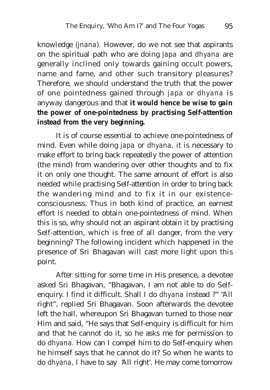knowledge *(jnana).* However, do we not see that aspirants on the spiritual path who are doing *japa* and *dhyana* are generally inclined only towards gaining occult powers, name and fame, and other such transitory pleasures? Therefore, we should understand the truth that the power of one pointedness gained through *japa* or *dhyana* is anyway dangerous and that **it would hence be wise to gain the power of one-pointedness by practising Self-attention instead from the very beginning.**

It is of course essential to achieve one-pointedness of mind. Even while doing *japa* or *dhyana,* it is necessary to make effort to bring back repeatedly the power of attention (the mind) from wandering over other thoughts and to fix it on only one thought. The same amount of effort is also needed while practising Self-attention in order to bring back the wandering mind and to fix it in our existenceconsciousness. Thus in both kind of practice, an earnest effort is needed to obtain one-pointedness of mind. When this is so, why should not an aspirant obtain it by practising Self-attention, which is free of all danger, from the very beginning? The following incident which happened in the presence of Sri Bhagavan will cast more light upon this point.

After sitting for some time in His presence, a devotee asked Sri Bhagavan, "Bhagavan, I am not able to do Selfenquiry. I find it difficult. Shall I do *dhyana* instead ?" "All right", replied Sri Bhagavan. Soon afterwards the devotee left the hall, whereupon Sri Bhagavan turned to those near Him and said, "He says that Self-enquiry is difficult for him and that he cannot do it, so he asks me for permission to do *dhyana.* How can I compel him to do Self-enquiry when he himself says that he cannot do it? So when he wants to do *dhyana,* I have to say 'All right'. He may come tomorrow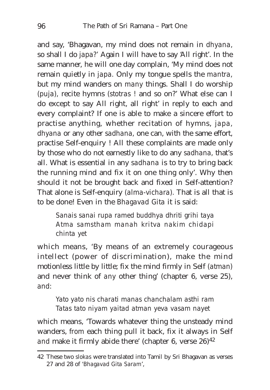and say, 'Bhagavan, my mind does not remain in *dhyana,* so shall I do *japa?'* Again I will have to say 'All right'. In the same manner, he will one day complain, 'My mind does not remain quietly in *japa.* Only my tongue spells the *mantra,* but my mind wanders on *many* things. Shall I do worship *(puja),* recite hymns *(stotras !* and so on?' What else can I do except to say All right, all right' in reply to each and every complaint? If one is able to make a sincere effort to practise anything, whether recitation of hymns, *japa, dhyana* or any other *sadhana,* one can, with the same effort, practise Self-enquiry ! All these complaints are made only by those who do not earnestly like to do any *sadhana,* that's all. What is essential in any *sadhana* is to try to bring back the running mind and fix it on one thing only'. Why then should it not be brought back and fixed in Self-attention? That alone is Self-enquiry *(alma-vichara).* That is all that is to be done! Even in the *Bhagavad Gita* it is said:

*Sanais sanai rupa ramed buddhya dhriti grihi taya Atma samstham manah kritva nakim chidapi chinta yet*

which means, 'By means of an extremely courageous intellect (power of discrimination), make the mind motionless little by little; fix the mind firmly in Self *(atman)* and never think of *any* other thing' (chapter 6, verse 25), *and:*

*Yato yato nis charati manas chanchalam asthi ram Tatas tato niyam yaitad atman yeva vasam nayet*

which means, 'Towards whatever thing the unsteady mind wanders, *from* each thing pull it back, fix it always in Self *and* make it firmly abide there' (chapter 6, verse  $26$ )<sup>42</sup>

<sup>42</sup> These two *slokas* were translated into Tamil by Sri Bhagavan as verses 27 and 28 of *'Bhagavad Gita Saram*',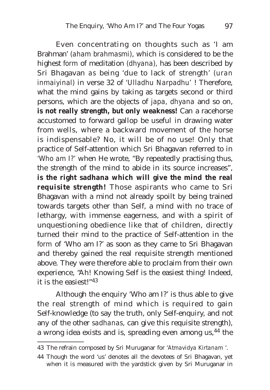Even concentrating on thoughts such as 'I am Brahman' *(aham brahmasmi)*, which is considered to be the highest *form* of meditation *(dhyana),* has been described by Sri Bhagavan *as* being 'due to lack of strength' *(uran inmaiyinal)* in verse 32 of *'Ulladhu Narpadhu'* ! Therefore, what the mind gains by taking as targets second or third persons, which are the objects of *japa, dhyana* and so on, **is not really strength, but only weakness!** Can a racehorse accustomed to forward gallop be useful in drawing water from wells, where a backward movement of the horse is indispensable? No, it will be of no use! Only that practice of Self-attention which Sri Bhagavan referred to in *'Who am I?'* when He wrote, "By repeatedly practising thus, the strength of the mind to abide in its source increases", **is the right sadhana which will give the mind the real requisite strength!** Those aspirants who came to Sri Bhagavan with a mind not already spoilt by being trained towards targets other than Self, a mind with no trace of lethargy, with immense eagerness, and with a spirit of unquestioning obedience like that of children, directly turned their mind to the practice of Self-attention in the *form* of 'Who am I?' as soon as they came to Sri Bhagavan and thereby gained the real requisite strength mentioned above. They were therefore able to proclaim from their own experience, "Ah! Knowing Self is the easiest thing! Indeed, it is the easiest!"43

Although the enquiry 'Who am I?' is thus able to give the real strength of mind which is required to gain Self-knowledge (to say the truth, only Self-enquiry, and not any of the other *sadhanas,* can give this requisite strength), a wrong idea exists and is, spreading even among us,<sup>44</sup> the

<sup>43</sup> The refrain composed by Sri Muruganar for '*Atmavidya Kirtanam* '.

<sup>44</sup> Though the word 'us' denotes all the devotees of Sri Bhagavan, yet when it is measured with the yardstick given by Sri Muruganar in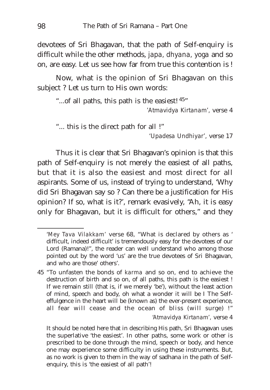devotees of Sri Bhagavan, that the path of Self-enquiry is difficult while the other methods, *japa, dhyana, yoga* and so on, are easy. Let us see how far from true this contention is !

Now, what is the opinion of Sri Bhagavan on this subject ? Let us turn to His own words:

"...of all paths, this path is the easiest!  $45"$ 

*'Atmavidya Kirtanam',* verse 4

"... this is the direct path for all !"

*'Upadesa Undhiyar',* verse 17

Thus it is clear that Sri Bhagavan's opinion is that this path of Self-enquiry is not merely the easiest of all paths, but that it is also the easiest and most direct for all aspirants. Some of us, instead of trying to understand, 'Why did Sri Bhagavan say so ? Can there be a justification for His opinion? If so, what is it?', remark evasively, "Ah, it is easy only for Bhagavan, but it is difficult for others," and they

*'Atmavidya Kirtanam',* verse 4

<sup>&#</sup>x27;*Mey Tava Vilakkam'* verse 68, "What is declared by others as ' difficult, indeed difficult' is tremendously easy for the devotees of our Lord (Ramana)!", the reader can well understand who among those pointed out by the word 'us' are the true devotees of Sri Bhagavan, and who are those' others'.

<sup>45 &</sup>quot;To unfasten the bonds of *karma* and so on, end to achieve the destruction of birth and so on, of all paths, this path is the easiest ! If we remain still (that is, if we merely 'be'), without the least action of mind, speech and body, oh what a wonder it will be I The Selfeffulgence in the heart will be (known as) the ever-present experience, all fear will cease and the ocean of bliss (will surge) !"

It should be noted here that in describing His path, Sri Bhagavan uses the superlative 'the easiest'. In other paths, some work or other is prescribed to be done through the mind, speech or body, and hence one may experience some difficulty in using these instruments. But, as no work is given to them in the way of sadhana in the path of Selfenquiry, this is 'the easiest of all path'!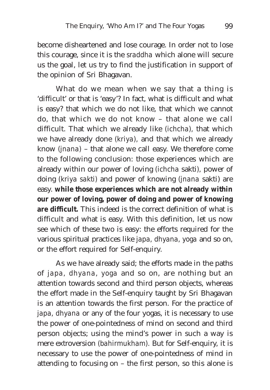become disheartened and lose courage. In order not to lose this courage, since it is the *sraddha* which alone will secure us the goal, let us try to find the justification in support of the opinion of Sri Bhagavan.

What do we mean when we say that a thing is 'difficult' or that is 'easy'? In fact, what is difficult and what is easy? that which we do not like, that which we cannot do, that which we do not know – that alone we call difficult. That which we already like *(ichcha),* that which we have already done *(kriya),* and that which we already know *(jnana)* – that alone we call easy. We therefore come to the following conclusion: those experiences which are already within our power of loving *(ichcha* sakti*),* power of doing *(kriya sakti)* and power of knowing *(jnana* sakti) are easy. **while those experiences which are not already within our power of loving, power of doing and power of knowing are difficult.** This indeed is the correct definition of what is difficult and what is easy. With this definition, let us now see which of these two is easy: the efforts required for the various spiritual practices like *japa, dhyana, yoga* and so on, or the effort required for Self-enquiry.

As we have already said; the efforts made in the paths of *japa, dhyana, yoga* and so on, are nothing but an attention towards second and third person objects, whereas the effort made in the Self-enquiry taught by Sri Bhagavan is an attention towards the first person. For the practice of *japa, dhyana* or any of the four yogas, it is necessary to use the power of one-pointedness of mind on second and third person objects; using the mind's power in such a way is mere extroversion *(bahirmukham).* But for Self-enquiry, it is necessary to use the power of one-pointedness of mind in attending to focusing on – the first person, so this alone is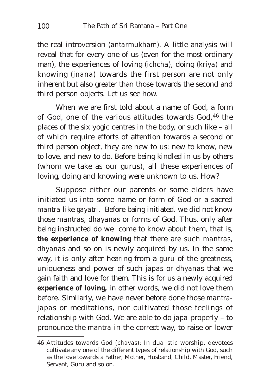the real introversion *(antarmukham).* A little analysis will reveal that for every one of us (even for the most ordinary man), the experiences of loving *(ichcha),* doing *(kriya)* and knowing *(jnana)* towards the first person are not only inherent but also greater than those towards the second and third person objects. Let us see how.

When we are first told about a name of God, a form of God, one of the various attitudes towards God,46 the places of the six yogic centres in the body, or such like – all of which require efforts of attention towards a second or third person object, they are new to us: new to know, new to love, and new to do. Before being kindled in us by others (whom we take as our gurus), all these experiences of loving, doing and knowing were unknown to us. How?

Suppose either our parents or some elders have initiated us into some name or form of God or a sacred *mantra* like *gayatri.* Before baing initiated. we did not know those *mantras, dhayanas* or forms of God. Thus, only after being instructed do we come to know about them, that is, **the experience of knowing** that there are such *mantras, dhyanas* and so on is newly acquired by us. In the same way, it is only after hearing from a guru of the greatness, uniqueness and power of such *japas* or *dhyanas* that we gain faith and love for them. This is for us a newly acquired **experience of loving,** in other words, we did not love them before. Similarly, we have never before done those *mantrajapas* or meditations, nor cultivated those feelings of relationship with God. We are able to do *japa* properly – to pronounce the *mantra* in the correct way, to raise or lower

<sup>46</sup> Attitudes towards God *(bhavas):* In dualistic worship, devotees cultivate any one of the different types of relationship with God, such as the love towards a Father, Mother, Husband, Child, Master, Friend, Servant, Guru and so on.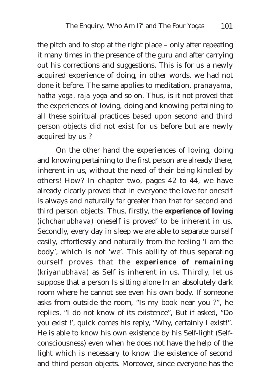the pitch and to stop at the right place – only after repeating it many times in the presence of the guru and after carrying out his corrections and suggestions. This is for us a newly acquired experience of doing, in other words, we had not done it before. The same applies to meditation, *pranayama, hatha yoga, raja yoga* and so on. Thus, is it not proved that the experiences of loving, doing and knowing pertaining to all these spiritual practices based upon second and third person objects did not exist for us before but are newly acquired by us ?

On the other hand the experiences of loving, doing and knowing pertaining to the first person are already there, inherent in us, without the need of their being kindled by others! How? In chapter two, pages 42 to 44, we have already clearly proved that in everyone the love for oneself is always and naturally far greater than that for second and third person objects. Thus, firstly, the **experience of loving** *(ichchanubhava)* oneself is proved' to be inherent in us. Secondly, every day in sleep we are able to separate ourself easily, effortlessly and naturally from the feeling 'I am the body', which is not 'we'. This ability of thus separating ourself proves that the **experience of remaining** *(kriyanubhava)* as Self is inherent in us. Thirdly, let us suppose that a person Is sitting alone In an absolutely dark room where he cannot see even his own body. If someone asks from outside the room, "Is my book near you ?", he replies, "I do not know of its existence", But if asked, "Do you exist !', quick comes his reply, "Why, certainly I exist!". He is able to know his own existence by his Self-light (Selfconsciousness) even when he does not have the help of the light which is necessary to know the existence of second and third person objects. Moreover, since everyone has the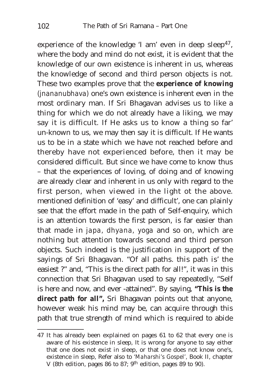experience of the knowledge 'I am' even in deep sleep $47$ , where the body and mind do not exist, it is evident that the knowledge of our own existence is inherent in us, whereas the knowledge of second and third person objects is not. These two examples prove that the **experience of knowing** *(jnananubhava)* one's own existence is inherent even in the most ordinary man. If Sri Bhagavan advises us to like a thing for which we do not already have a liking, we may say it is difficult. If He asks us to know a thing so far' un-known to us, we may then say it is difficult. If He wants us to be in a state which we have not reached before and thereby have not experienced before, then it may be considered difficult. But since we have come to know thus – that the experiences of loving, of doing and of knowing are already clear and inherent in us only with regard to the first person, when viewed in the light ot the above. mentioned definition of 'easy' and difficult', one can plainly see that the effort made in the path of Self-enquiry, which is an attention towards the first person, is far easier than that made in *japa, dhyana, yoga* and so on, which are nothing but attention towards second and third person objects. Such indeed is the justification in support of the sayings of Sri Bhagavan. "Of all paths. this path is' the easiest ?" and, "This is the direct path for all!", it was in this connection that Sri Bhagavan used to say repeatedly, "Self is here and now, and ever -attained". By saying, **"This is the direct path for all",** Sri Bhagavan points out that anyone, however weak his mind may be, can acquire through this path that true strength of mind which is required to abide

<sup>47</sup> It has already been explained on pages 61 to 62 that every one is aware of his existence in sleep, It is wrong for anyone to say either that one does not exist in sleep, or that one does not know one's, existence in sleep, Refer also to *'Maharshi's Gospel',* Book II, chapter V (8th edition, pages 86 to 87; 9th edition, pages 89 to 90).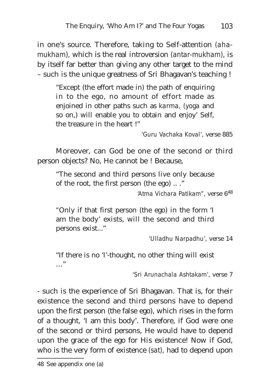in one's source. Therefore, taking to Self-attention *(ahamukham),* which is the real introversion *(antar-mukham),* is by itself far better than giving any other target to the mind – such is the unique greatness of Sri Bhagavan's teaching !

"Except (the effort made in) the path of enquiring in to the ego, no amount of effort made as enjoined in other paths such as *karma, (yoga* and so on,) will enable you to obtain and enjoy' Self, the treasure in the heart !"

*'Guru Vachaka Koval',* verse 885

Moreover, can God be one of the second or third person objects? No, He cannot be ! Because,

"The second and third persons live only because of the root, the first person (the ego)  $\ldots$ "

*'Atma Vichara Patikam",* verse 648

*"*Only if that first person (the ego) in the form 'I am the body' exists, will the second and third persons exist..."

*'Ulladhu Narpadhu',* verse 14

"If there is no 'I'-thought, no other thing will exist …"

*'Sri Arunachala Ashtakam',* verse 7

- such is the experience of Sri Bhagavan. That is, for their existence the second and third persons have to depend upon the first person (the false ego), which rises in the form of a thought, 'I am this body'. Therefore, if God were one of the second or third persons, He would have to depend upon the grace of the ego for His existence! Now if God, who is the very form of existence *(sat),* had to depend upon

48 See appendix one (a)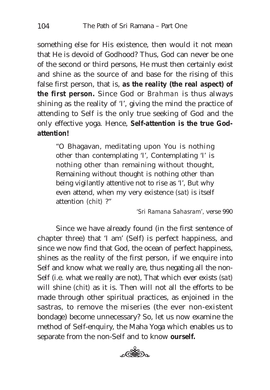something else for His existence, then would it not mean that He is devoid of Godhood? Thus, God can never be one of the second or third persons, He must then certainly exist and shine as the source of and base for the rising of this false first person, that is, **as the reality (the real aspect) of the first person.** Since God or *Brahman* is thus always shining as the reality of 'I', giving the mind the practice of attending to Self is the only true seeking of God and the only effective yoga. Hence, **Self-attention is the true Godattention!**

"O Bhagavan, meditating upon You is nothing other than contemplating 'I', Contemplating 'I' is nothing other than remaining without thought, Remaining without thought is nothing other than being vigilantly attentive not to rise as 'I', But why even attend, when my very existence *(sat)* is itself attention *(chit)* ?"

*'Sri Ramana Sahasram',* verse 990

Since we have already found (in the first sentence of chapter three) that 'I am' (Self) is perfect happiness, and since we now find that God, the ocean of perfect happiness, shines as the reality of the first person, if we enquire into Self and know what we really are, thus negating all the non-Self (i.e. what we really are not), That which ever exists *(sat)* will shine *(chit)* as it is. Then will not all the efforts to be made through other spiritual practices, as enjoined in the sastras, to remove the miseries (the ever non-existent bondage) become unnecessary? So, let us now examine the method of Self-enquiry, the Maha Yoga which enables us to separate from the non-Self and to know **ourself.**

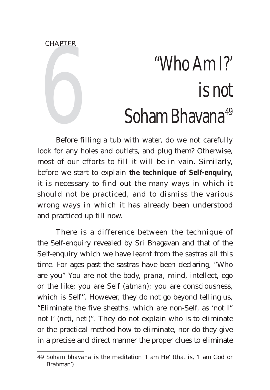**CHAPTER** 



# "Who Am I?' is not Soham Bhavana $49$

Before filling a tub with water, do we not carefully look for any holes and outlets, and plug them? Otherwise, most of our efforts to fill it will be in vain. Similarly, before we start to explain **the technique of Self-enquiry,** it is necessary to find out the many ways in which it should not be practiced, and to dismiss the various wrong ways in which it has already been understood and practiced up till now.

There is a difference between the technique of the Self-enquiry revealed by Sri Bhagavan and that of the Self-enquiry which we have learnt from the sastras all this time. For ages past the sastras have been declaring, ''Who are you" You are not the body, *prana,* mind, intellect, ego or the like; you are Self *(atman);* you are consciousness, which is Self". However, they do not go beyond telling us, "Eliminate the five sheaths, which are non-Self, as 'not I" not I' *(neti, neti)".* They do not explain who is to eliminate or the practical method how to eliminate, nor do they give in a precise and direct manner the proper clues to eliminate

<sup>49</sup> *Soham bhavana* is the meditation 'I am He' (that is, 'I am God or Brahman')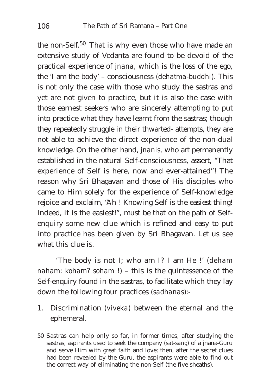the non-Self.<sup>50</sup> That is why even those who have made an extensive study of Vedanta are found to be devoid of the practical experience of *jnana,* which is the loss of the ego, the 'I am the body' – consciousness *(dehatma-buddhi).* This is not only the case with those who study the sastras and yet are not given to practice, but it is also the case with those earnest seekers who are sincerely attempting to put into practice what they have learnt from the sastras; though they repeatedly struggle in their thwarted- attempts, they are not able to achieve the direct experience of the non-dual knowledge. On the other hand, *jnanis,* who art permanently established in the natural Self-consciousness, assert, "That experience of Self is here, now and ever-attained"! The reason why Sri Bhagavan and those of His disciples who came to Him solely for the experience of Self-knowledge rejoice and exclaim, "Ah ! Knowing Self is the easiest thing! Indeed, it is the easiest!", must be that on the path of Selfenquiry some new clue which is refined and easy to put into practice has been given by Sri Bhagavan. Let us see what this clue is.

'The body is not I; who am I? I am He !' *(deham naham: koham? soham !*) – this is the quintessence of the Self-enquiry found in the sastras, to facilitate which they lay down the following four practices *(sadhanas):-*

1. Discrimination *(viveka)* between the eternal and the ephemeral.

<sup>50</sup> Sastras can help only so far, in former times, after studying the sastras, aspirants used to seek the company *(sat-sang)* of a jnana-Guru and serve Him with great faith and love; then, after the secret clues had been revealed by the Guru, the aspirants were able to find out the correct way of eliminating the non-Self (the five sheaths).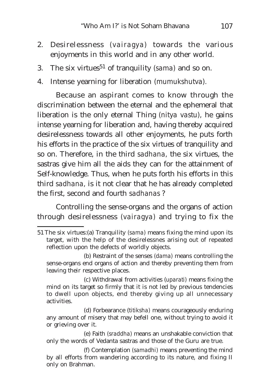- 2. Desirelessness *(vairagya)* towards the various enjoyments in this world and in any other world.
- 3. The six virtues51 of tranquility *(sama)* and so on.
- 4. Intense yearning for liberation *(mumukshutva).*

Because an aspirant comes to know through the discrimination between the eternal and the ephemeral that liberation is the only eternal Thing *(nitya vastu),* he gains intense yearning for liberation and, having thereby acquired desirelessness towards all other enjoyments, he puts forth his efforts in the practice of the six virtues of tranquility and so on. Therefore, in the third *sadhana,* the six virtues, the sastras give him all the aids they can for the attainment of Self-knowledge. Thus, when he puts forth his efforts in this third *sadhana,* is it not clear that he has already completed the first, second and fourth *sadhanas* ?

Controlling the sense-organs and the organs of action through desirelessness *(vairagya)* and trying to fix the

(c) Withdrawal from activities (*uparati)* means fixing the mind on its target so firmly that it is not led by previous tendencies to dwell upon objects, end thereby giving up all unnecessary activities.

(d) Forbearance (*titiksha)* means courageously enduring any amount of misery that may befell one, without trying to avoid it or grieving over it.

<sup>51</sup> The six virtues:(a) Tranquility *(sama)* means fixing the mind upon its target, with the help of the desirelessnes arising out of repeated reflection upon the defects of worldly objects.

<sup>(</sup>b) Restraint of the senses *(dama)* means controlling the sense-organs end organs of action and thereby preventing them from leaving their respective places.

<sup>(</sup>e) Faith *(sraddha)* means an unshakable conviction that only the words of Vedanta sastras and those of the Guru are true.

<sup>(</sup>f) Contemplation *(samadhi)* means preventing the mind by all efforts from wandering according to its nature, and fixing II only on Brahman.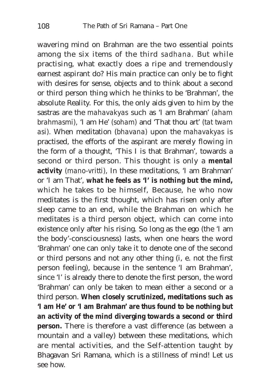wavering mind on Brahman are the two essential points among the six items of the third *sadhana.* But while practising, what exactly does a ripe and tremendously earnest aspirant do? His main practice can only be to fight with desires for sense, objects and to think about a second or third person thing which he thinks to be 'Brahman', the absolute Reality. For this, the only aids given to him by the sastras are the *mahavakyas* such as 'I am Brahman' *(aham brahmasmi),* 'I am He' *(soham)* and 'That thou art' *(tat twam asi).* When meditation (*bhavana)* upon the *mahavakyas* is practised, the efforts of the aspirant are merely flowing in the form of a thought, 'This I is that Brahman', towards a second or third person. This thought is only a **mental activity** *(mano-vritti),* In these meditations, 'I am Brahman' or 'I am That', **what he feels as 'I' is nothing but the mind,** which he takes to be himself, Because, he who now meditates is the first thought, which has risen only after sleep came to an end, while the Brahman on which he meditates is a third person object, which can come into existence only after his rising. So long as the ego (the 'I am the body'-consciousness) lasts, when one hears the word 'Brahman' one can only take it to denote one of the second or third persons and not any other thing (i, e. not the first person feeling), because in the sentence 'I am Brahman', since 'I' is already there to denote the first person, the word 'Brahman' can only be taken to mean either a second or a third person. **When closely scrutinized, meditations such as 'I am He' or 'I am Brahman' are thus found to be nothing but an activity of the mind diverging towards a second or third person.** There is therefore a vast difference (as between a mountain and a valley) between these meditations, which are mental activities, and the Self-attention taught by Bhagavan Sri Ramana, which is a stillness of mind! Let us see how.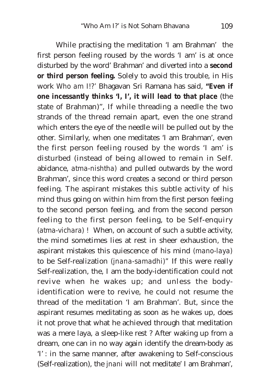While practising the meditation 'I am Brahman' the first person feeling roused by the words 'I am' is at once disturbed by the word' Brahman' and diverted into a **second or third person feeling.** Solely to avoid this trouble, in His work *Who am I!?'* Bhagavan Sri Ramana has said, **"Even if one incessantly thinks 'I, I', it will lead to that place** (the state of Brahman)", If while threading a needle the two strands of the thread remain apart, even the one strand which enters the eye of the needle will be pulled out by the other. Similarly, when one meditates 'I am Brahman', even the first person feeling roused by the words 'I am' is disturbed (instead of being allowed to remain in Self. abidance, *atma-nishtha)* and pulled outwards by the word Brahman', since this word creates a second or third person feeling. The aspirant mistakes this subtle activity of his mind thus going on within him from the first person feeling to the second person feeling, and from the second person feeling to the first person feeling, to be Self-enquiry *(atma-vichara) !* When, on account of such a subtle activity, the mind sometimes lies at rest in sheer exhaustion, the aspirant mistakes this quiescence of his mind *(mano-laya)* to be Self-realization *(jnana-samadhi)"* If this were really Self-realization, the, I am the body-identification could not revive when he wakes up; and unless the bodyidentification were to revive, he could not resume the thread of the meditation 'I am Brahman'. But, since the aspirant resumes meditating as soon as he wakes up, does it not prove that what he achieved through that meditation was a mere laya, a sleep-like rest ? After waking up from a dream, one can in no way again identify the dream-body as 'I' : in the same manner, after awakening to Self-conscious (Self-realization), the *jnani* will not meditate' I am Brahman',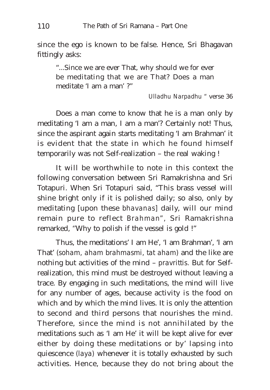since the ego is known to be false. Hence, Sri Bhagavan fittingly asks:

"...Since we are ever That, why should we for ever be meditating that we are That? Does a man meditate 'I am a man' ?"

*Ulladhu Narpadhu "* verse 36

Does a man come to know that he is a man only by meditating 'I am a man, I am a man'? Certainly not! Thus, since the aspirant again starts meditating 'I am Brahman' it is evident that the state in which he found himself temporarily was not Self-realization – the real waking !

It will be worthwhile to note in this context the following conversation between Sri Ramakrishna and Sri Totapuri. When Sri Totapuri said, "This brass vessel will shine bright only if it is polished daily; so also, only by meditating [upon these *bhavanas]* daily, will our mind remain pure to reflect *Brahman",* Sri Ramakrishna remarked, ''Why to polish if the vessel is gold !"

Thus, the meditations' I am He', 'I am Brahman', 'I am That' *(soham, aham brahmasmi, tat aham)* and the like are nothing but activities of the mind – *pravrittis.* But for Selfrealization, this mind must be destroyed without leaving a trace. By engaging in such meditations, the mind will live for any number of ages, because activity is the food on which and by which the mind lives. It is only the attention to second and third persons that nourishes the mind. Therefore, since the mind is not annihilated by the meditations such as 'I am He' it will be kept alive for ever either by doing these meditations or by' lapsing into quiescence *(laya)* whenever it is totally exhausted by such activities. Hence, because they do not bring about the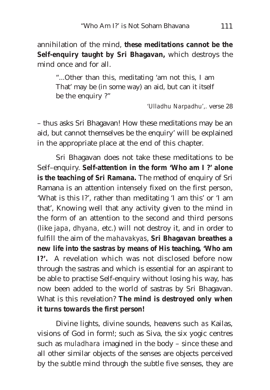annihilation of the mind, **these meditations cannot be the Self-enquiry taught by Sri Bhagavan,** which destroys the mind once and for all.

"...Other than this, meditating 'am not this, I am That' may be (in some way) an aid, but can it itself be the enquiry ?"

*'Ulladhu Narpadhu',.* verse 28

– thus asks Sri Bhagavan! How these meditations may be an aid, but cannot themselves be the enquiry' will be explained in the appropriate place at the end of this chapter.

Sri Bhagavan does not take these meditations to be Self–enquiry. **Self-attention in the form 'Who am I ?' alone is the teaching of Sri Ramana.** The method of enquiry of Sri Ramana is an attention intensely fixed on the first person, 'What is this I?', rather than meditating 'I am this' or 'I am that', Knowing well that any activity given to the mind in the form of an attention to the second and third persons (like *japa*, *dhyana,* etc.) will not destroy it, and in order to fulfill the aim of the *mahavakyas*, **Sri Bhagavan breathes a new life into the sastras by means of His teaching, 'Who am I?'.** A revelation which was not disclosed before now through the sastras and which is essential for an aspirant to be able to practise Self-enquiry without losing his way, has now been added to the world of sastras by Sri Bhagavan. What is this revelation? **The mind is destroyed only when it turns towards the first person!**

Divine lights, divine sounds, heavens such *as* Kailas, visions of God in form!; such as Siva, the six yogic centres such as *muladhara* imagined in the body – since these and all other similar objects of the senses are objects perceived by the subtle mind through the subtle five senses, they are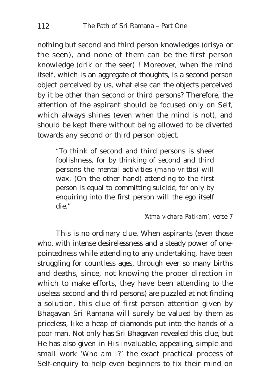nothing but second and third person knowledges *(drisya* or the seen), and none of them can be the first person knowledge *(drik* or the seer) ! Moreover, when the mind itself, which is an aggregate of thoughts, is a second person object perceived by us, what else can the objects perceived by it be other than second or third persons? Therefore, the attention of the aspirant should be focused only on Self, which always shines (even when the mind is not), and should be kept there without being allowed to be diverted towards any second or third person object.

*"*To think of second and third persons is sheer foolishness, for by thinking of second and third persons the mental activities *(mano-vrittis)* will wax. (On the other hand) attending to the first person is equal to committing suicide, for only by enquiring into the first person will the ego itself die."

### *'Atma vichara Patikam',* verse 7

This is no ordinary clue. When aspirants (even those who, with intense desirelessness and a steady power of onepointedness while attending to any undertaking, have been struggling for countless ages, through ever so many births and deaths, since, not knowing the proper direction in which to make efforts, they have been attending to the useless second and third persons) are puzzled at not finding a solution, this clue of first person attention given by Bhagavan Sri Ramana will surely be valued by them as priceless, like a heap of diamonds put into the hands of a poor man. Not only has Sri Bhagavan revealed this clue, but He has also given in His invaluable, appealing, simple and small work *'Who am I?'* the exact practical process of Self-enquiry to help even beginners to fix their mind on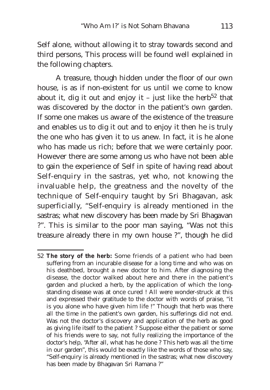Self alone, without allowing it to stray towards second and third persons, This process will be found well explained in the following chapters.

A treasure, though hidden under the floor of our own house, is as if non-existent for us until we come to know about it, dig it out and enjoy it – just like the herb<sup>52</sup> that was discovered by the doctor in the patient's own garden. If some one makes us aware of the existence of the treasure and enables us to dig it out and to enjoy it then he is truly the one who has given it to us anew. In fact, it is he alone who has made us rich; before that we were certainly poor. However there are some among us who have not been able to gain the experience of Self in spite of having read about Self-enquiry in the sastras, yet who, not knowing the invaluable help, the greatness and the novelty of the technique of Self-enquiry taught by Sri Bhagavan, ask superficially, "Self-enquiry is already mentioned in the sastras; what new discovery has been made by Sri Bhagavan ?". This is similar to the poor man saying, "Was not this treasure already there in my own house ?", though he did

<sup>52</sup> **The story of the herb:** Some friends of a patient who had been suffering from an incurable disease for a long time and who was on his deathbed, brought a new doctor to him. After diagnosing the disease, the doctor walked about here and there in the patient's garden and plucked a herb, by the application of which the longstanding disease was at once cured ! All were wonder-struck at this and expressed their gratitude to the doctor with words of praise, "it is you alone who have given him life !" Though that herb was there all the time in the patient's own garden, his sufferings did not end. Was not the doctor's discovery and application of the herb as good as giving life itself to the patient ? Suppose either the patient or some of his friends were to say, not fully realizing the importance of the doctor's help, "After all, what has he done ? This herb was all the time in our garden", this would be exactly like the words of those who say, "Self-enquiry is already mentioned in the sastras; what new discovery has been made by Bhagavan Sri Ramana ?"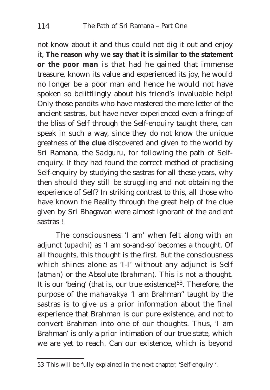not know about it and thus could not dig it out and enjoy it, **The reason why we say that it is similar to the statement or the poor man** is that had he gained that immense treasure, known its value and experienced its joy, he would no longer be a poor man and hence he would not have spoken so belittlingly about his friend's invaluable help! Only those pandits who have mastered the mere letter of the ancient sastras, but have never experienced even a fringe of the bliss of Self through the Self-enquiry taught there, can speak in such a way, since they do not know the unique greatness of **the clue** discovered and given to the world by Sri Ramana, the *Sadguru,* for following the path of Selfenquiry. If they had found the correct method of practising Self-enquiry by studying the sastras for all these years, why then should they still be struggling and not obtaining the experience of Self? In striking contrast to this, all those who have known the Reality through the great help of the clue given by Sri Bhagavan were almost ignorant of the ancient sastras !

The consciousness 'I am' when felt along with an adjunct *(upadhi)* as 'I am so-and-so' becomes a thought. Of all thoughts, this thought is the first. But the consciousness which shines alone as 'I-I' without any adjunct is Self *(atman)* or the Absolute *(brahman).* This is not a thought. It is our 'being' (that is, our true existence)<sup>53</sup>. Therefore, the purpose of the *mahavakya* 'I am Brahman" taught by the sastras is to give us a prior information about the final experience that Brahman is our pure existence, and not to convert Brahman into one of our thoughts. Thus, 'I am Brahman' is only a prior intimation of our true state, which we are yet to reach. Can our existence, which is beyond

<sup>53</sup> This will be fully explained in the next chapter, 'Self-enquiry '.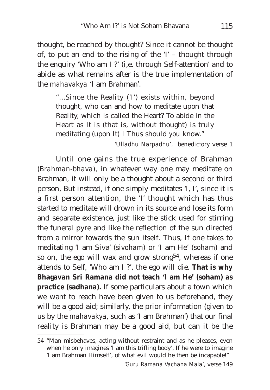thought, be reached by thought? Since it cannot be thought of, to put an end to the rising of the 'I' – thought through the enquiry 'Who am I ?' (i,e. through Self-attention' and to abide as what remains after is the true implementation of the *mahavakya* 'I am Brahman'.

"...Since the Reality ('I') exists within, beyond thought, who can and how to meditate upon that Reality, which is called the Heart? To abide in the Heart as It is (that is, without thought) is truly meditating (upon It) I Thus should *you* know."

*'Ulladhu Narpadhu', benedictory* verse 1

Until one gains the true experience of Brahman (*Brahman-bhava),* in whatever way one may meditate on Brahman, it will only be a thought about a second or third person, But instead, if one simply meditates 'I, I', since it is a first person attention, the 'I' thought which has thus started to meditate will drown in its source and lose its form and separate existence, just like the stick used for stirring the funeral pyre and like the reflection of the sun directed from a mirror towards the sun itself. Thus, If one takes to meditating 'I am Siva' *(sivoham)* or 'I am He' *(soham)* and so on, the ego will wax and grow strong<sup>54</sup>, whereas if one attends to Self, 'Who am I ?', the ego will die. **That is why Bhagavan Sri Ramana did not teach 'I am He' (soham) as practice (sadhana).** If some particulars about a town which we want to reach have been given to us beforehand, they will be a good aid; similarly, the prior information (given to us by the *mahavakya,* such as 'I am Brahman') that our final reality is Brahman may be a good aid, but can it be the

<sup>54 &</sup>quot;Man misbehaves, acting without restraint and as he pleases, even when he only imagines 'I am this trifling body', If he were to imagine 'I am Brahman Himself', of what evil would he then be incapable!"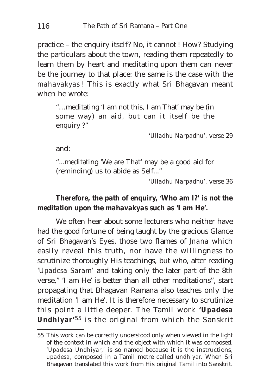practice – the enquiry itself? No, it cannot ! How? Studying the particulars about the town, reading them repeatedly to learn them by heart and meditating upon them can never be the journey to that place: the same is the case with the *mahavakyas !* This is exactly what Sri Bhagavan meant when he wrote:

"…meditating 'I am not this, I am That' may be (in some way) an aid, but can it itself be the enquiry ?"

*'Ulladhu Narpadhu',* verse 29

and:

"...meditating 'We are That' may be a good aid for (reminding) us to abide as Self..."

*'Ulladhu Narpadhu',* verse 36

## **Therefore, the path of enquiry, 'Who am I?' is not the meditation upon the** *mahavakyas* **such as 'I am He'.**

We often hear about some lecturers who neither have had the good fortune of being taught by the gracious Glance of Sri Bhagavan's Eyes, those two flames of *Jnana* which easily reveal this truth, nor have the willingness to scrutinize thoroughly His teachings, but who, after reading *'Upadesa Saram'* and taking only the later part of the 8th verse," 'I am He' is better than all other meditations", start propagating that Bhagavan Ramana also teaches only the meditation 'I am He'. It is therefore necessary to scrutinize this point a little deeper. The Tamil work **'Upadesa Undhiyar'**55 is the original from which the Sanskrit

<sup>55</sup> This work can be correctly understood only when viewed in the light of the context in which and the object with which it was composed, *'Upadesa Undhiyar,'* is so named because it is the instructions, *upadesa,* composed in a Tamil metre called *undhiyar.* When Sri Bhagavan translated this work from His original Tamil into Sanskrit.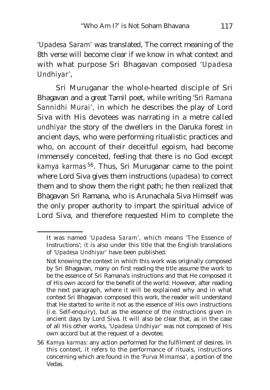*'Upadesa Saram'* was translated, The correct meaning of the 8th verse will become clear if we know in what context and with what purpose Sri Bhagavan composed *'Upadesa Undhiyar'*,

Sri Muruganar the whole-hearted disciple of Sri Bhagavan and a great Tamil poet, while writing *'Sri Ramana Sannidhi Murai',* in which he describes the play of Lord Siva with His devotees was narrating in a metre called *undhiyar* the story of the dwellers in the Daruka forest in ancient days, who were performing ritualistic practices and who, on account of their deceitful egoism, had become immensely conceited, feeling that there is no God except *kamya karmas <sup>56</sup>*. Thus, Sri Muruganar came to the point where Lord Siva gives them instructions *(upadesa)* to correct them and to show them the right path; he then realized that Bhagavan Sri Ramana, who is Arunachala Siva Himself was the only proper authority to impart the spiritual advice of Lord Siva, and therefore requested Him to complete the

It was named *'Upadesa Saram',* which means 'The Essence *of* Instructions'; it is also under this title that the English translations of *'Upadesa Undhiyar'* have been published.

Not knowing the context in which this work was originally composed by Sri Bhagavan, many on first reading the title assume the work to be the essence of Sri Ramana's instructions and that He composed it of His own accord for the benefit of the world. However, after reading the next paragraph, where it will be explained why and in what context Sri Bhagavan composed this work, the reader will understand that He started to write it not as the essence of His own instructions (i.e. Self-enquiry), but as the essence of the instructions given in ancient days by Lord Siva. It will also be clear that, as in the case of all His other works, *'Upadesa Undhiyar'* was not composed of His own accord but at the request of *a* devotee.

<sup>56</sup> *Kamya karmas:* any action performed for the fulfilment of desires. In this context, it refers to the performance of rituals, instructions concerning which are found in the *'Purva Mimamsa',* a portion of the Vedas.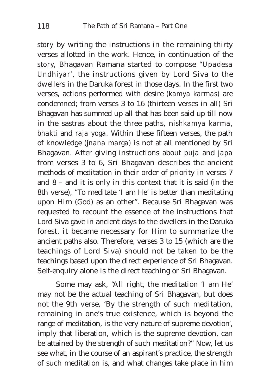*story* by writing the instructions in the remaining thirty verses allotted in the work. Hence, in continuation of the *story,* Bhagavan Ramana started to compose "*Upadesa Undhiyar',* the instructions given by Lord Siva to the dwellers in the Daruka forest in those days. In the first two verses, actions performed with desire *(kamya karmas)* are condemned; from verses 3 to 16 (thirteen verses in all) Sri Bhagavan has summed up all that has been said up till now in the sastras about the three paths, ni*shkamya karma, bhakti* and *raja yoga.* Within these fifteen verses, the path of knowledge *(jnana marga)* is not at all mentioned by Sri Bhagavan. After giving instructions about *puja* and *japa* from verses 3 to 6, Sri Bhagavan describes the ancient methods of meditation in their order of priority in verses 7 and 8 – and it is only in this context that it is said (in the 8th verse), "To meditate 'I am He' is better than meditating upon Him (God) as an other". Because Sri Bhagavan was requested to recount the essence of the instructions that Lord Siva gave in ancient days to the dwellers in the Daruka forest, it became necessary for Him to summarize the ancient paths also. Therefore, verses 3 to 15 (which are the teachings of Lord Siva) should not be taken to be the teachings based upon the direct experience of Sri Bhagavan. Self-enquiry alone is the direct teaching or Sri Bhagavan.

Some may ask, "All right, the meditation 'I am He' may not be the actual teaching of Sri Bhagavan, but does not the 9th verse, 'By the strength of such meditation, remaining in one's true existence, which is beyond the range of meditation, is the very nature of supreme devotion', imply that liberation, which is the supreme devotion, can be attained by the strength of such meditation?" Now, let us see what, in the course of an aspirant's practice, the strength of such meditation is, and what changes take place in him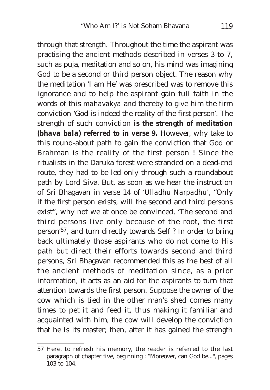through that strength. Throughout the time the aspirant was practising the ancient methods described in verses 3 to 7, such as puja*,* meditation and so on, his mind was imagining God to be a second or third person object. The reason why the meditation 'I am He' was prescribed was to remove this ignorance and to help the aspirant gain full faith in the words of this *mahavakya* and thereby to give him the firm conviction 'God is indeed the reality of the first person'. The strength of such conviction **is the strength of meditation** *(bhava bala)* **referred to in verse 9.** However, why take to this round-about path to gain the conviction that God or Brahman is the reality of the first person ! Since the ritualists in the Daruka forest were stranded on a dead-end route, they had to be led only through such a roundabout path by Lord Siva. But, as soon as we hear the instruction of Sri Bhagavan in verse 14 of *'Ulladhu Narpadhu',* "Only if the first person exists, will the second and third persons exist", why not we at once be convinced, 'The second and third persons live only because of the root, the first person'57, and turn directly towards Self ? In order to bring back ultimately those aspirants who do not come to His path but direct their efforts towards second and third persons, Sri Bhagavan recommended this as the best of all the ancient methods of meditation since, as a prior information, it acts as an aid for the aspirants to turn that attention towards the first person. Suppose the owner of the cow which is tied in the other man's shed comes many times to pet it and feed it, thus making it familiar and acquainted with him, the cow will develop the conviction that he is its master; then, after it has gained the strength

<sup>57</sup> Here, to refresh his memory, the reader is referred to the last paragraph of chapter five, beginning : "Moreover, can God be...", pages 103 to 104.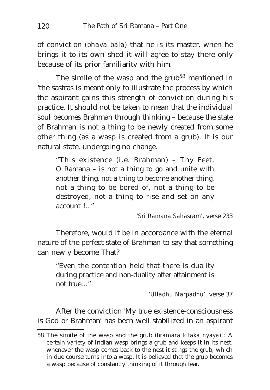of conviction *(bhava bala)* that he is its master, when he brings it to its own shed it will agree to stay there only because of its prior familiarity with him.

The simile of the wasp and the grub<sup>58</sup> mentioned in 'the sastras is meant only to illustrate the process by which the aspirant gains this strength of conviction during his practice. It should not be taken to mean that the individual soul becomes Brahman through thinking – because the state of Brahman is not a thing to be newly created from some other thing (as a wasp is created from a grub). It is our natural state, undergoing no change.

"This existence (i.e. Brahman) – Thy Feet, O Ramana – is not a thing to go and unite with another thing, not a thing to become another thing, not a thing to be bored of, not a thing to be destroyed, not a thing to rise and set on any  $account!$  "

*'Sri Ramana Sahasram',* verse 233

Therefore, would it be in accordance with the eternal nature of the perfect state of Brahman to say that something can newly become That?

"Even the contention held that there is duality during practice and non-duality after attainment is not true…"

*'Ulladhu Narpadhu',* verse 37

After the conviction My true existence-consciousness is God or Brahman' has been well stabilized in an aspirant

<sup>58</sup> The simile of the wasp and the grub *(bramara kitaka nyaya)* : A certain variety of Indian wasp brings a grub and keeps it in its nest; whenever the wasp comes back to the nest it stings the grub, which in due course turns into a wasp. It is believed that the grub becomes a wasp because of constantly thinking of it through fear.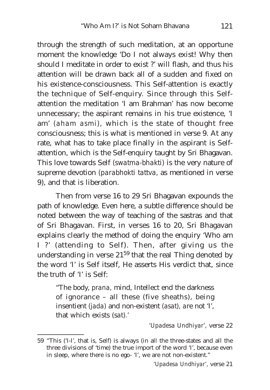through the strength of such meditation, at an opportune moment the knowledge 'Do I not always exist! Why then should I meditate in order to exist ?' will flash, and thus his attention will be drawn back all of a sudden and fixed on his existence-consciousness. This Self-attention is exactly the technique *of* Self-enquiry. Since through this Selfattention the meditation 'I am Brahman' has now become unnecessary; the aspirant remains in his true existence, 'I am' *(aham asmi),* which is the state of thought free consciousness; this is what is mentioned in verse 9. At any rate, what has to take place finally in the aspirant is Selfattention, which is the Self-enquiry taught by Sri Bhagavan. This love towards Self *(swatma-bhakti)* is the very nature of supreme devotion *(parabhokti tattva,* as mentioned in verse 9), and that is liberation.

Then from verse 16 to 29 Sri Bhagavan expounds the path of knowledge. Even here, a subtle difference should be noted between the way of teaching of the sastras and that of Sri Bhagavan. First, in verses 16 to 20, Sri Bhagavan explains clearly the method of doing the enquiry 'Who am I ?' (attending to Self). Then, after giving us the understanding in verse 2159 that the real Thing denoted by the word 'I' is Self itself, He asserts His verdict that, since the truth of 'I' is Self:

"The body, *prana,* mind, Intellect end the darkness of ignorance – all these (five sheaths), being insentient *(jada)* and non-existent *(asat), a*re not 'I', that which exists (s*at).'*

*'Upadesa Undhiyar',* verse 22

<sup>59 &</sup>quot;This ('I-I', that is, Self) is always (in all the three-states and all the three divisions of 'time) the true import of the word 'I', because even in sleep, where there is no ego- 'I', we are not non-existent."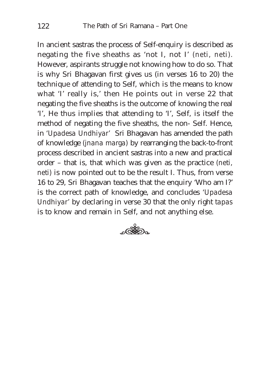In ancient sastras the process of Self-enquiry is described as negating the five sheaths as 'not I, not I' *(neti, neti).* However, aspirants struggle not knowing how to do so. That is why Sri Bhagavan first gives us (in verses 16 to 20) the technique of attending to Self, which is the means to know what 'I' really is,' then He points out in verse 22 that negating the five sheaths is the outcome of knowing the real 'I', He thus implies that attending to 'I', Self, is itself the method of negating the five sheaths, the non- Self. Hence, in *'Upadesa Undhiyar'* Sri Bhagavan has amended the path of knowledge *(jnana marga)* by rearranging the back-to-front process described in ancient sastras into a new and practical order – that is, that which was given as the practice *(neti, neti)* is now pointed out to be the result I. Thus, from verse 16 to 29, Sri Bhagavan teaches that the enquiry 'Who am I?' is the correct path of knowledge, and concludes *'Upadesa Undhiyar'* by declaring in verse 30 that the only right *tapas* is to know and remain in Self, and not anything else.

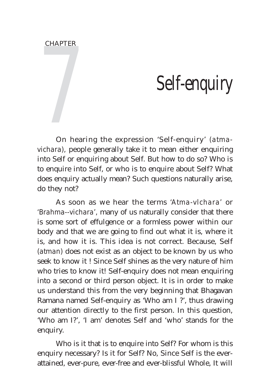#### **CHAPTER**

# Self-enquiry

On hearing the expression 'Self-enquiry' *(atmavichara),* people generally take it to mean either enquiring into Self or enquiring about Self. But how to do so? Who is to enquire into Self, or who is to enquire about Self? What does enquiry actually mean? Such questions naturally arise, do they not? 7

As soon as we hear the terms *'Atma-vlchara'* or *'Brahma--vichara',* many of us naturally consider that there is some sort of effulgence or a formless power within our body and that we are going to find out what it is, where it is, and how it is. This idea is not correct. Because, Self *(atman)* does not exist as an object to be known by us who seek to know it ! Since Self shines as the very nature of him who tries to know it! Self-enquiry does not mean enquiring into a second or third person object. It is in order to make us understand this from the very beginning that Bhagavan Ramana named Self-enquiry as 'Who am I ?', thus drawing our attention directly to the first person. In this question, 'Who am I?', 'I am' denotes Self and 'who' stands for the enquiry.

Who is it that is to enquire into Self? For whom is this enquiry necessary? Is it for Self? No, Since Self is the everattained, ever-pure, ever-free and ever-blissful Whole, It will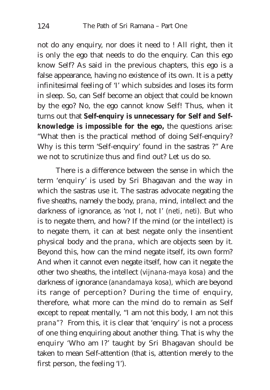not do any enquiry, nor does it need to ! All right, then it is only the ego that needs to do the enquiry. Can this ego know Self? As said in the previous chapters, this ego is a false appearance, having no existence of its own. It is a petty infinitesimal feeling of 'I' which subsides and loses its form in sleep. So, can Self become an object that could be known by the ego? No, the ego cannot know Self! Thus, when it turns out that **Self-enquiry is unnecessary for Self and Selfknowledge is impossible for the ego,** the questions arise: "What then is the practical method of doing Self-enquiry? Why is this term 'Self-enquiry' found in the sastras ?" Are we not to scrutinize thus and find out? Let us do so.

There is a difference between the sense in which the term 'enquiry' is used by Sri Bhagavan and the way in which the sastras use it. The sastras advocate negating the five sheaths, namely the body, *prana,* mind, intellect and the darkness of ignorance, as 'not I, not I' *(neti, neti).* But who is to negate them, and how? If the mind (or the intellect) is to negate them, it can at best negate only the insentient physical body and the *prana,* which are objects seen by it. Beyond this, how can the mind negate itself, its own form? And when it cannot even negate itself, how can it negate the other two sheaths, the intellect *(vijnana-maya kosa)* and the darkness of ignorance *(anandamaya kosa),* which are beyond its range of perception? During the time of enquiry, therefore, what more can the mind do to remain as Self except to repeat mentally, "I am not this body, I am not this *prana"?* From this, it is clear that 'enquiry' is not a process of one thing enquiring about another thing. That is why the enquiry 'Who am I?' taught by Sri Bhagavan should be taken to mean Self-attention (that is, attention merely to the first person, the feeling 'I').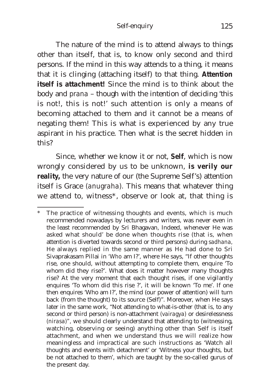Self-enquiry

The nature of the mind is to attend always to things other than itself, that is, to know only second and third persons. If the mind in this way attends to a thing, it means that it is clinging (attaching itself) to that thing. **Attention itself is attachment!** Since the mind is to think about the body and *prana* – though with the intention of deciding 'this is not!, this is not!' such attention is only a means of becoming attached to them and it cannot be a means of negating them! This is what is experienced by any true aspirant in his practice. Then what is the secret hidden in this?

Since, whether we know it or not, **Self**, which is now wrongly considered by us to be unknown, **is verily our reality,** the very nature of our (the Supreme Self's) attention itself is Grace *(anugraha).* This means that whatever thing we attend to, witness\*, observe or look at, that thing is

The practice of witnessing thoughts and events, which is much recommended nowadays by lecturers and writers, was never even in the least recommended by Sri Bhagavan, Indeed, whenever He was asked what should' be done when thoughts rise (that is, when attention is diverted towards second or third persons) during *sadhana,* He always replied in the same manner as He had done to Sri Sivaprakasam Pillai in *'Who* am I?', where He says, "If other thoughts rise, one should, without attempting to complete them, enquire 'To whom did they rise?'. What does it matter however many thoughts rise? At the very moment that each thought rises, if one vigilantly enquires 'To whom did this rise ?', it will be known 'To me'. If one then enquires 'Who am I?', the mind (our power of attention) will turn back (from the thought) to its source (Self)". Moreover, when He says later in the same work, "Not attending to what-is-other (that is, to any second or third person) is non-attachment *(vairagya)* or desirelessness *(nirasa)",* we should clearly understand that attending to (witnessing, watching, observing or seeing) anything other than Self is itself attachment, and when we understand thus we will realize how meaningless and impractical are such instructions as 'Watch all thoughts and events with detachment' or 'Witness your thoughts, but be not attached to them', which are taught by the so-called gurus of the present day.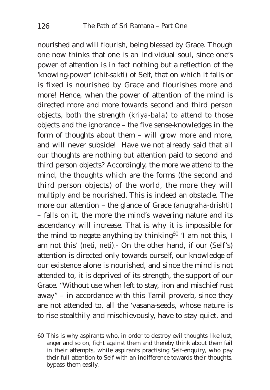nourished and will flourish, being blessed by Grace. Though one now thinks that one is an individual soul, since one's power of attention is in fact nothing but a reflection of the 'knowing-power' *(chit-sakti)* of Self, that on which it falls or is fixed is nourished by Grace and flourishes more and more! Hence, when the power of attention of the mind is directed more and more towards second and third person objects, both the strength *(kriya-bala)* to attend to those objects and the ignorance – the five sense-knowledges in the form of thoughts about them – will grow more and more, and will never subside! Have we not already said that all our thoughts are nothing but attention paid to second and third person objects? Accordingly, the more we attend to the mind, the thoughts which are the forms (the second and third person objects) of the world, the more they will multiply and be nourished. This is indeed an obstacle. The more our attention – the glance of Grace *(anugraha-drishti)* – falls on it, the more the mind's wavering nature and its ascendancy will increase. That is why it is impossible for the mind to negate anything by thinking $60$  'I am not this, I am not this' *(neti, neti).-* On the other hand, if our (Self's) attention is directed only towards ourself, our knowledge of our existence alone is nourished, and since the mind is not attended to, it is deprived of its strength, the support of our Grace. "Without use when left to stay, iron and mischief rust away" – in accordance with this Tamil proverb, since they are not attended to, all the 'vasana-seeds, whose nature is to rise stealthily and mischievously, have to stay quiet, and

<sup>60</sup> This is why aspirants who, in order to destroy evil thoughts like lust, anger and so on, fight against them and thereby think about them fail in their attempts, while aspirants practising Self-enquiry, who pay their full attention to Self with an indifference towards their thoughts, bypass them easily.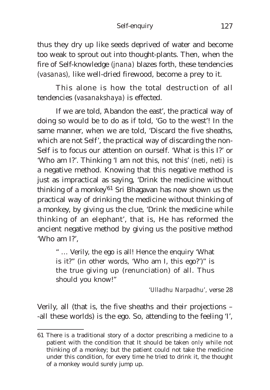Self-enquiry

thus they dry up like seeds deprived of water and become too weak to sprout out into thought-plants. Then, when the fire of Self-knowledge *(jnana)* blazes forth, these tendencies *(vasanas),* like well-dried firewood, become a prey to it.

This alone is how the total destruction of all tendencies (*vasanakshaya)* is effected.

If we are told, 'Abandon the east', the practical way of doing so would be to do as if told, 'Go to the west'! In the same manner, when we are told, 'Discard the five sheaths, which are not Self', the practical way of discarding the non-Self is to focus our attention on ourself. 'What is this I?' or 'Who am I?'. Thinking 'I am not this, not this' *(neti, neti)* is a negative method. Knowing that this negative method is just as impractical as saying, 'Drink the medicine without thinking of a monkey'61 Sri Bhagavan has now shown us the practical way of drinking the medicine without thinking of a monkey, by giving us the clue, 'Drink the medicine while thinking of an elephant', that is, He has reformed the ancient negative method by giving us the positive method 'Who am I?',

" … Verily, the ego is all! Hence the enquiry 'What is it?" (in other words, 'Who am I, this ego?')" is the true giving up (renunciation) of all. Thus should you know!"

*'Ulladhu Narpadhu',* verse 28

Verily, all (that is, the five sheaths and their projections – -all these worlds) is the ego. So, attending to the feeling 'I',

<sup>61</sup> There is a traditional story of a doctor prescribing a medicine to a patient with the condition that It should be taken *only* while not thinking of a monkey; but the patient could not take the medicine under this condition, for every time he tried to drink it, the thought of a monkey would surely jump up.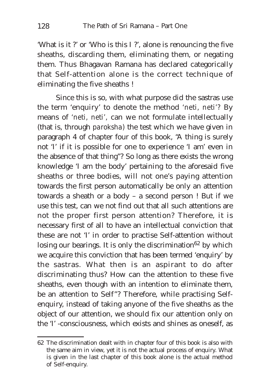'What is it ?' or 'Who is this I ?', alone is renouncing the five sheaths, discarding them, eliminating them, or negating them. Thus Bhagavan Ramana has declared categorically that Self-attention alone is the correct technique of eliminating the five sheaths !

Since this is so, with what purpose did the sastras use the term 'enquiry' to denote the method *'neti, neti'?* By means of *'neti, neti',* can we not formulate intellectually (that is, through *paroksha)* the test which we have given in paragraph 4 of chapter four of this book, "A thing is surely not 'I' if it is possible for one to experience 'I am' even in the absence of that thing"? So long as there exists the wrong knowledge 'I am the body' pertaining to the aforesaid five sheaths or three bodies, will not one's paying attention towards the first person automatically be only an attention towards a sheath or a body – a second person ! But if we use this test, can we not find out that all such attentions are not the proper first person attention? Therefore, it is necessary first of all to have an intellectual conviction that these are not 'I' in order to practise Self-attention without losing our bearings. It is only the discrimination<sup>62</sup> by which we acquire this conviction that has been termed 'enquiry' by the sastras. What then is an aspirant to do after discriminating thus? How can the attention to these five sheaths, even though with an intention to eliminate them, be an attention to Self"? Therefore, while practising Selfenquiry, instead of taking anyone of the five sheaths as the object of our attention, we should fix our attention only on the 'I' -consciousness, which exists and shines as oneself, as

<sup>62</sup> The discrimination dealt with in chapter four of this book is also with the same aim in view, yet it is not the actual process of enquiry. What is given in the last chapter of this book alone is the actual method of Self-enquiry.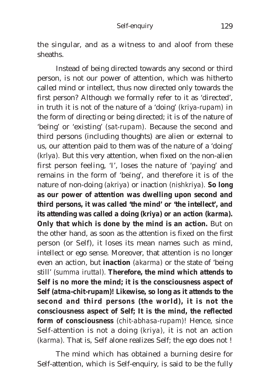the singular, and as a witness to and aloof from these sheaths.

Instead of being directed towards any second or third person, is not our power of attention, which was hitherto called mind or intellect, thus now directed only towards the first person? Although we formally refer to it as 'directed', in truth it is not of the nature of a 'doing' *(kriya-rupam)* in the form of directing or being directed; it is of the nature of 'being' or 'existing' *(sat-rupam).* Because the second and third persons (including thoughts) are alien or external to us, our attention paid to them was of the nature of a 'doing' *(krlya).* But this very attention, when fixed on the non-alien first person feeling, 'I', loses the nature of 'paying' and remains in the form of 'being', and therefore it is of the nature of non-doing *(akriya)* or inaction *(nishkriya).* **So long as our power of attention was dwelling upon second and third persons, it was called 'the mind' or 'the intellect', and its attending was called a doing** *(kriya)* **or an action** *(karma).* **Only that which is done by the mind is an action.** But on the other hand, as soon as the attention is fixed on the first person (or Self), it loses its mean names such as mind, intellect or ego sense. Moreover, that attention is no longer even an action, but **inaction** *(akarma)* or the state of 'being still' *(summa iruttal).* **Therefore, the mind which attends to Self is no more the mind; it is the consciousness aspect of Self** *(atma-chit-rupam)!* **Likewise, so long as it attends to the second and third persons (the world), it is not the consciousness aspect of Self; It is the mind, the reflected form of consciousness** *(chit-abhasa-rupam)!* Hence, since Self-attention is not a doing *(kriya),* it is not an action *(karma).* That is, Self alone realizes Self; the ego does not !

The mind which has obtained a burning desire for Self-attention, which is Self-enquiry, is said to be the fully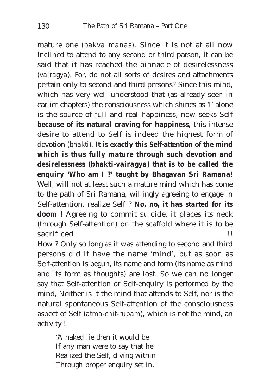mature one *(pakva manas).* Since it is not at all now inclined to attend to any second or third parson, it can be said that it has reached the pinnacle of desirelessness *(vairagya).* For, do not all sorts of desires and attachments pertain only to second and third persons? Since this mind, which has very well understood that (as already seen in earlier chapters) the consciousness which shines as 'I' alone is the source of full and real happiness, now seeks Self **because of its natural craving for happiness,** this intense desire to attend to Self is indeed the highest form of devotion *(bhakti).* **It is exactly this Self-attention of the mind which is thus fully mature through such devotion and desirelessness** *(bhakti-vairagya)* **that is to be called the enquiry 'Who am I ?' taught by Bhagavan Sri Ramana!** Well, will not at least such a mature mind which has come to the path of Sri Ramana, willingly agreeing to engage in Self-attention, realize Self ? **No, no, it has started for its doom !** Agreeing to commit suicide, it places its neck (through Self-attention) on the scaffold where it is to be sacrificed **1** 

How ? Only so long as it was attending to second and third persons did it have the name 'mind', but as soon as Self-attention is begun, its name and form (its name as mind and its form as thoughts) are lost. So we can no longer say that Self-attention or Self-enquiry is performed by the mind, Neither is it the mind that attends to Self, nor is the natural spontaneous Self-attention of the consciousness aspect of Self *(atma-chit-rupam),* which is not the mind, an activity !

"A naked lie then it would be If any man were to say that he Realized the Self, diving within Through proper enquiry set in,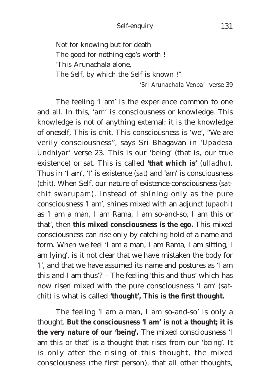Not for knowing but for death The good-for-nothing ego's worth ! 'This Arunachala alone, The Self, by which the Self is known !"

*'Sri Arunachala Venba'* verse 39

The feeling 'I am' is the experience common to one and all. In this, *'am'* is consciousness or knowledge. This knowledge is not of anything external; it is the knowledge of oneself, This is chit. This consciousness is 'we', "We are verily consciousness", says Sri Bhagavan in *'Upadesa Undhiyar'* verse 23. This is our 'being' (that is, our true existence) or sat. This is called **'that which is'** *(ulladhu).* Thus in 'I am', 'I' is existence *(sat)* and 'am' is consciousness *(chit).* When Self, our nature of existence-consciousness *(satchit swarupam),* instead of shining only as the pure consciousness 'I am', shines mixed with an adjunct *(upadhi)* as 'I am a man, I am Rama, I am so-and-so, I am this or that', then **this mixed consciousness is the ego.** This mixed consciousness can rise only by catching hold of a name and form. When we feel 'I am a man, I am Rama, I am sitting, I am lying', is it not clear that we have mistaken the body for 'I', and that we have assumed its name and postures as 'I am this and I am thus'? – The feeling 'this and thus' which has now risen mixed with the pure consciousness 'I am' *(satchit)* is what is called **'thought', This is the first thought.**

The feeling 'I am a man, I am so-and-so' is only a thought. **But the consciousness 'I am' is not a thought; it is the very nature of our 'being'.** The mixed consciousness 'I am this or that' is a thought that rises from our 'being'. It is only after the rising of this thought, the mixed consciousness (the first person), that all other thoughts,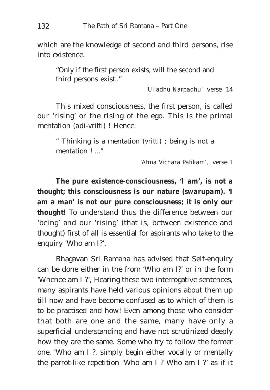which are the knowledge of second and third persons, rise into existence.

"Only if the first person exists, will the second and third persons exist.."

*'Ulladhu Narpadhu'* verse14

This mixed consciousness, the first person, is called our 'rising' or the rising of the ego. This is the primal mentation *(adi-vritti)* ! Hence:

" Thinking is a mentation *(vritti)* ; being is not a mentation ! ..."

*'Atma Vichara Patikam',* verse 1

**The pure existence-consciousness, 'I am', is not a thought; this consciousness is our nature** *(swarupam).* **'I am a man' is not our pure consciousness; it is only our thought!** To understand thus the difference between our 'being' and our 'rising' (that is, between existence and thought) first of all is essential for aspirants who take to the enquiry 'Who am I?',

Bhagavan Sri Ramana has advised that Self-enquiry can be done either in the from 'Who am I?' or in the form 'Whence am I ?', Hearing these two interrogative sentences, many aspirants have held various opinions about them up till now and have become confused as to which of them is to be practised and how! Even among those who consider that both are one and the same, many have only a superficial understanding and have not scrutinized deeply how they are the same. Some who try to follow the former one, 'Who am I ?*,* simply begin either vocally or mentally the parrot-like repetition 'Who am I ? Who am I ?' as if it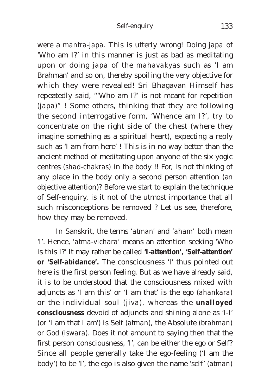## Self-enquiry

were a *mantra-japa.* This is utterly wrong! Doing *japa* of 'Who am I?' in this manner is just as bad as meditating upon or doing *japa* of the *mahavakyas* such as 'I am Brahman' and so on, thereby spoiling the very objective for which they were revealed! Sri Bhagavan Himself has repeatedly said, "'Who am I?' is not meant for repetition *(japa)" !* Some others, thinking that they are following the second interrogative form, 'Whence am I?', try to concentrate on the right side of the chest (where they imagine something as a spiritual heart), expecting a reply such as 'I am from here' ! This is in no way better than the ancient method of meditating upon anyone of the six yogic centres *(shad-chakras)* in the body !! For, is not thinking of any place in the body only a second person attention (an objective attention)? Before we start to explain the technique of Self-enquiry, is it not of the utmost importance that all such misconceptions be removed ? Let us see, therefore, how they may be removed.

In Sanskrit, the terms *'atman'* and *'aham'* both mean 'I'. Hence, *'atma-vichara'* means an attention seeking 'Who is this I?' It may rather be called **'I-attention', 'Self-attention' or 'Self-abidance'.** The consciousness 'I' thus pointed out here is the first person feeling. But as we have already said, it is to be understood that the consciousness mixed with adjuncts as 'I am this' or 'I am that' is the ego *(ahankara)* or the individual soul *(jiva),* whereas the **unalloyed consciousness** devoid of adjuncts and shining alone as 'I-I' (or 'I am that I am') is Self *(atman),* the Absolute *(brahman)* or *God (iswara).* Does it not amount to saying then that the first person consciousness, 'I', can be either the ego or Self? Since all people generally take the ego-feeling ('I am the body') to be 'I', the ego is also given the name 'self' *(atman)*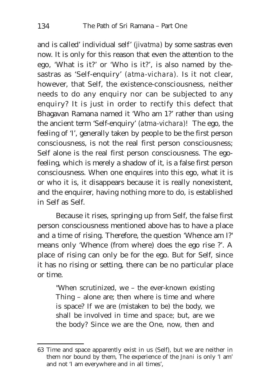and is called' individual self' *(jivatma)* by some sastras even now. It is only for this reason that even the attention to the ego, 'What is it?' or 'Who is it?', is also named by thesastras as 'Self-enquiry' *(atma-vichara).* Is it not clear, however, that Self, the existence-consciousness, neither needs to do any enquiry nor can be subjected to any enquiry? It is just in order to rectify this defect that Bhagavan Ramana named it 'Who am 1?' rather than using the ancient term 'Self-enquiry' *(atma-vichara)!* The ego, the feeling of 'I', generally taken by people to be the first person consciousness, is not the real first person consciousness; Self alone is the real first person consciousness. The egofeeling, which is merely a shadow of it, is a false first person consciousness. When one enquires into this ego, what it is or who it is, it disappears because it is really nonexistent, and the enquirer, having nothing more to do, is established in Self as Self.

Because it rises, springing up from Self, the false first person consciousness mentioned above has to have a place and a time of rising. Therefore, the question 'Whence am I?' means only 'Whence (from where) does the ego rise ?'. A place of rising can only be for the ego. But for Self, since it has no rising or setting, there can be no particular place or time.

"When scrutinized, we – the ever-known existing Thing – alone are; then where is time and where is space? If we are (mistaken to be) the body, we shall be involved in time and *space;* but, are we the body? Since we are the One, now, then and

<sup>63</sup> Time and space apparently exist in us (Self), but we are neither in them nor bound by them, The experience of the *Jnani* is only 'I am' and not 'I am everywhere and in all times',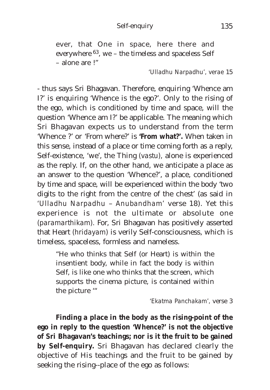ever, that One in space, here there and everywhere 63, we – the timeless and spaceless Self – alone are !"

## *'Ulladhu Narpadhu', verae* 15

- thus says Sri Bhagavan. Therefore, enquiring 'Whence am I?' is enquiring 'Whence is the ego?'. Only to the rising of the ego, which is conditioned by time and space, will the question 'Whence am I?' be applicable. The meaning which Sri Bhagavan expects us to understand from the term 'Whence ?' or 'From where?' is **'From what?'.** When taken in this sense, instead of a place or time coming forth as a reply, Self-existence, 'we', the Thing *(vastu),* alone is experienced as the reply. If, on the other hand, we anticipate a place as an answer to the question 'Whence?', a place, conditioned by time and space, will be experienced within the body 'two digits to the right from the centre of the chest' (as said in *'Ulladhu Narpadhu* – *Anubandham'* verse 18). Yet this experience is not the ultimate or absolute one *(paramarthikam).* For, Sri Bhagavan has positively asserted that Heart *(hridayam)* is verily Self-consciousness, which is timeless, spaceless, formless and nameless.

"He who thinks that Self (or Heart) is within the insentient body, while in fact the body is within Self, is like one who thinks that the screen, which supports the cinema picture, is contained within the picture '"

*'Ekatma Panchakam',* verse 3

**Finding a place in the body as the rising-point of the ego in reply to the question 'Whence?' is not the objective of Sri Bhagavan's teachings; nor is it the fruit to be gained by Self-enquiry.** Sri Bhagavan has declared clearly the objective of His teachings and the fruit to be gained by seeking the rising--place of the ego as follows: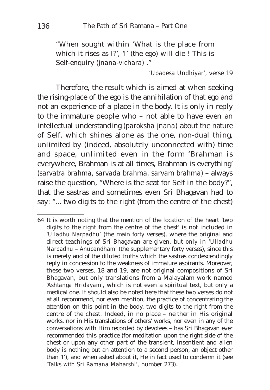"When sought within 'What is the place from which it rises as I?', 'I' (the ego) will die ! This is Self-enquiry *(jnana-vichara)* ."

*'Upadesa Undhiyar',* verse 19

Therefore, the result which is aimed at when seeking the rising-place of the ego is the annihilation of that ego and not an experience of a place in the body. It is only in reply to the immature people who – not able to have even an intellectual understanding *(paroksha jnana)* about the nature of Self, which shines alone as the one, non-dual thing, unlimited by (indeed, absolutely unconnected with) time and space, unlimited even in the form 'Brahman is everywhere, Brahman is at all times, Brahman is everything' *(sarvatra brahma, sarvada brahma, sarvam brahma)* – always raise the question, "Where is the seat for Self in the body?", that the sastras and sometimes even Sri Bhagavan had to say: "... two digits to the right (from the centre of the chest)

<sup>64</sup> It is worth noting that the mention of the location of the heart 'two digits to the right from the centre of the chest' is not included in *'Ulladhu Narpadhu'* (the main *forty* verses), where the original and direct teachings of Sri Bhagavan are given, but *only* in *'Ulladhu Narpadhu* – *Anubandham'* (the supplementary forty verses), since this is merely and of the diluted truths which the sastras condescendingly reply in concession to the weakness of immature aspirants. Moreover, these two verses, 18 and 19, are not original compositions of Sri Bhagavan, but only translations from a Malayalam work named *'Ashtanga Hridayam',* which is not even a spiritual text, but only a medical one. It should also be noted here that these two verses do not at all recommend, nor even mention, the practice of concentrating the attention on this point in the body, two digits to the right from the centre of the chest. Indeed, in no place – neither in His original works, nor in His translations of others' works, nor even in any of the conversations with Him recorded by devotees – has Sri Bhagavan ever recommended this practice (for meditation upon the right side of the chest or upon any other part of the transient, insentient and alien body is nothing but an attention to a second person, an object other than 'I'), and when asked about it, He in fact used to condemn it (see *'Talks with Sri Ramana Maharshi',* number 273).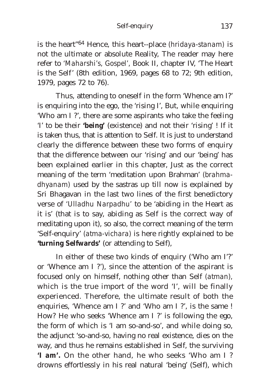## Self-enquiry 137

is the heart"64 Hence, this heart--place *(hridaya-stanam)* is not the ultimate or absolute Reality, The reader may here refer to *'Maharshi's, Gospel',* Book II, chapter IV, 'The Heart is the Self' (8th edition, 1969, pages 68 to 72; 9th edition, 1979, pages 72 to 76).

Thus, attending to oneself in the form 'Whence am I?' is enquiring into the ego, the 'rising I', But, while enquiring 'Who am I ?', there are some aspirants who take the feeling 'I' to be their **'being'** (existence) and not their 'rising' ! If it is taken thus, that is attention to Self. It is just to understand clearly the difference between these two forms of enquiry that the difference between our 'rising' and our 'being' has been explained earlier in this chapter, Just as the correct meaning of the term 'meditation upon Brahman' *(brahmadhyanam)* used by the sastras up till now is explained by Sri Bhagavan in the last two lines of the first benedictory verse of *'Ulladhu Narpadhu'* to be 'abiding in the Heart as it is' (that is to say, abiding as Self is the correct way of meditating upon it), so also, the correct meaning of the term 'Self-enquiry' *(atma-vichara)* is here rightly explained to be **'turning Selfwards'** (or attending to Self),

In either of these two kinds of enquiry ('Who am I'?' or 'Whence am I ?'), since the attention of the aspirant is focused only on himself, nothing other than Self *(atman),* which is the true import of the word 'I', will be finally experienced. Therefore, the ultimate result of both the enquiries, 'Whence am I ?' and 'Who am I ?', is the same ! How? He who seeks 'Whence am I ?' is following the ego, the form of which is 'I am so-and-so', and while doing so, the adjunct 'so-and-so, having no real existence, dies on the way, and thus he remains established in Self, the surviving **'I am'.** On the other hand, he who seeks 'Who am I ? drowns effortlessly in his real natural 'being' (Self), which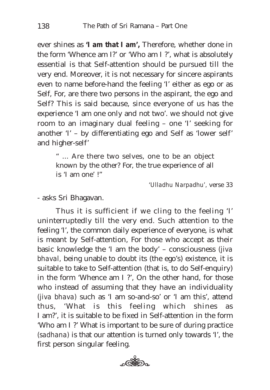ever shines as **'I am that I am',** Therefore, whether done in the form 'Whence am I?' or 'Who am I ?', what is absolutely essential is that Self-attention should be pursued till the very end. Moreover, it is not necessary for sincere aspirants even to name before-hand the feeling 'I' either as ego or as Self, For, are there two persons in the aspirant, the ego and Self? This is said because, since everyone of us has the experience 'I am one only and not two'. we should not give room to an imaginary dual feeling – one 'I' seeking for another 'I' – by differentiating ego and Self as 'lower self' and higher-self'

" ... Are there two selves, one to be an object known by the other? For, the true experience of all is 'I am one' !"

*'Ulladhu Narpadhu',* verse 33

- asks Sri Bhagavan.

Thus it is sufficient if we cling to the feeling 'I' uninterruptedly till the very end. Such attention to the feeling 'I', the common daily experience of everyone, is what is meant by Self-attention, For those who accept as their basic knowledge the 'I am the body' – consciousness *(jiva bhaval,* being unable to doubt its (the ego's) existence, it is suitable to take to Self-attention (that is, to do Self-enquiry) in the form 'Whence am I ?', On the other hand, for those who instead of assuming that they have an individuality *(jiva bhava)* such as 'I am so-and-so' or 'I am this', attend thus, 'What is this feeling which shines as I am?', it is suitable to be fixed in Self-attention in the form 'Who am I ?' What is important to be sure of during practice *(sadhana)* is that our attention is turned only towards 'I', the first person singular feeling.

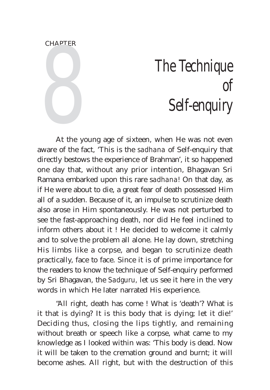**CHAPTER** 

## The Technique The Technique<br>of<br>Self-enquiry

At the young age of sixteen, when He was not even aware of the fact, 'This is the *sadhana* of Self-enquiry that directly bestows the experience of Brahman', it so happened one day that, without any prior intention, Bhagavan Sri Ramana embarked upon this rare s*adhana!* On that day, as if He were about to die, a great fear of death possessed Him all of a sudden. Because of it, an impulse to scrutinize death also arose in Him spontaneously. He was not perturbed to see the fast-approaching death, nor did He feel inclined to inform others about it ! He decided to welcome it calmly and to solve the problem all alone. He lay down, stretching His limbs like a corpse, and began to scrutinize death practically, face to face. Since it is of prime importance for the readers to know the technique of Self-enquiry performed by Sri Bhagavan, the *Sadguru,* let us see it here in the very words in which He later narrated His experience.

"All right, death has come ! What is 'death'? What is it that is dying? It is this body that is dying; let it die!' Deciding thus, closing the lips tightly, and remaining without breath or speech like a corpse, what came to my knowledge as I looked within was: 'This body is dead. Now it will be taken to the cremation ground and burnt; it will become ashes. All right, but with the destruction of this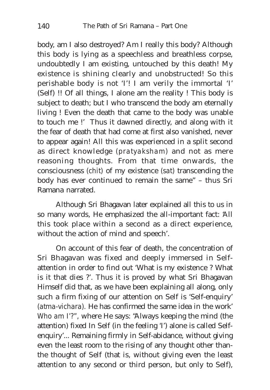body, am I also destroyed? Am I really this body? Although this body is lying as a speechless and breathless corpse, undoubtedly I am existing, untouched by this death! My existence is shining clearly and unobstructed! So this perishable body is not 'I'! I am verily the immortal 'I' (Self) !! Of all things, I alone am the reality ! This body is subject to death; but I who transcend the body am eternally living ! Even the death that came to the body was unable to touch me !' Thus it dawned directly, and along with it the fear of death that had come at first also vanished, never to appear again! All this was experienced in a split second as direct knowledge *(pratyaksham)* and not as mere reasoning thoughts. From that time onwards, the consciousness *(chit)* of my existence *(sat)* transcending the body has ever continued to remain the same" – thus Sri Ramana narrated.

Although Sri Bhagavan later explained all this to us in so many words, He emphasized the all-important fact: 'All this took place within a second as a direct experience, without the action of mind and speech'.

On account of this fear of death, the concentration of Sri Bhagavan was fixed and deeply immersed in Selfattention in order to find out 'What is my existence ? What is it that dies ?'. Thus it is proved by what Sri Bhagavan Himself did that, as we have been explaining all along, only such a firm fixing of our attention on Self is 'Self-enquiry' *(atma-vichara).* He has confirmed the same idea in the work' *Who am I'?",* where He says: "Always keeping the mind (the attention) fixed In Self (in the feeling 'I') alone is called Selfenquiry'... Remaining firmly in Self-abidance, without giving even the least room to the rising of any thought other thanthe thought of Self (that is, without giving even the least attention to any second or third person, but only to Self),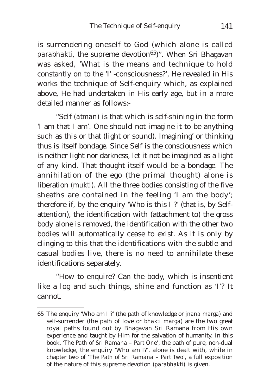is surrendering oneself to God (which alone is called *parabhakti*, the supreme devotion<sup>65</sup>)". When Sri Bhagavan was asked, 'What is the means and technique to hold constantly on to the 'I' -consciousness?', He revealed in His works the technique of Self-enquiry which, as explained above, He had undertaken in His early age, but in a more detailed manner as follows:-

"Self *(atman)* is that which is self-shining in the form 'I am that I am'. One should not imagine it to be anything such as this or that (light or sound). Imagining' or thinking thus is itself bondage. Since Self is the consciousness which is neither light nor darkness, let it not be imagined as a light of any kind. That thought itself would be a bondage. The annihilation of the ego (the primal thought) alone is liberation *(mukti).* All the three bodies consisting of the five sheaths are contained in the feeling 'I am the body'; therefore if, by the enquiry 'Who is this I ?' (that is, by Selfattention), the identification with (attachment to) the gross body alone is removed, the identification with the other two bodies will automatically cease to exist. As it is only by clinging to this that the identifications with the subtle and casual bodies live, there is no need to annihilate these identifications separately.

"How to enquire? Can the body, which is insentient like a log and such things, shine and function as 'I'? It cannot.

<sup>65</sup> The enquiry 'Who am I ?' (the path of knowledge or *jnana marga)* and self-surrender (the path of love or *bhakti marga)* are the two great royal paths found out by Bhagavan Sri Ramana from His own experience and taught by Him for the salvation of humanity, in this book, '*The Path of Sri Ramana – Part One',* the path of pure, non-dual knowledge, the enquiry 'Who am I?', alone is dealt with, while in chapter two of *'The Path of Sri Ramana – Part Two',* a full exposition of the nature of this supreme devotion *(parabhakti)* is given.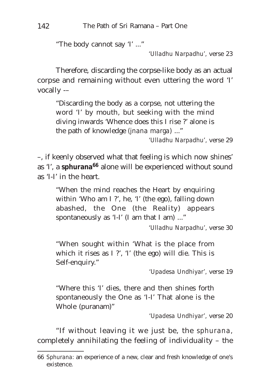"The body cannot say 'I' ..."

*'Ulladhu Narpadhu',* verse 23

Therefore, discarding the corpse-like body as an actual corpse and remaining without even uttering the word 'I' vocally -–

"Discarding the body as a corpse, not uttering the word 'I' by mouth, but seeking with the mind diving inwards 'Whence does this I rise ?' alone is the path of knowledge *(jnana marga)* ..."

*'Ulladhu Narpadhu',* verse 29

–, if keenly observed what that feeling is which now shines' as 'I', a **sphurana66** alone will be experienced without sound as 'I-I' in the heart.

"When the mind reaches the Heart by enquiring within 'Who am I ?', he, 'I' (the ego), falling down abashed, the One (the Reality) appears spontaneously as 'I-I' (I am that I am) ..."

*'Ulladhu Narpadhu',* verse 30

"When sought within 'What is the place from which it rises as I ?', 'I' (the ego) will die. This is Self-enquiry."

*'Upadesa Undhiyar',* verse 19

"Where this 'I' dies, there and then shines forth spontaneously the One as 'I-I' That alone is the Whole (puranam)"

*'Upadesa Undhiyar',* verse 20

"If without leaving it we just be, the *sphurana,* completely annihilating the feeling of individuality – the

<sup>66</sup> *Sphurana:* an experience of a new, clear and fresh knowledge of one's existence.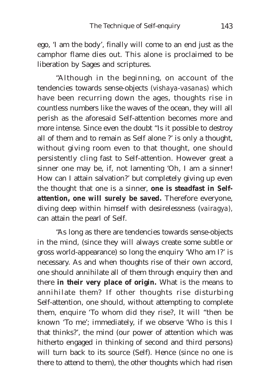ego, 'I am the body', finally will come to an end just as the camphor flame dies out. This alone is proclaimed to be liberation by Sages and scriptures.

"Although in the beginning, on account of the tendencies towards sense-objects *(vishaya-vasanas)* which have been recurring down the ages, thoughts rise in countless numbers like the waves of the ocean, they will all perish as the aforesaid Self-attention becomes more and more intense. Since even the doubt "Is it possible to destroy all of them and to remain as Self alone ?' is only a thought, without giving room even to that thought, one should persistently cling fast to Self-attention. However great a sinner one may be, if, not lamenting 'Oh, I am a sinner! How can I attain salvation?' but completely giving up even the thought that one is a sinner, **one is steadfast in Selfattention, one will surely be saved.** Therefore everyone, diving deep within himself with desirelessness (*vairagya),* can attain the pearl of Self.

"As long as there are tendencies towards sense-objects in the mind, (since they will always create some subtle or gross world-appearance) so long the enquiry 'Who am I?' is necessary. As and when thoughts rise of their own accord, one should annihilate all of them through enquiry then and there **in their very place of origin.** What is the means to annihilate them? If other thoughts rise disturbing Self-attention, one should, without attempting to complete them, enquire 'To whom did they rise?, It will "then be known 'To me'; immediately, if we observe 'Who is this I that thinks?', the mind (our power of attention which was hitherto engaged in thinking of second and third persons) will turn back to its source (Self). Hence (since no one is there to attend to them), the other thoughts which had risen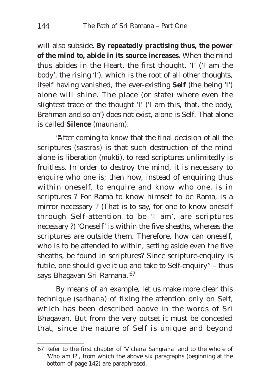will also subside. **By repeatedly practising thus, the power of the mind to, abide in its source increases.** When the mind thus abides in the Heart, the first thought, 'I' ('I am the body', the rising 'I'), which is the root of all other thoughts, itself having vanished, the ever-existing **Self** (the being 'I') alone will shine. The place (or state) where even the slightest trace of the thought 'I' ('I am this, that, the body, Brahman and so on') does not exist, alone is Self. That alone is called **Silence** *(maunam).*

"After coming to know that the final decision of all the scriptures *(sastras)* is that such destruction of the mind alone is liberation *(mukti),* to read scriptures unlimitedly is fruitless. In order to destroy the mind, it is necessary to enquire who one is; then how, instead of enquiring thus within oneself, to enquire and know who one, is in scriptures ? For Rama to know himself to be Rama, is a mirror necessary ? (That is to say, for one to know oneself through Self-attention to be 'I am', are scriptures necessary ?) 'Oneself' is within the five sheaths, whereas the scriptures are outside them. Therefore, how can oneself, who is to be attended to within, setting aside even the five sheaths, be found in scriptures? Since scripture-enquiry is futile, one should give it up and take to Self-enquiry" – thus says Bhagavan Sri Ramana. 67

By means of an example, let us make more clear this technique *(sadhana)* of fixing the attention only on Self, which has been described above in the words of Sri Bhagavan. But from the very outset it must be conceded that, since the nature of Self is unique and beyond

<sup>67</sup> Refer to the first chapter of 'V*ichara Sangraha'* and to the whole of '*Who am I?',* from which the above six paragraphs (beginning at the bottom of page 142) are paraphrased.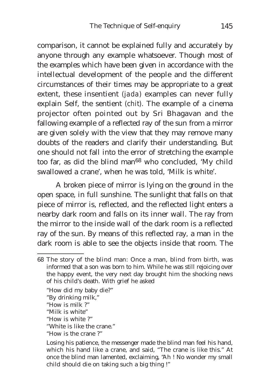comparison, it cannot be explained fully and accurately by anyone through any example whatsoever. Though most of the examples which have been given in accordance with the intellectual development of the people and the different circumstances of their times may be appropriate to a great extent, these insentient *(jada)* examples can never fully explain Self, the sentient *(chit).* The example of a cinema projector often pointed out by Sri Bhagavan and the fallowing example of a reflected ray of the sun from a mirror are given solely with the view that they may remove many doubts of the readers and clarify their understanding. But one should not fall into the error of stretching the example too far, as did the blind man<sup>68</sup> who concluded, 'My child swallowed a crane', when he was told, 'Milk is white'.

A broken piece of mirror is lying on the ground in the open space, in full sunshine. The sunlight that falls on that piece of mirror is, reflected, and the reflected light enters a nearby dark room and falls on its inner wall. The ray from the mirror to the inside wall of the dark room is a reflected ray of the sun. By means of this reflected ray*,* a man in the dark room is able to see the objects inside that room. The

- "How did my baby die?"
- "By drinking milk,"
- "How is milk ?"
- "Milk is white"
- "How is white ?"
- ''White is like the crane."
- "How is the crane ?"

<sup>68</sup> The story of the blind man: Once a man, blind from birth, was informed that a son was born to him. While he was still rejoicing over the happy event, the very next day brought him the shocking news of his child's death. With grief he asked

Losing his patience, the messenger made the blind man feel his hand, which his hand like a crane, and said, "The crane is like this." At once the blind man lamented, exclaiming, "Ah ! No wonder my *s*mall child should die on taking such a big thing !"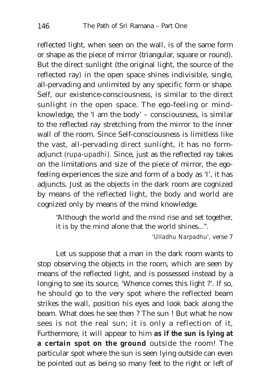reflected light, when seen on the wall, is of the same form or shape as the piece of mirror (triangular, square or round). But the direct sunlight (the original light, the source of the reflected ray*)* in the open space shines indivisible, single, all-pervading and unlimited by any specific form or shape. Self, our existence-consciousness, is similar to the direct sunlight in the open space. The ego-feeling or mindknowledge, the 'I am the body' – consciousness, is similar to the reflected ray stretching from the mirror to the inner wall of the room. Since Self-consciousness is limitless like the vast, all-pervading direct sunlight, it has no formadjunct *(rupa-upadhi).* Since, just as the reflected ray takes on the limitations and size of the piece of mirror, the egofeeling experiences the size and form of a body as 'I', it has adjuncts. Just as the objects in the dark room are cognized by means of the reflected light, the body and world are cognized only by means of the mind knowledge.

"Although the world and the mind rise and set together, it is by the mind alone that the world shines...".

*'Ulladhu Narpadhu',* verse 7

Let us suppose that a man in the dark room wants to stop observing the objects in the room, which are seen by means of the reflected light, and is possessed instead by a longing to see its source, 'Whence comes this light ?'. If so, he should go to the very spot where the reflected beam strikes the wall, position his eyes and look back along the beam. What does he see then ? The sun ! But what he now sees is not the real sun; it is only a reflection of it, Furthermore, it will appear to him **as if the sun is lying at a certain spot on the ground** outside the room! The particular spot where the sun is seen lying outside can even be pointed out as being so many feet to the right or left of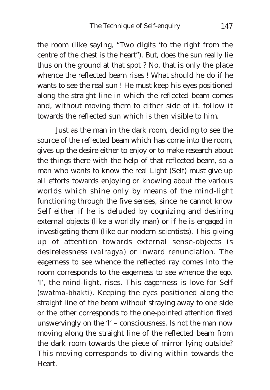the room (like saying, "Two digits 'to the right from the centre of the chest is the heart"). But, does the sun really lie thus on the ground at that spot ? No, that is only the place whence the reflected beam rises ! What should he do if he wants to see the real sun ! He must keep his eyes positioned along the straight line in which the reflected beam comes and, without moving them to either side of it. follow it towards the reflected sun which is then visible to him.

Just as the man in the dark room, deciding to see the source of the reflected beam which has come into the room, gives up the desire either to enjoy or to make research about the things there with the help of that reflected beam, so a man who wants to know the real Light (Self) must give up all efforts towards enjoying or knowing about the various worlds which shine only by means of the mind-light functioning through the five senses, since he cannot know Self either if he is deluded by cognizing and desiring external objects (like a worldly man) or if he is engaged in investigating them (like our modern scientists). This giving up of attention towards external sense-objects is desirelessness *(vairagya)* or inward renunciation. The eagerness to see whence the reflected ray comes into the room corresponds to the eagerness to see whence the ego. 'I', the mind-light, rises. This eagerness is love for Self *(swatma-bhakti).* Keeping the eyes positioned along the straight line of the beam without straying away to one side or the other corresponds to the one-pointed attention fixed unswervingly on the 'I' – consciousness. Is not the man now moving along the straight line of the reflected beam from the dark room towards the piece of mirror lying outside? This moving corresponds to diving within towards the Heart.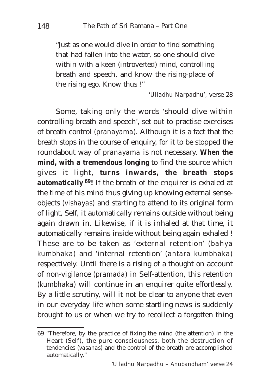"Just as one would dive in order to find something that had fallen into the water, so one should dive within with a keen (introverted) mind, controlling breath and speech, and know the rising-place of the rising ego. Know thus !"

*'Ulladhu Narpadhu',* verse 28

Some, taking only the words 'should dive within controlling breath and speech', set out to practise exercises of breath control *(pranayama).* Although it is a fact that the breath stops in the course of enquiry, for it to be stopped the roundabout way of *pranayama* is not necessary. **When the mind, with a tremendous longing** to find the source which gives it light, **turns inwards, the breath stops automatically 69!** If the breath of the enquirer is exhaled at the time of his mind thus giving up knowing external senseobjects *(vishayas)* and starting to attend to its original form of light, Self, it automatically remains outside without being again drawn in. Likewise, if it is inhaled at that time, it automatically remains inside without being again exhaled ! These are to be taken as 'external retention' *(bahya kumbhaka)* and 'internal retention' *(antara kumbhaka)* respectively. Until there is a rising of a thought on account of non-vigilance *(pramada)* in Self-attention, this retention *(kumbhaka)* will continue in an enquirer quite effortlessly. By a little scrutiny, will it not be clear to anyone that even in our everyday life when some startling news is suddenly brought to us or when we try to recollect a forgotten thing

<sup>69 &</sup>quot;Therefore, by the practice of fixing the mind (the attention) in the Heart (Self), the pure consciousness, both the destruction of tendencies *(vasanas)* and the control of the breath are accomplished automatically."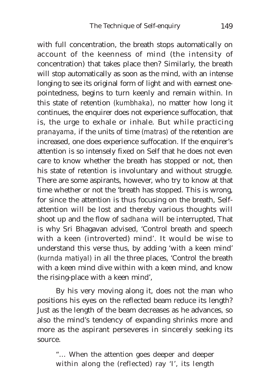with full concentration, the breath stops automatically on account of the keenness of mind (the intensity of concentration) that takes place then? Similarly, the breath will stop automatically as soon as the mind, with an intense longing to see its original form of light and with earnest onepointedness, begins to turn keenly and remain within. In this state of retention *(kumbhaka),* no matter how long it continues, the enquirer does not experience suffocation, that is, the urge to exhale or inhale. But while practicing *pranayama,* if the units of time *(matras)* of the retention are increased, one does experience suffocation. If the enquirer's attention is so intensely fixed on Self that he does not even care to know whether the breath has stopped or not, then his state of retention is involuntary and without struggle. There are some aspirants, however, who try to know at that time whether or not the 'breath has stopped. This is wrong, for since the attention is thus focusing on the breath, Selfattention will be lost and thereby various thoughts will shoot up and the flow of *sadhana* will be interrupted, That is why Sri Bhagavan advised, 'Control breath and speech with a keen (introverted) mind'. It would be wise to understand this verse thus, by adding 'with a keen mind' *(kurnda matiyal)* in all the three places, 'Control the breath with a keen mind dive within with a keen mind, and know the rising-place with a keen mind',

By his very moving along it, does not the man who positions his eyes on the reflected beam reduce its length? Just as the length of the beam decreases as he advances, so also the mind's tendency of expanding shrinks more and more as the aspirant perseveres in sincerely seeking its source.

"… When the attention goes deeper and deeper within along the (reflected) ray 'I', its length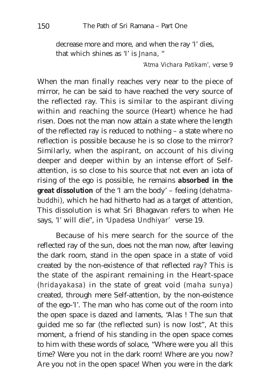decrease more and more, and when the ray 'I' dies, that which shines as 'I' is *Jnana,* "

*'Atma Vichara Patikam',* verse 9

When the man finally reaches very near to the piece of mirror, he can be said to have reached the very source of the reflected ray. This is similar to the aspirant diving within and reaching the source (Heart) whence he had risen. Does not the man now attain a state where the length of the reflected ray is reduced to nothing – a state where no reflection is possible because he is so close to the mirror? Similarly, when the aspirant, on account of his diving deeper and deeper within by an intense effort of Selfattention, is so close to his source that not even an iota of rising of the ego is possible, he remains **absorbed in the great dissolution** of the 'I am the body' – feeling *(dehatmabuddhi),* which he had hitherto had as a target of attention, This dissolution is what Sri Bhagavan refers to when He says, 'I' will die", in '*Upadesa Undhiyar'* verse 19.

Because of his mere search for the source of the reflected ray of the sun, does not the man now, after leaving the dark room, stand in the open space in a state of void created by the non-existence of that reflected ray? This is the state of the aspirant remaining in the Heart-space *(hridayakasa)* in the state of great void *(maha sunya)* created, through mere Self-attention, by the non-existence of the ego-'I'. The man who has come out of the room into the open space is dazed and laments, "Alas ! The sun that guided me so far (the reflected sun) is now lost", At this moment, a friend of his standing in the open space comes to him with these words of solace, "Where were you all this time? Were you not in the dark room! Where are you now? Are you not in the open space! When you were in the dark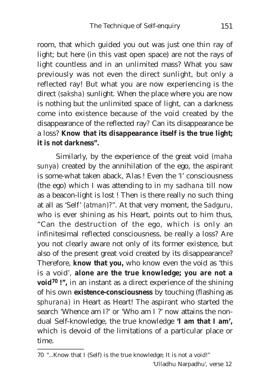room, that which guided you out was just one thin ray of light; but here (in this vast open space) are not the rays of light countless and in an unlimited mass? What you saw previously was not even the direct sunlight, but only a reflected ray! But what you are now experiencing is the direct *(saksha)* sunlight. When the place where you are now is nothing but the unlimited space of light, can a darkness come into existence because of the void created by the disappearance of the reflected ray*?* Can its disappearance be a loss? **Know that its disappearance itself is the true light; it is not darkness".**

Similarly, by the experience of the great void *(maha sunya)* created by the annihilation of the ego, the aspirant is some-what taken aback, 'Alas ! Even the 'I' consciousness (the ego) which I was attending to in *my sadhana* till now as a beacon-light is lost ! Then is there really no such thing at all as 'Self' *(atman)?*". At that very moment, the *Sadguru,* who is ever shining as his Heart, points out to him thus, "Can the destruction of the ego, which is only an infinitesimal reflected consciousness, be really a loss? Are you not clearly aware not only of its former existence, but also of the present great void created by its disappearance? Therefore, **know that you,** who know even the void as 'this is a void', **alone are the true knowledge; you are not a void70 !",** in an instant as a direct experience of the shining of his own **existence-consciousness** by touching (flashing as *sphurana)* in Heart as Heart! The aspirant who started the search 'Whence am I?' or 'Who am I ?' now attains the nondual Self-knowledge, the true knowledge **'I am that I am',** which is devoid of the limitations of a particular place or time.

<sup>70 &</sup>quot;...Know that I (Self) is the true knowledge; It is not a void!"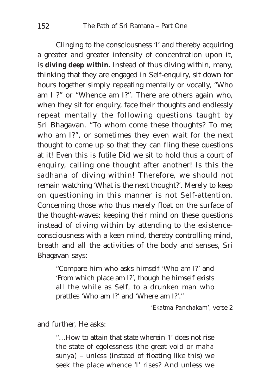Clinging to the consciousness 'I' and thereby acquiring a greater and greater intensity of concentration upon it, is **diving deep within.** Instead of thus diving within, many, thinking that they are engaged in Self-enquiry, sit down for hours together simply repeating mentally or vocally, "Who am I ?" or "Whence am I?". There are others again who, when they sit for enquiry, face their thoughts and endlessly repeat mentally the following questions taught by Sri Bhagavan. "To whom come these thoughts? To me; who am I?", or sometimes they even wait for the next thought to come up so that they can fling these questions at it! Even this is futile Did we sit to hold thus a court of enquiry, calling one thought after another! Is this the *sadhana* of diving within! Therefore, we should not remain watching 'What is the next thought?'. Merely to keep on questioning in this manner is not Self-attention. Concerning those who thus merely float on the surface of the thought-waves; keeping their mind on these questions instead of diving within by attending to the existenceconsciousness with a keen mind, thereby controlling mind, breath and all the activities of the body and senses, Sri Bhagavan says:

"Compare him who asks himself 'Who am I?' and 'From which place am I?', though he himself exists all the while as Self, to a drunken man who prattles 'Who am I?' and 'Where am I?'."

*'Ekatma Panchakam',* verse 2

and further, He asks:

"…How to attain that state wherein 'I' does not rise the state of egolessness (the great void or *maha sunya)* – unless (instead of floating like this) we seek the place whence 'I' rises? And unless we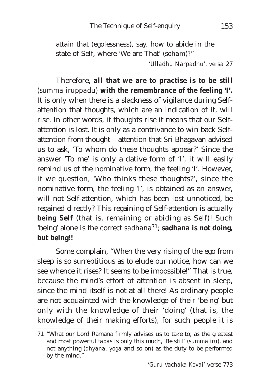attain that (egolessness), say, how to abide in the state of Self, where 'We are That' *(soham)?*" *'Ulladhu Narpadhu', versa* 27

Therefore, **all that we are to practise is to be still** *(summa iruppadu)* **with the remembrance of the feeling 'I'.** It is only when there is a slackness of vigilance during Selfattention that thoughts, which are an indication of it, will rise. In other words, if thoughts rise it means that our Selfattention is lost. It is only as a contrivance to win back Selfattention from thought – attention that Sri Bhagavan advised us to ask, 'To whom do these thoughts appear?' Since the answer 'To me' is only a dative form of 'I', it will easily remind us of the nominative form, the feeling 'I'. However, if we question, 'Who thinks these thoughts?*',* since the nominative form, the feeling 'I', is obtained as an answer, will not Self-attention, which has been lost unnoticed, be regained directly? This regaining of Self-attention is actually **being Self** (that is, remaining or abiding as Self)! Such 'being' alone is the correct *sadhana71;* **sadhana is not doing, but being!!**

Some complain, "When the very rising of the ego from sleep is so surreptitious as to elude our notice, how can we see whence it rises? It seems to be impossible!" That is true, because the mind's effort of attention is absent in sleep, since the mind itself is not at all there! As ordinary people are not acquainted with the knowledge of their 'being' but only with the knowledge of their 'doing' (that is, the knowledge of their making efforts), for such people it is

<sup>71 &</sup>quot;What our Lord Ramana firmly advises us to take to, as the greatest and most powerful *tapas* is only this much, 'Be still' *(summa iru),* and not anything *(dhyana, yoga* and so on) as the duty to be performed by the mind."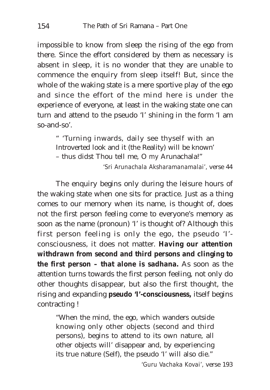impossible to know from sleep the rising of the ego from there. Since the effort considered by them as necessary is absent in sleep, it is no wonder that they are unable to commence the enquiry from sleep itself! But, since the whole of the waking state is a mere sportive play of the ego and since the effort of the mind here is under the experience of everyone, at least in the waking state one can turn and attend to the pseudo 'I' shining in the form 'I am so-and-so'.

" 'Turning inwards, daily see thyself with an Introverted look and it (the Reality) will be known' – thus didst Thou tell me, O *my* Arunachala!" *'Sri Arunachala Aksharamanamalai',* verse 44

The enquiry begins only during the leisure hours of the waking state when one sits for practice. Just as a thing comes to our memory when its name, is thought of, does not the first person feeling come to everyone's memory as soon as the name (pronoun) 'I' is thought of? Although this first person feeling is only the ego, the pseudo 'I' consciousness, it does not matter. **Having our attention withdrawn from second and third persons and clinging to the first person – that alone is sadhana.** As soon as the attention turns towards the first person feeling, not only do other thoughts disappear, but also the first thought, the rising and expanding **pseudo 'I'-consciousness,** itself begins contracting !

"When the mind, the ego, which wanders outside knowing only other objects (second and third persons), begins to attend to its own nature, all other objects will' disappear and, by experiencing its true nature (Self), the pseudo 'I' will also die."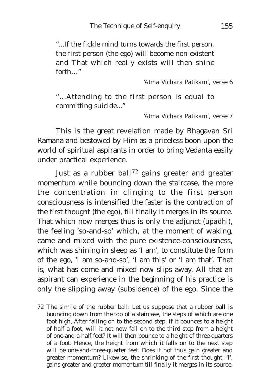"...If the fickle mind turns towards the first person, the first person (the ego) will become non-existent and That which really exists will then shine forth "

*'Atma Vichara Patikam',* verse 6

"...Attending to the first person is equal to committing suicide..."

*'Atma Vichara Patikam',* verse 7

This is the great revelation made by Bhagavan Sri Ramana and bestowed by Him as a priceless boon upon the world of spiritual aspirants in order to bring Vedanta easily under practical experience.

Just as a rubber ball<sup>72</sup> gains greater and greater momentum while bouncing down the staircase, the more the concentration in clinging to the first person consciousness is intensified the faster is the contraction of the first thought (the ego), till finally it merges in its source. That which now merges thus is only the adjunct *(upadhi)*, the feeling 'so-and-so' which, at the moment of waking, came and mixed with the pure existence-consciousness, which was shining in sleep as 'I am', to constitute the form of the ego, 'I am so-and-so', 'I am this' or 'I am that'. That is, what has come and mixed now slips away. All that an aspirant can experience in the beginning of his practice is only the slipping away (subsidence) of the ego. Since the

<sup>72</sup> The simile of the rubber ball: Let us suppose that a rubber ball is bouncing down from the top of a staircase, the steps of which are one foot high, After falling on to the second step, if it bounces to a height of half a foot, will it not now fall on to the third step from a height of one-and-a-half feet? It will then bounce to a height of three-quarters of a foot. Hence, the height from which it falls on to the next step will be one-and-three-quarter feet. Does it not thus gain greater and greater momentum? Likewise, the shrinking of the first thought, 'I', gains greater and greater momentum till finally it merges in its source.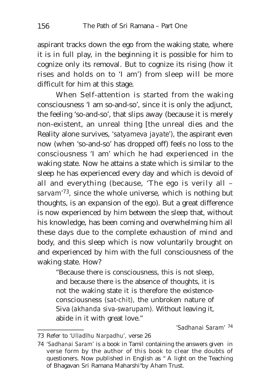aspirant tracks down the ego from the waking state, where it is in full play, in the beginning it is possible for him to cognize only its removal. But to cognize its rising (how it rises and holds on to 'I am') from sleep will be more difficult for him at this stage.

When Self-attention is started from the waking consciousness 'I am so-and-so', since it is only the adjunct, the feeling 'so-and-so', that slips away (because it is merely non-existent, an unreal thing [the unreal dies and the Reality alone survives, *'satyameva jayate'),* the aspirant even now (when 'so-and-so' has dropped off) feels no loss to the consciousness 'I am' which he had experienced in the waking state. Now he attains a state which is similar to the sleep he has experienced every day and which is devoid of all and everything (because, 'The ego is verily all – *sarvam'73,* since the whole universe, which is nothing but thoughts, is an expansion of the ego). But a great difference is now experienced by him between the sleep that, without his knowledge, has been coming and overwhelming him all these days due to the complete exhaustion of mind and body, and this sleep which is now voluntarily brought on and experienced by him with the full consciousness of the waking state. How?

"Because there is consciousness, this is not sleep, and because there is the absence of thoughts, it is not the waking state it is therefore the existenceconsciousness *(sat-chit),* the unbroken nature of Siva *(akhanda siva-swarupam).* Without leaving it, abide in it with great love."

*'Sadhanai Saram'* <sup>74</sup>

<sup>73</sup> Refer to *'Ulladlhu Narpadhu',* verse 26

<sup>74</sup> *'Sadhanai Saram'* is a book in Tamil containing the answers given in verse form by the author of this book to clear the doubts of questioners. Now published in English as " A light on the Teaching of Bhagavan Sri Ramana Maharshi"by Aham Trust.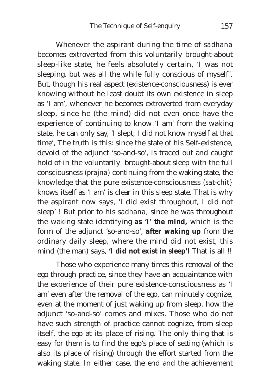Whenever the aspirant during the time of *sadhana* becomes extroverted from this voluntarily brought-about sleep-like state, he feels absolutely certain, 'I was not sleeping, but was all the while fully conscious of myself'. But, though his real aspect (existence-consciousness) is ever knowing without he least doubt its own existence in sleep as 'I am', whenever he becomes extroverted from everyday sleep, since he (the mind) did not even once have the experience of continuing to know 'I am' from the waking state, he can only say, 'I slept, I did not know myself at that time', The truth is this: since the state of his Self-existence, devoid of the adjunct 'so-and-so', is traced out and caught hold of in the voluntarily brought-about sleep with the full consciousness *(prajna)* continuing from the waking state, the knowledge that the pure existence-consciousness *(sat-chit}* knows itself as 'I am' is clear in this sleep state. That is why the aspirant now says, 'I did exist throughout, I did not sleep' ! But prior to his *sadhana,* since he was throughout the waking state identifying **as 'I' the mind,** which is the form of the adjunct 'so-and-so', **after waking up** from the ordinary daily sleep, where the mind did not exist, this mind (the man) says, **'I did not exist in sleep'!** That is all !!

Those who experience many times this removal of the ego through practice, since they have an acquaintance with the experience of their pure existence-consciousness as 'I am' even after the removal of the ego, can minutely cognize, even at the moment of just waking up from sleep, how the adjunct 'so-and-so' comes and mixes. Those who do not have such strength of practice cannot cognize, from sleep itself, the ego at its place of rising. The only thing that is easy for them is to find the ego's place of setting (which is also its place of rising) through the effort started from the waking state. In either case, the end and the achievement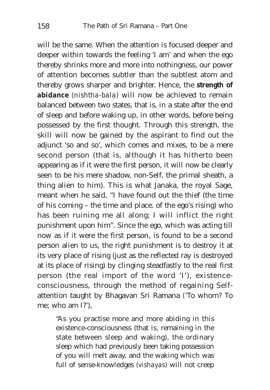will be the same. When the attention is focused deeper and deeper within towards the feeling 'I am' and when the ego thereby shrinks more and more into nothingness, our power of attention becomes subtler than the subtlest atom and thereby grows sharper and brighter. Hence, the **strength of abidance** *(nishtha-bala)* will now be achieved to remain balanced between two states, that is, in a state after the end of sleep and before waking up, in other words, before being possessed by the first thought. Through this strength, the skill will now be gained by the aspirant to find out the adjunct 'so and so', which comes and mixes, to be a mere second person (that is, although it has hitherto been appearing as if it were the first person, it will now be clearly seen to be his mere shadow, non-Self, the primal sheath, a thing alien to him). This is what Janaka, the royal Sage, meant when he said, "I have found out the thief (the time of his coming – the time and place. of the ego's rising) who has been ruining me all along; I will inflict the right punishment upon him". Since the ego, which was acting till now as if it were the first person, is found to be a second person alien to us, the right punishment is to destroy it at its very place of rising (just as the reflected ray is destroyed at its place of rising) by clinging steadfastly to the real first person (the real import of the word 'I'), existenceconsciousness, through the method of regaining Selfattention taught by Bhagavan Sri Ramana *(*'To whom? To me; who am I?'),

"As you practise more and more abiding in this existence-consciousness (that is, remaining in the state between sleep and waking), the ordinary sleep which had previously been taking possession of you will melt away, and the waking which was full of sense-knowledges *(vishayas)* will not creep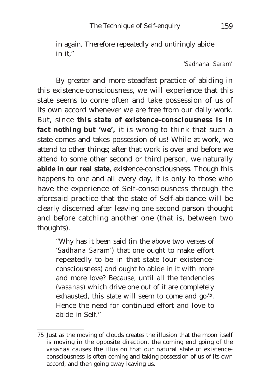in again, Therefore repeatedly and untiringly abide  $in$  it,"

*'Sadhanai Saram'*

By greater and more steadfast practice of abiding in this existence-consciousness, we will experience that this state seems to come often and take possession of us of its own accord whenever we are free from our daily work. But, since **this state of existence-consciousness is in fact nothing but 'we',** it is wrong to think that such a state comes and takes possession of us! While at work, we attend to other things; after that work is over and before we attend to some other second or third person, we naturally **abide in our real state,** existence-consciousness. Though this happens to one and all every day, it is only to those who have the experience of Self-consciousness through the aforesaid practice that the state of Self-abidance will be clearly discerned after leaving one second parson thought and before catching another one (that is, between two thoughts).

"Why has it been said (in the above two verses of *'Sadhana Saram')* that one ought to make effort repeatedly to be in that state (our existenceconsciousness) and ought to abide in it with more and more love? Because, until all the tendencies *(vasanas)* which drive one out of it are completely exhausted, this state will seem to come and  $g_0^{75}$ . Hence the need for continued effort and love to abide in Self."

<sup>75</sup> Just as the moving of clouds creates the illusion that the moon itself is moving in the opposite direction, the coming end going of the *vasanas* causes the illusion that our natural state of existenceconsciousness is often coming and taking possession of us of its own accord, and then going away leaving us.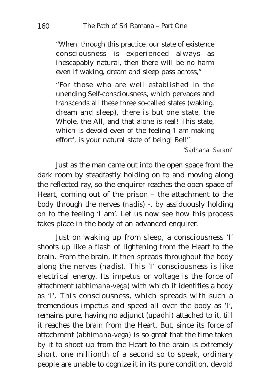"When, through this practice, our state of existence consciousness is experienced always as inescapably natural, then there will be no harm even if waking, dream and sleep pass across,"

"For those who are well established in the unending Self-consciousness, which pervades and transcends all these three so-called states (waking, dream and sleep), there is but one state, the Whole, the All, and that alone is real! This state, which is devoid even of the feeling 'I am making effort', is your natural state of being! Be!!"

*'Sadhanai Saram'*

Just as the man came out into the open space from the dark room by steadfastly holding on to and moving along the reflected ray, so the enquirer reaches the open space of Heart, coming out of the prison – the attachment to the body through the nerves *(nadis)* -, by assiduously holding on to the feeling 'I am'. Let us now see how this process takes place in the body of an advanced enquirer.

Just on waking up from sleep, a consciousness 'I' shoots up like a flash of lightening from the Heart to the brain. From the brain, it then spreads throughout the body along the nerves *(nadis).* This 'I' consciousness is like electrical energy. Its impetus or voltage is the force of attachment *(abhimana-vega)* with which it identifies a body as 'I'. This consciousness, which spreads with such a tremendous impetus and speed all over the body as 'I', remains pure, having no adjunct *(upadhi)* attached to it, till it reaches the brain from the Heart. But, since its force of attachment *(abhimana-vega)* is so great that the time taken by it to shoot up from the Heart to the brain is extremely short, one millionth of a second so to speak, ordinary people are unable to cognize it in its pure condition, devoid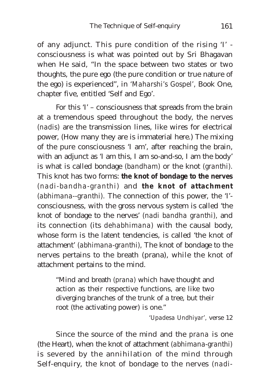of any adjunct. This pure condition of the rising 'I' consciousness is what was pointed out by Sri Bhagavan when He said, "In the space between two states or two thoughts, the pure ego (the pure condition or true nature of the ego) is experienced", in *'Maharshi's Gospel',* Book One, chapter five, entitled 'Self and Ego'.

For this 'I' – consciousness that spreads from the brain at a tremendous speed throughout the body, the nerves *(nadis)* are the transmission lines, like wires for electrical power, (How many they are is immaterial here.) The mixing of the pure consciousness 'I am', after reaching the brain, with an adjunct as 'I am this, I am so-and-so, I am the body' is what is called bondage *(bandham)* or the knot *(granthi).* This knot has two forms: **the knot of bondage to the nerves** *(nadi-bandha-granthi)* and **the knot of attachment** *(abhimana--granthi).* The connection of this power, the 'I' consciousness, with the gross nervous system is called 'the knot of bondage to the nerves' *(nadi bandha granthi),* and its connection (its *dehabhimana)* with the causal body, whose form is the latent tendencies, is called 'the knot of attachment' *(abhimana-granthi),* The knot of bondage to the nerves pertains to the breath (prana), while the knot of attachment pertains to the mind.

"Mind and breath *(prana)* which have thought and action as their respective functions, are like two diverging branches of the trunk of a tree, but their root (the activating power) is one."

*'Upadesa Undhiyar',* verse 12

Since the source of the mind and the *prana* is one (the Heart), when the knot of attachment *(abhimana-granthi)* is severed by the annihilation of the mind through Self-enquiry, the knot of bondage to the nerves *(nadi-*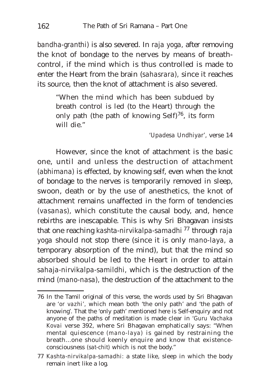*bandha-granthi)* is also severed. In *raja yoga,* after removing the knot of bondage to the nerves by means of breathcontrol, if the mind which is thus controlled is made to enter the Heart from the brain (*sahasrara),* since it reaches its source, then the knot of attachment is also severed.

"When the mind which has been subdued by breath control is led (to the Heart) through the only path (the path of knowing Self) $76$ , its form will die."

*'Upadesa Undhiyar',* verse 14

However, since the knot of attachment is the basic one, until and unless the destruction of attachment *(abhimana)* is effected, by knowing self, even when the knot of bondage to the nerves is temporarily removed in sleep, swoon, death or by the use of anesthetics, the knot of attachment remains unaffected in the form of tendencies *(vasanas),* which constitute the causal body, and, hence rebirths are inescapable. This is why Sri Bhagavan insists that one reaching *kashta-nirvikalpa-samadhi* <sup>77</sup> through *raja yoga* should not stop there (since it is only *mano-laya,* a temporary absorption of the mind), but that the mind so absorbed should be led to the Heart in order to attain *sahaja-nirvikalpa-samildhi,* which is the destruction of the mind *(mano-nasa),* the destruction of the attachment to the

<sup>76</sup> In the Tamil original of this verse, the words used by Sri Bhagavan are *'or vazhi',* which mean both 'the only path' and 'the path of knowing'. That the 'only path' mentioned here is Self-enquiry and not anyone of the paths of meditation is made clear in *'Guru Vachaka Kovai* verse 392, where Sri Bhagavan emphatically says: "When mental quiescence *(mano-laya)* is gained by restraining the breath...one should keenly enquire and know that existenceconsciousness *(sat-chit)* which is not the body."

<sup>77</sup> *Kashta-nirvikalpa-samadhi:* a state like, sleep in which the body remain inert like a log*.*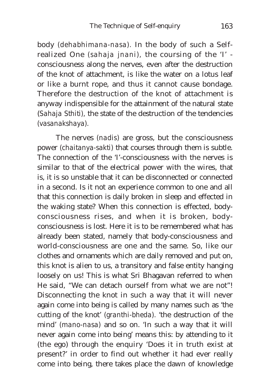body *(dehabhimana-nasa).* In the body of such a Selfrealized One *(sahaja jnani),* the coursing of the 'I' consciousness along the nerves, even after the destruction of the knot of attachment, is like the water on a lotus leaf or like a burnt rope, and thus it cannot cause bondage. Therefore the destruction of the knot of attachment is anyway indispensible for the attainment of the natural state (*Sahaja Sthiti),* the state of the destruction of the tendencies *(vasanakshaya).*

The nerves *(nadis)* are gross, but the consciousness power *(chaitanya-sakti)* that courses through them is subtle. The connection of the 'I'-consciousness with the nerves is similar to that of the electrical power with the wires, that is, it is so unstable that it can be disconnected or connected in a second. Is it not an experience common to one and all that this connection is daily broken in sleep and effected in the waking state? When this connection is effected, bodyconsciousness rises, and when it is broken, bodyconsciousness is lost. Here it is to be remembered what has already been stated, namely that body-consciousness and world-consciousness are one and the same. So, like our clothes and ornaments which are daily removed and put on, this knot is alien to us, a transitory and false entity hanging loosely on us! This is what Sri Bhagavan referred to when He said, "We can detach ourself from what we are not"! Disconnecting the knot in such a way that it will never again come into being is called by many names such as 'the cutting of the knot' *(granthi-bheda).* 'the destruction of the mind' *(mano-nasa)* and so on. 'In such a way that it will never again come into being' means this: by attending to it (the ego) through the enquiry 'Does it in truth exist at present?' in order to find out whether it had ever really come into being, there takes place the dawn of knowledge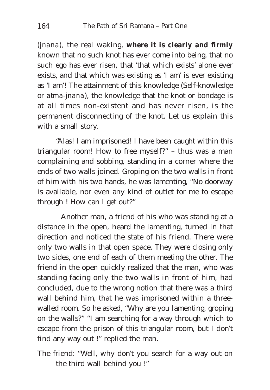*(jnana),* the real waking, **where it is clearly and firmly** known that no such knot has ever come into being, that no such ego has ever risen, that 'that which exists' alone ever exists, and that which was existing as 'I am' is ever existing as 'I am'! The attainment of this knowledge (Self-knowledge or *atma-jnana*), the knowledge that the knot or bondage is at all times non-existent and has never risen, is the permanent disconnecting of the knot. Let us explain this with a small story.

"Alas! I am imprisoned! I have been caught within this triangular room! How to free myself?" – thus was a man complaining and sobbing, standing in a corner where the ends of two walls joined. Groping on the two walls in front of him with his two hands, he was lamenting, "No doorway is available, nor even any kind of outlet for me to escape through ! How can I get out?"

Another man, a friend of his who was standing at a distance in the open, heard the lamenting, turned in that direction and noticed the state of his friend. There were only two walls in that open space. They were closing only two sides, one end of each of them meeting the other. The friend in the open quickly realized that the man, who was standing facing only the two walls in front of him, had concluded, due to the wrong notion that there was a third wall behind him, that he was imprisoned within a threewalled room. So he asked, "Why are you lamenting, groping on the walls?" "I am searching for a way through which to escape from the prison of this triangular room, but I don't find any way out !" replied the man.

The friend: "Well, why don't you search for a way out on the third wall behind you !"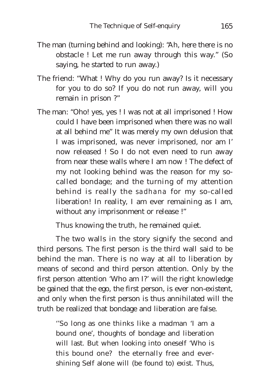- The man (turning behind and looking): "Ah, here there is no obstacle ! Let me run away through this way." (So saying, he started to run away.)
- The friend: "What ! Why do you run away? Is it necessary for you to do so? If you do not run away, will you remain in prison ?"
- The man: "Oho! yes, yes ! I was not at all imprisoned ! How could I have been imprisoned when there was no wall at all behind me" It was merely my own delusion that I was imprisoned, was never imprisoned, nor am I' now released ! So I do not even need to run away from near these walls where I am now ! The defect of my not looking behind was the reason for my socalled bondage; and the turning of my attention behind is really the *sadhana* for my so-called liberation! In reality, I am ever remaining as I am, without any imprisonment or release !"

Thus knowing the truth, he remained quiet.

The two walls in the story signify the second and third persons. The first person is the third wall said to be behind the man. There is no way at all to liberation by means of second and third person attention. Only by the first person attention 'Who am I?' will the right knowledge be gained that the ego, the first person, is ever non-existent, and only when the first person is thus annihilated will the truth be realized that bondage and liberation are false.

''So long as one thinks like a madman 'I am a bound one', thoughts of bondage and liberation will last. But when looking into oneself 'Who is this bound one? the eternally free and evershining Self alone will (be found to) exist. Thus,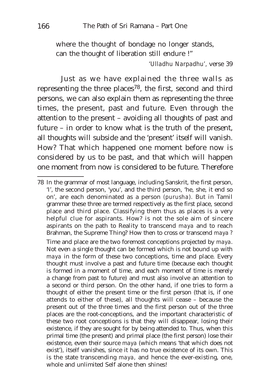where the thought of bondage no longer stands, can the thought of liberation still endure !"

*'Ulladhu Narpadhu',* verse 39

Just as we have explained the three walls as representing the three places<sup>78</sup>, the first, second and third persons, we can also explain them as representing the three times, the present, past and future. Even through the attention to the present – avoiding all thoughts of past and future – in order to know what is the truth of the present, all thoughts will subside and the 'present' itself will vanish. How? That which happened one moment before now is considered by us to be past, and that which will happen one moment from now is considered to be future. Therefore

Time and place are the two foremost conceptions projected by *maya*. Not even a single thought can be formed which is not bound up with *maya* in the form of these two conceptions, time and place. Every thought must involve a past and future time (because each thought is formed in a moment of time, and each moment of time is merely a change from past to future) and must also involve an attention to a second or third person. On the other hand, if one tries to form a thought of either the present time or the first person (that is, if one attends to either of these), all thoughts will cease – because the present out of the three times and the first person out of the three places are the root-conceptions, and the important characteristic of these two root conceptions is that they will disappear, losing their existence, if they are sought for by being attended to. Thus, when this primal time (the present) and primal place (the first person) lose their existence, even their source *maya* (which means 'that which does not exist'), itself vanishes, since it has no true existence of its own. This is the state transcending *maya,* and hence the ever-existing, one, whole and unlimited Self alone then shines!

<sup>78</sup> In the grammar of most language, including Sanskrit, the first person, 'I', the second person, 'you', and the third person, 'he, she, it end so on', are each denominated as a person *(purusha).* But in Tamil grammar these three are termed respectively as the first place, second place and third place. Classifying them thus as places is a very helpful clue for aspirants. How? is not the sole aim of sincere aspirants on the path to Reality to transcend *maya* and to reach Brahman, the Supreme Thing? How then to cross or transcend *maya ?*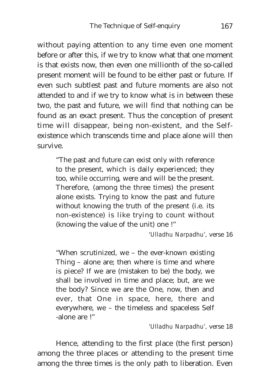without paying attention to any time even one moment before or after this, if we try to know what that one moment is that exists now, then even one millionth of the so-called present moment will be found to be either past or future. If even such subtlest past and future moments are also not attended to and if we try to know what is in between these two, the past and future, we will find that nothing can be found as an exact present. Thus the conception of present time will disappear, being non-existent, and the Selfexistence which transcends time and place alone will then survive.

"The past and future can exist only with reference to the present, which is daily experienced; they too, while occurring, were and will be the present. Therefore, (among the three times) the present alone exists. Trying to know the past and future without knowing the truth of the present (i.e. its non-existence) is like trying to count without (knowing the value of the unit) one !"

*'Ulladhu Narpadhu',* verse 16

"When scrutinized, we – the ever-known existing Thing – alone are; then where is time and where is piece? If we are (mistaken to be) the body, we shall be involved in time and place; but, are we the body? Since we are the One, now, then and ever, that One in space, here, there and everywhere, we – the timeless and spaceless Self -alone are !"

*'Ulladhu Narpadhu',* verse 18

Hence, attending to the first place (the first person) among the three places or attending to the present time among the three times is the only path to liberation. Even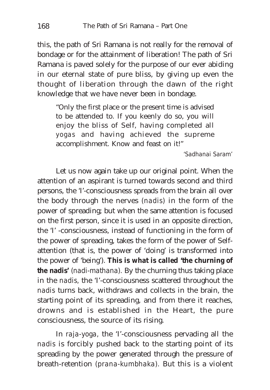this, the path of Sri Ramana is not really for the removal of bondage or for the attainment of liberation! The path of Sri Ramana is paved solely for the purpose of our ever abiding in our eternal state of pure bliss, by giving up even the thought of liberation through the dawn of the right knowledge that we have never been in bondage.

"Only the first place or the present time is advised to be attended to. If you keenly do so, you will enjoy the bliss of Self, having completed all *yogas* and having achieved the supreme accomplishment. Know and feast on it!"

#### *'Sadhanai Saram'*

Let us now again take up our original point. When the attention of an aspirant is turned towards second and third persons, the 'I'-consciousness spreads from the brain all over the body through the nerves *(nadis)* in the form of the power of spreading; but when the same attention is focused on the first person, since it is used in an opposite direction, the 'I' -consciousness, instead of functioning in the form of the power of spreading, takes the form of the power of Selfattention (that is, the power of 'doing' is transformed into the power of 'being'). **This is what is called 'the churning of the nadis'** *(nadi-mathana).* By the churning thus taking place in the *nadis,* the 'I'-consciousness scattered throughout the *nadis* turns back, withdraws and collects in the brain, the starting point of its spreading, and from there it reaches, drowns and is established in the Heart, the pure consciousness, the source of its rising.

In *raja-yoga,* the 'I'-consciousness pervading all the *nadis* is forcibly pushed back to the starting point of its spreading by the power generated through the pressure of breath-retention *(prana-kumbhaka).* But this is a violent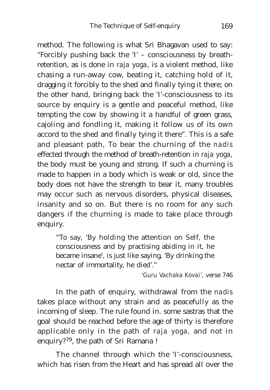method. The following is what Sri Bhagavan used to say: "Forcibly pushing back the 'I' – consciousness by breathretention, as is done in *raja yoga,* is a violent method, like chasing a run-away cow, beating it, catching hold of it, dragging it forcibly to the shed and finally tying it there; on the other hand, bringing back the 'I'-consciousness to its source by enquiry is a gentle and peaceful method, like tempting the cow by showing it a handful of green grass, cajoling and fondling it, making it follow us of its own accord to the shed and finally tying it there". This is a safe and pleasant path, To bear the churning of the *nadis* effected through the method of breath-retention in *raja yoga,* the body must be young and strong. If such a churning is made to happen in a body which is weak or old, since the body does not have the strength to bear it, many troubles may occur such as nervous disorders, physical diseases, insanity and so on. But there is no room for any such dangers if the churning is made to take place through enquiry.

"To say, 'By holding the attention on Self, the consciousness and by practising abiding in it, he became insane', is just like saying, 'By drinking the nectar of immortality, he died'."

*'Guru Vachaka Kovai',* verse 746

In the path of enquiry, withdrawal from the *nadis* takes place without any strain and as peacefully as the incoming of sleep. The rule found in. some sastras that the goal should be reached before the age of thirty is therefore applicable only in the path of *raja yoga,* and not in enquiry?79, the path of Sri Ramana !

The channel through which the 'I'-consciousness, which has risen from the Heart and has spread all over the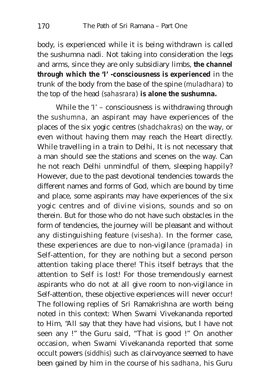body, is experienced while it is being withdrawn is called the sushumna nadi. Not taking into consideration the legs and arms, since they are only subsidiary limbs, **the channel through which the 'I' -consciousness is experienced** in the trunk of the body from the base of the spine *(muladhara)* to the top of the head *(sahasrara)* **is alone the sushumna.**

While the 'I' - consciousness is withdrawing through the *sushumna,* an aspirant may have experiences of the places of the six yogic centres *(shadchakras)* on the way*,* or even without having them may reach the Heart directly. While travelling in a train to Delhi, It is not necessary that a man should see the stations and scenes on the way. Can he not reach Delhi unmindful of them, sleeping happily? However, due to the past devotional tendencies towards the different names and forms of God, which are bound by time and place, some aspirants may have experiences of the six yogic centres and of divine visions, sounds and so on therein. But for those who do not have such obstacles in the form of tendencies, the journey will be pleasant and without any distinguishing feature *(visesha).* In the former case, these experiences are due to non-vigilance *(pramada)* in Self-attention, for they are nothing but a second person attention taking place there! This itself betrays that the attention to Self is lost! For those tremendously earnest aspirants who do not at all give room to non-vigilance in Self-attention, these objective experiences will never occur! The following replies of Sri Ramakrishna are worth being noted in this context: When Swami Vivekananda reported to Him, "All say that they have had visions, but I have not seen any !" the Guru said, "That is good !" On another occasion, when Swami Vivekananda reported that some occult powers *(siddhis)* such as clairvoyance seemed to have been gained by him in the course of his *sadhana,* his Guru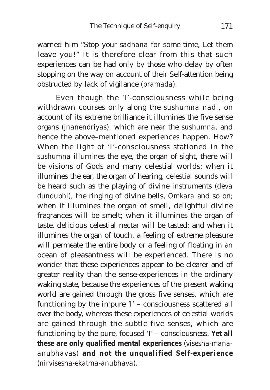warned him "Stop your *sadhana* for some time, Let them leave you!" It is therefore clear from this that such experiences can be had only by those who delay by often stopping on the way on account of their Self-attention being obstructed by lack of vigilance *(pramada).*

Even though the 'I'-consciousness while being withdrawn courses only along the *sushumna nadi,* on account of its extreme brilliance it illumines the five sense organs *(jnanendriyas),* which are near the *sushumna,* and hence the above–mentioned experiences happen. How? When the light of 'I'-consciousness stationed in the *sushumna* illumines the eye, the organ of sight, there will be visions of Gods and many celestial worlds; when it illumines the ear, the organ of hearing, celestial sounds will be heard such as the playing of divine instruments *(deva dundubhi),* the ringing of divine bells, *Omkara* and so on; when it illumines the organ of smell, delightful divine fragrances will be smelt; when it illumines the organ of taste, delicious celestial nectar will be tasted; and when it illumines the organ of touch, a feeling of extreme pleasure will permeate the entire body or a feeling of floating in an ocean of pleasantness will be experienced. There is no wonder that these experiences appear to be clearer and of greater reality than the sense-experiences in the ordinary waking state, because the experiences of the present waking world are gained through the gross five senses, which are functioning by the impure 'I' – consciousness scattered all over the body, whereas these experiences of celestial worlds are gained through the subtle five senses, which are functioning by the pure, focused 'I' – consciousness. **Yet all these are only qualified mental experiences** *(visesha-manaanubhavas)* **and not the unqualified Self-experience** *(nirvisesha-ekatma-anubhava).*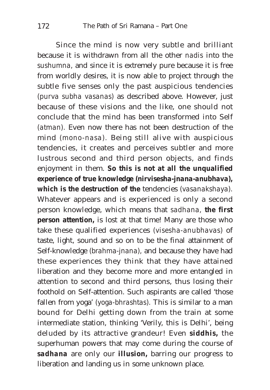Since the mind is now very subtle and brilliant because it is withdrawn from all the other *nadis* into the *sushumna,* and since it is extremely pure because it is free from worldly desires, it is now able to project through the subtle five senses only the past auspicious tendencies *(purva subha vasanas)* as described above. However, just because of these visions and the like, one should not conclude that the mind has been transformed into Self *(atman).* Even now there has not been destruction of the mind *(mono-nasa).* Being still alive with auspicious tendencies, it creates and perceives subtler and more lustrous second and third person objects, and finds enjoyment in them. **So this is not at all the unqualified experience of true knowledge** *(nirvisesha-jnana-anubhava),* **which is the destruction of the** tendencies *(vasanakshaya).* Whatever appears and is experienced is only a second person knowledge, which means that *sadhana,* **the first person attention,** is lost at that time! Many are those who take these qualified experiences *(visesha-anubhavas)* of taste, light, sound and so on to be the final attainment of Self-knowledge *(brahma-jnana),* and because they have had these experiences they think that they have attained liberation and they become more and more entangled in attention to second and third persons, thus losing their foothold on Self-attention. Such aspirants are called 'those fallen from yoga' *(yoga-bhrashtas).* This is similar to a man bound for Delhi getting down from the train at some intermediate station, thinking 'Verily, this is Delhi', being deluded by its attractive grandeur! Even *siddhis,* the superhuman powers that may come during the course of *sadhana* are only our **illusion,** barring our progress to liberation and landing us in some unknown place.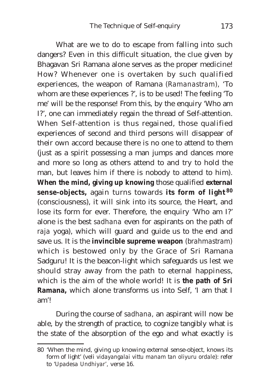What are we to do to escape from falling into such dangers? Even in this difficult situation, the clue given by Bhagavan Sri Ramana alone serves as the proper medicine! How? Whenever one is overtaken by such qualified experiences, the weapon of Ramana *(Ramanastram),* 'To whom are these experiences ?', is to be used! The feeling 'To me' will be the response! From this, by the enquiry 'Who am I?', one can immediately regain the thread of Self-attention. When Self-attention is thus regained, those qualified experiences of second and third persons will disappear of their own accord because there is no one to attend to them (just as a spirit possessing a man jumps and dances more and more so long as others attend to and try to hold the man, but leaves him if there is nobody to attend to him). **When the mind, giving up knowing** those qualified **external sense-objects,** again turns towards **its form of light <sup>80</sup>** (consciousness), it will sink into its source, the Heart, and lose its form for ever. Therefore, the enquiry 'Who am I?' alone is the best *sadhana* even for aspirants on the path of *raja* yoga), which will guard and guide us to the end and save us. It is the **invincible supreme weapon** *(brahmastram)* which is bestowed only by the Grace of Sri Ramana Sadguru! It is the beacon-light which safeguards us lest we should stray away from the path to eternal happiness, which is the aim of the whole world! It is **the path of Sri Ramana,** which alone transforms us into Self, 'I am that I am'!

During the course of *sadhana,* an aspirant will now be able, by the strength of practice, to cognize tangibly what is the state of the absorption of the ego and what exactly is

<sup>80 &#</sup>x27;When the mind, giving up knowing external sense-object, knows its form of light' (veli *vidayangalai vittu manam tan oliyuru ordale*): refer to '*Upadesa Undhiyar',* verse 16.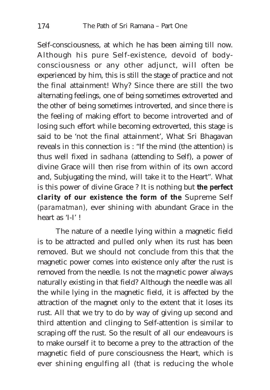Self-consciousness, at which he has been aiming till now. Although his pure Self-existence, devoid of bodyconsciousness or any other adjunct, will often be experienced by him, this is still the stage of practice and not the final attainment! Why? Since there are still the two alternating feelings, one of being sometimes extroverted and the other of being sometimes introverted, and since there is the feeling of making effort to become introverted and of losing such effort while becoming extroverted, this stage is said to be 'not the final attainment', What Sri Bhagavan reveals in this connection is : "If the mind (the attention) is thus well fixed in *sadhana* (attending to Self), a power of divine Grace will then rise from within of its own accord and, Subjugating the mind, will take it to the Heart". What is this power of divine Grace ? It is nothing but **the perfect clarity of our existence the form of the** Supreme Self *(paramatman),* ever shining with abundant Grace in the heart as 'I-I' !

The nature of a needle lying within a magnetic field is to be attracted and pulled only when its rust has been removed. But we should not conclude from this that the magnetic power comes into existence only after the rust is removed from the needle. Is not the magnetic power always naturally existing in that field? Although the needle was all the while lying in the magnetic field, it is affected by the attraction of the magnet only to the extent that it loses its rust. All that we try to do by way of giving up second and third attention and clinging to Self-attention is similar to scraping off the rust. So the result of all our endeavours is to make ourself it to become a prey to the attraction of the magnetic field of pure consciousness the Heart, which is ever shining engulfing all (that is reducing the whole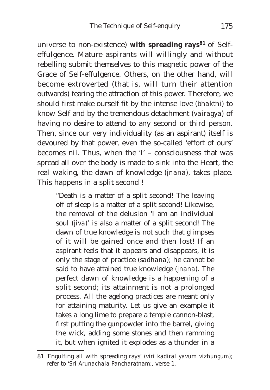universe to non-existence) **with spreading rays<sup>81</sup>** of Selfeffulgence. Mature aspirants will willingly and without rebelling submit themselves to this magnetic power of the Grace of Self-effulgence. Others, on the other hand, will become extroverted (that is, will turn their attention outwards) fearing the attraction of this power. Therefore, we should first make ourself fit by the intense love *(bhakthi)* to know Self and by the tremendous detachment *(vairagya)* of having no desire to attend to any second or third person. Then, since our very individuality (as an aspirant) itself is devoured by that power, even the so-called 'effort of ours' becomes nil. Thus, when the 'I' – consciousness that was spread all over the body is made to sink into the Heart, the real waking, the dawn of knowledge *(jnana),* takes place. This happens in a split second !

"Death is a matter of a split second! The leaving off of sleep is a matter of a split second! Likewise, the removal of the delusion 'I am an individual soul *(jiva)'* is also a matter of a split second! The dawn of true knowledge is not such that glimpses of it will be gained once and then lost! If an aspirant feels that it appears and disappears, it is only the stage of practice *(sadhana);* he cannot be said to have attained true knowledge *(jnana).* The perfect dawn of knowledge is a happening of a split second; its attainment is not a prolonged process. All the agelong practices are meant only for attaining maturity. Let us give an example it takes a long lime to prepare a temple cannon-blast, first putting the gunpowder into the barrel, giving the wick, adding some stones and then ramming it, but when ignited it explodes as a thunder in a

<sup>81 &#</sup>x27;Engulfing all with spreading rays' *(viri kadiral yavum vizhungum);* refer to '*Sri Arunachala Pancharatnam;,* verse 1.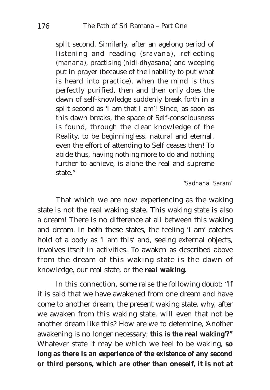split second. Similarly, after an agelong period of listening and reading *(sravana),* reflecting *(manana),* practising *(nidi-dhyasana)* and weeping put in prayer (because of the inability to put what is heard into practice), when the mind is thus perfectly purified, then and then only does the dawn of self-knowledge suddenly break forth in a split second as 'I am that I am'! Since, as soon as this dawn breaks, the space of Self-consciousness is found, through the clear knowledge of the Reality, to be beginningless, natural and eternal, even the effort of attending to Self ceases then! To abide thus, having nothing more to do and nothing further to achieve, is alone the real and supreme state."

#### *'Sadhanai Saram'*

That which we are now experiencing as the waking state is not the real waking state. This waking state is also a dream! There is no difference at all between this waking and dream. In both these states, the feeling 'I am' catches hold of a body as 'I am this' and, seeing external objects, involves itself in activities. To awaken as described above from the dream of this waking state is the dawn of knowledge, our real state, or the **real waking.**

In this connection, some raise the following doubt: "If it is said that we have awakened from one dream and have come to another dream, the present waking state, why, after we awaken from this waking state, will even that not be another dream like this? How are we to determine, 'Another awakening is no longer necessary; **this is the real waking'?"** Whatever state it may be which we feel to be waking, **so long as there is an experience of the existence of any second or third persons, which are other than oneself, it is not at**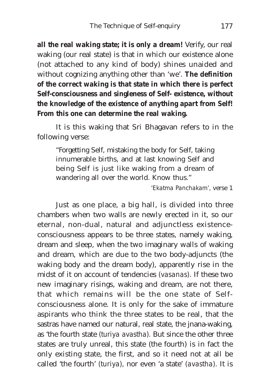**all the real waking state; it is only a dream!** Verify, our real waking (our real state) is that in which our existence alone (not attached to any kind of body) shines unaided and without cognizing anything other than 'we'. **The definition of the correct waking is that state in which there is perfect Self-consciousness and singleness of Self- existence, without the knowledge of the existence of anything apart from Self! From this one can determine the real waking.**

It is this waking that Sri Bhagavan refers to in the following verse:

"Forgetting Self, mistaking the body for Self, taking innumerable births, and at last knowing Self and being Self is just like waking from a dream of wandering all over the world. Know thus."

*'Ekatma Panchakam',* verse 1

Just as one place, a big hall, is divided into three chambers when two walls are newly erected in it, so our eternal, non-dual, natural and adjunctless existenceconsciousness appears to be three states, namely waking, dream and sleep, when the two imaginary walls of waking and dream, which are due to the two body-adjuncts (the waking body and the dream body), apparently rise in the midst of it on account of tendencies *(vasanas).* If these two new imaginary risings, waking and dream, are not there, that which remains will be the one state of Selfconsciousness alone. It is only for the sake of immature aspirants who think the three states to be real, that the sastras have named our natural, real state, the jnana-waking, as 'the fourth state *(turiya avastha).* But since the other three states are truly unreal, this state (the fourth) is in fact the only existing state, the first, and so it need not at all be called 'the fourth' *(turiya),* nor even 'a state' *(avastha).* It is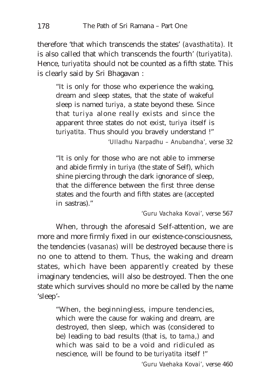therefore 'that which transcends the states' *(avasthatita).* It is also called that which transcends the fourth' *(turiyatita).* Hence, *turiyatita* should not be counted as a fifth state. This is clearly said by Sri Bhagavan :

"It is only for those who experience the waking, dream and sleep states, that the state of wakeful sleep is named *turiya,* a state beyond these. Since that *turiya* alone really exists and since the apparent three states do not exist, *turiya* itself is *turiyatita.* Thus should you bravely understand !"

*'UIladhu Narpadhu – Anubandha',* verse 32

"It is only for those who are not able to immerse and abide firmly in *turiya* (the state of Self), which shine piercing through the dark ignorance of sleep, that the difference between the first three dense states and the fourth and fifth states are (accepted in sastras)."

*'Guru Vachaka Kovai',* verse 567

When, through the aforesaid Self-attention, we are more and more firmly fixed in our existence-consciousness, the tendencies *(vasanas)* will be destroyed because there is no one to attend to them. Thus, the waking and dream states, which have been apparently created by these imaginary tendencies, will also be destroyed. Then the one state which survives should no more be called by the name 'sleep'-

"When, the beginningless, impure tendencies, which were the cause for waking and dream, are destroyed, then sleep, which was (considered to be) leading to bad results (that is, to *tama,)* and which was said to be a void and ridiculed as nescience, will be found to be *turiyatita* itself !"

*'Guru Vaehaka Kovai',* verse 460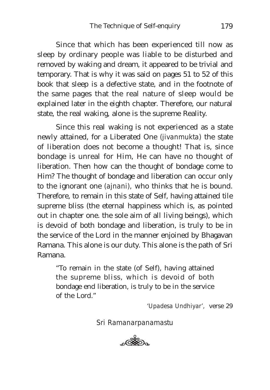Since that which has been experienced till now as sleep by ordinary people was liable to be disturbed and removed by waking and dream, it appeared to be trivial and temporary. That is why it was said on pages 51 to 52 of this book that sleep is a defective state, and in the footnote of the same pages that the real nature of sleep would be explained later in the eighth chapter. Therefore, our natural state, the real waking, alone is the supreme Reality.

Since this real waking is not experienced as a state newly attained, for a Liberated One *(jivanmukta)* the state of liberation does not become a thought! That is, since bondage is unreal for Him, He can have no thought of liberation. Then how can the thought of bondage come to Him? The thought of bondage and liberation can occur only to the ignorant one *(ajnani),* who thinks that he is bound. Therefore, to remain in this state of Self, having attained tile supreme bliss (the eternal happiness which is, as pointed out in chapter one. the sole aim of all living beings), which is devoid of both bondage and liberation, is truly to be in the service of the Lord in the manner enjoined by Bhagavan Ramana. This alone is our duty. This alone is the path of Sri Ramana.

"To remain in the state (of Self), having attained the supreme bliss, which is devoid of both bondage end liberation, is truly to be in the service of the Lord."

*'Upadesa Undhiyar',* verse 29

*Sri Ramanarpanamastu*

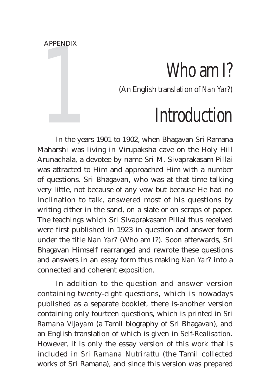APPENDIX

## Who am I?

# Who am I?<br><sup>(An English translation of *Nan Yar?)*<br>Introduction</sup>

In the years 1901 to 1902, when Bhagavan Sri Ramana Maharshi was living in Virupaksha cave on the Holy Hill Arunachala, a devotee by name Sri M. Sivaprakasam Pillai was attracted to Him and approached Him with a number of questions. Sri Bhagavan, who was at that time talking very little, not because of any vow but because He had no inclination to talk, answered most of his questions by writing either in the sand, on a slate or on scraps of paper. The teachings which Sri Sivaprakasam Piliai thus received were first published in 1923 in question and answer form under the title *Nan Yar?* (Who am I?). Soon afterwards, Sri Bhagavan Himself rearranged and rewrote these questions and answers in an essay form thus making *Nan Yar?* into a connected and coherent exposition.

In addition to the question and answer version containing twenty-eight questions, which is nowadays published as a separate booklet, there is-another version containing only fourteen questions, which is printed in *Sri Ramana Vijayam* (a Tamil biography of Sri Bhagavan), and an English translation of which is given in *Self-Realisation.* However, it is only the essay version of this work that is included in *Sri Ramana Nutrirattu* (the Tamil collected works of Sri Ramana), and since this version was prepared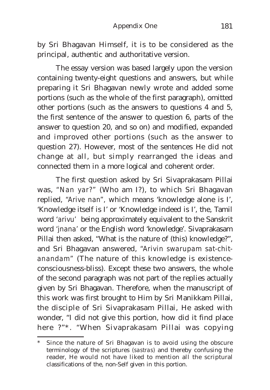by Sri Bhagavan Himself, it is to be considered as the principal, authentic and authoritative version.

The essay version was based largely upon the version containing twenty-eight questions and answers, but while preparing it Sri Bhagavan newly wrote and added some portions (such as the whole of the first paragraph), omitted other portions (such as the answers to questions 4 and 5, the first sentence of the answer to question 6, parts of the answer to question 20, and so on) and modified, expanded and improved other portions (such as the answer to question 27). However, most of the sentences He did not change at all, but simply rearranged the ideas and connected them in a more logical and coherent order.

The first question asked by Sri Sivaprakasam Pillai was, *"Nan yar?"* (Who am I?), to which Sri Bhagavan replied, *"Arive nan",* which means 'knowledge alone is I', 'Knowledge itself is I' or 'Knowledge indeed is I', the, Tamil word *'arivu'* being approximately equivalent to the Sanskrit word *'jnana'* or the English word 'knowledge'. Sivaprakasam Pillai then asked, "What is the nature of (this) knowledge?", and Sri Bhagavan answered, *"Arivin swarupam sat-chitanandam"* (The nature of this knowledge is existenceconsciousness-bliss). Except these two answers, the whole of the second paragraph was not part of the replies actually given by Sri Bhagavan. Therefore, when the manuscript of this work was first brought to Him by Sri Manikkam Pillai, the disciple of Sri Sivaprakasam Pillai, He asked with wonder, "I did not give this portion, how did it find place here ?"\*. "When Sivaprakasam Pillai was copying

Since the nature of Sri Bhagavan is to avoid using the obscure terminology of the scriptures *(sastras)* and thereby confusing the reader, He would not have liked to mention all the scriptural classifications of the, non-Self given in this portion.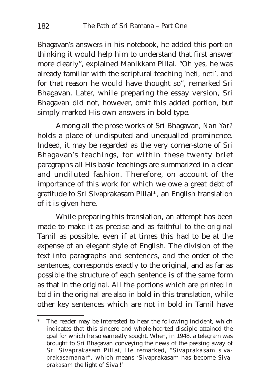Bhagavan's answers in his notebook, he added this portion thinking it would help him to understand that first answer more clearly", explained Manikkam Pillai. "Oh yes, he was already familiar with the scriptural teaching *'neti, neti',* and for that reason he would have thought so", remarked Sri Bhagavan. Later, while preparing the essay version, Sri Bhagavan did not, however, omit this added portion, but simply marked His own answers in bold type.

Among all the prose works of Sri Bhagavan, *Nan Yar?* holds a place of undisputed and unequalled prominence. Indeed, it may be regarded as the very corner-stone of Sri Bhagavan's teachings, for within these twenty brief paragraphs all His basic teachings are summarized in a clear and undiluted fashion. Therefore, on account of the importance of this work for which we owe a great debt of gratitude to Sri Sivaprakasam Plllal\*, an English translation of it is given here.

While preparing this translation, an attempt has been made to make it as precise and as faithful to the original Tamil as possible, even if at times this had to be at the expense of an elegant style of English. The division of the text into paragraphs and sentences, and the order of the sentences, corresponds exactly to the original, and as far as possible the structure of each sentence is of the same form as that in the original. All the portions which are printed in bold in the original are also in bold in this translation, while other key sentences which are not in bold in Tamil have

The reader may be interested to hear the following incident, which indicates that this sincere and whole-hearted disciple attained the goal for which he so earnestly sought. When, in 1948, a telegram was brought to Sri Bhagavan conveying the news of the passing away of Sri Sivaprakasam Pillai, He remarked, *"Sivaprakasam sivaprakasamanar",* which means 'Sivaprakasam has become *Sivaprakasam* the light of Siva !'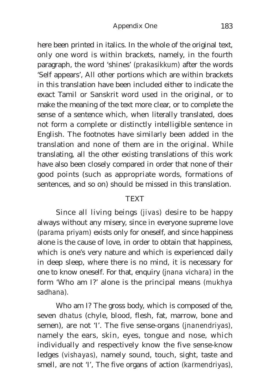#### Appendix One

here been printed in italics. In the whole of the original text, only one word is within brackets, namely, in the fourth paragraph, the word 'shines' *(prakasikkum)* after the words 'Self appears', All other portions which are within brackets in this translation have been included either to indicate the exact Tamil or Sanskrit word used in the original, or to make the meaning of the text more clear, or to complete the sense of a sentence which, when literally translated, does not form a complete or distinctly intelligible sentence in English. The footnotes have similarly been added in the translation and none of them are in the original. While translating, all the other existing translations of this work have also been closely compared in order that none of their good points (such as appropriate words, formations of sentences, and so on) should be missed in this translation.

#### **TEXT**

Since all living beings *(jivas)* desire to be happy always without any misery, since in everyone supreme love *(parama priyam)* exists only for oneself, and since happiness alone is the cause of love, in order to obtain that happiness, which is one's very nature and which is experienced daily in deep sleep, where there is no mind, it is necessary for one to know oneself. For that, enquiry *(jnana vichara)* in the form 'Who am I?' alone is the principal means *(mukhya sadhana).*

Who am I? The gross body, which is composed of the, seven *dhatus* (chyle, blood, flesh, fat, marrow, bone and semen), are not 'I'. The five sense-organs *(jnanendriyas),* namely the ears, skin, eyes, tongue and nose, which individually and respectively know the five sense-know ledges *(vishayas),* namely sound, touch, sight, taste and smell, are not 'I', The five organs of action *(karmendriyas),*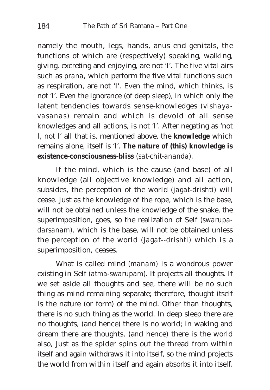namely the mouth, legs, hands, anus end genitals, the functions of which are (respectively) speaking, walking, giving, excreting and enjoying, are not 'I'. The five vital airs such as *prana,* which perform the five vital functions such as respiration, are not 'I'. Even the mind, which thinks, is not 'I'. Even the ignorance (of deep sleep), in which only the latent tendencies towards sense-knowledges *(vishayavasanas)* remain and which is devoid of all sense knowledges and all actions, is not 'I'. After negating as 'not I, not I' all that is, mentioned above, the **knowledge** which remains alone, itself is 'I'. **The nature of (this) knowledge is existence-consciousness-bliss** *(sat-chit-ananda),*

If the mind, which is the cause (and base) of all knowledge (all objective knowledge) and all action, subsides, the perception of the world *(jagat-drishti)* will cease. Just as the knowledge of the rope, which is the base, will not be obtained unless the knowledge of the snake, the superimposition, goes, so the realization of Self *(swarupadarsanam),* which is the base, will not be obtained unless the perception of the world *(jagat--drishti)* which is a superimposition, ceases.

What is called mind *(manam)* is a wondrous power existing in Self *(atma-swarupam).* It projects all thoughts. If we set aside all thoughts and see, there will be no such thing as mind remaining separate; therefore, thought itself is the nature (or form) of the mind. Other than thoughts, there is no such thing as the world. In deep sleep there are no thoughts, (and hence) there is no world; in waking and dream there are thoughts, (and hence) there is the world also, Just as the spider spins out the thread from within itself and again withdraws it into itself, so the mind projects the world from within itself and again absorbs it into itself.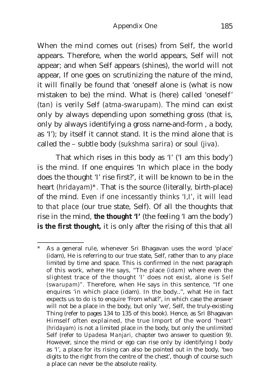When the mind comes out (rises) from Self, the world appears. Therefore, when the world appears, Self will not appear; and when Self appears (shines), the world will not appear, If one goes on scrutinizing the nature of the mind, it will finally be found that 'oneself alone is (what is now mistaken to be) the mind. What is (here) called 'oneself' *(tan)* is verily Self *(atma-swarupam).* The mind can exist only by always depending upon something gross (that is, only by always identifying a gross name-and-form , a body, as 'I'); by itself it cannot stand. It is the mind alone that is called the – subtle body *(sukshma sarira)* or soul *(jiva).*

That which rises in this body as 'I' ('I am this body') is the mind. If one enquires 'In which place in the body does the thought 'I' rise first?', it will be known to be in the heart *(hridayam)\*.* That is the source (literally, birth-place) of the mind. *Even if one incessantly thinks 'I,I'*, *it will lead to that place* (our true state, Self). Of all the thoughts that rise in the mind, **the thought 'I'** (the feeling 'I am the body') **is the first thought,** it is only after the rising of this that all

<sup>\*</sup> As a general rule, whenever Sri Bhagavan uses the word 'place' (idam), He is referring to our true state, Self, rather than to any place limited by time and space. This is confirmed in the next paragraph of this work, where He says, "The place *(idam)* where even the slightest trace of the thought 'I' does not exist, alone is *Self (swarupam)".* Therefore, when He says in this sentence, "If one enquires 'in which place (idam). In the body..", what He in fact expects us to do is to enquire 'From what?', in which case the answer will not be a place in the body, but only 'we', Self, the truly-existing Thing (refer to pages 134 to 135 of this book). Hence, as Sri Bhagavan Himself often explained, the true Import of the word 'heart' *(hridayam)* is not a limited place in the body, but only the unlimited Self (refer to *Upadesa Manjari,* chapter two answer to question 9). However, since the mind or ego can rise only by identifying I body as 'I', a place for its rising can also be pointed out in the body, 'two digits to the right from the centre of the chest', though of course such a place can never be the absolute reality.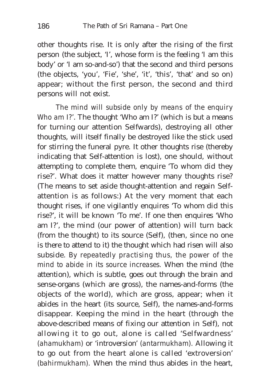other thoughts rise. It is only after the rising of the first person (the subject, 'I', whose form is the feeling 'I am this body' or 'I am so-and-so') that the second and third persons (the objects, 'you', 'Fie', 'she', 'it', 'this', 'that' and so on) appear; without the first person, the second and third persons will not exist.

*The mind will subside only by means of the enquiry Who am I?*. The thought 'Who am I?' (which is but a means for turning our attention Selfwards), destroying all other thoughts, will itself finally be destroyed like the stick used for stirring the funeral pyre. It other thoughts rise (thereby indicating that Self-attention is lost), one should, without attempting to complete them, enquire 'To whom did they rise?'. What does it matter however many thoughts rise? (The means to set aside thought-attention and regain Selfattention is as follows:) At the very moment that each thought rises, if one vigilantly enquires 'To whom did this rise?', it will be known 'To me'. If one then enquires 'Who am I?', the mind (our power of attention) will turn back (from the thought) to its source (Self), (then, since no one is there to attend to it) the thought which had risen will also subside. *By repeatedly practising thus, the power of the mind to abide in its source increases.* When the mind (the attention), which is subtle, goes out through the brain and sense-organs (which are gross), the names-and-forms (the objects of the world), which are gross, appear; when it abides in the heart (its source, Self), the names-and-forms disappear. Keeping the mind in the heart (through the above-described means of fixing our attention in Self), not allowing it to go out, alone is called 'Selfwardness' *(ahamukham)* or 'introversion' *(antarmukham).* Allowing it to go out from the heart alone is called 'extroversion' *(bahirmukham).* When the mind thus abides in the heart,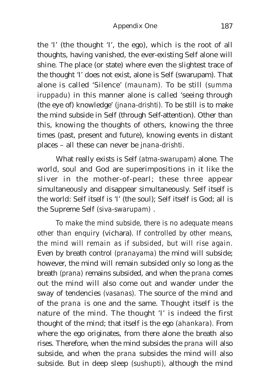#### Appendix One

the 'I' (the thought 'I', the ego), which is the root of all thoughts, having vanished, the ever-existing Self alone will shine. The place (or state) where even the slightest trace of the thought 'I' does not exist, alone is Self (swarupam). That alone is called 'Silence' *(maunam).* To be still *(summa iruppadu)* in this manner alone is called 'seeing through (the eye of) knowledge' *(jnana-drishti).* To be still is to make the mind subside in Self (through Self-attention). Other than this, knowing the thoughts of others, knowing the three times (past, present and future), knowing events in distant places – all these can never be *jnana-drishti.*

What really exists is Self *(atma-swarupam)* alone. The world, soul and God are superimpositions in it like the sliver in the mother-of-pearl; these three appear simultaneously and disappear simultaneously. Self itself is the world: Self itself is 'I' (the soul); Self itself is God; all is the Supreme Self *(siva-swarupam)* .

*To make the mind subside, there is no adequate means other than enquiry* (vichara). *If controlled by other means, the mind will remain as if subsided, but will rise again.* Even by breath control *(pranayama)* the mind will subside; however, the mind will remain subsided only so long as the breath *(prana)* remains subsided, and when the *prana* comes out the mind will also come out and wander under the sway of tendencies *(vasanas).* The source of the mind and of the *prana* is one and the same. Thought itself is the nature of the mind. The thought 'I' is indeed the first thought of the mind; that itself is the ego *(ahankara).* From where the ego originates, from there alone the breath also rises. Therefore, when the mind subsides the *prana* will also subside, and when the *prana* subsides the mind will also subside. But in deep sleep *(sushupti),* although the mind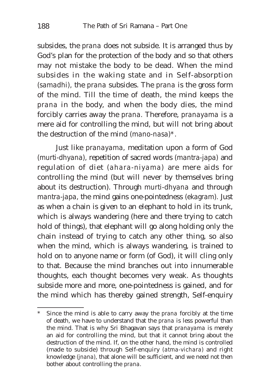subsides, the *prana* does not subside. It is arranged thus by God's plan for the protection of the body and so that others may not mistake the body to be dead. When the mind subsides in the waking state and in Self-absorption *(samadhi),* the *prana* subsides. The *prana* is the gross form of the mind. Till the time of death, the mind keeps the *prana* in the body, and when the body dies, the mind forcibly carries away the *prana.* Therefore, *pranayama* is a mere aid for controlling the mind, but will not bring about the destruction of the mind *(mano-nasa)\*.*

Just like *pranayama,* meditation upon a form of God *(murti-dhyana),* repetition of sacred words *(mantra-japa)* and regulation of diet *(ahara-niyama)* are mere aids for controlling the mind (but will never by themselves bring about its destruction). Through *murti-dhyana* and through *mantra-japa,* the mind gains one-pointedness *(ekagram).* Just as when a chain is given to an elephant to hold in its trunk, which is always wandering (here and there trying to catch hold of things), that elephant will go along holding only the chain instead of trying to catch any other thing, so also when the mind, which is always wandering, is trained to hold on to anyone name or form (of God), it will cling only to that. Because the mind branches out into innumerable thoughts, each thought becomes very weak. As thoughts subside more and more, one-pointedness is gained, and for the mind which has thereby gained strength, Self-enquiry

<sup>\*</sup> Since the mind is able to carry away the *prana* forcibly at the time of death, we have to understand that the *prana* is less powerful than the mind. That is why Sri Bhagavan says that *pranayama* is merely an aid for controlling the mind, but that it cannot bring about the destruction of the mind. If, on the other hand, the mind is controlled (made to subside) through Self-enquiry *(atma-vichara)* and right knowledge *(jnana),* that alone will be sufficient, and we need not then bother about controlling the *prana.*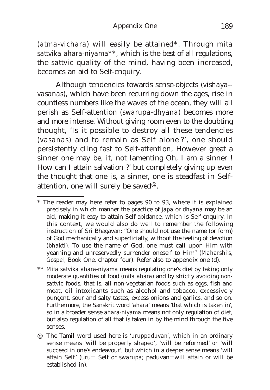*(atma-vichara)* will easily be attained\*. Through *mita sattvika ahara-niyama\*\*,* which is the best of all regulations, the *sattvic* quality of the mind, having been increased, becomes an aid to Self-enquiry.

Although tendencies towards sense-objects *(vishaya- vasanas),* which have been recurring down the ages, rise in countless numbers like the waves of the ocean, they will all perish as Self-attention *(swarupa-dhyana)* becomes more and more intense. Without giving room even to the doubting thought, 'Is it possible to destroy all these tendencies *(vasanas)* and to remain as Self alone ?', one should persistently cling fast to Self-attention, However great a sinner one may be, it, not lamenting Oh, I am a sinner ! How can I attain salvation ?' but completely giving up even the thought that one is*,* a sinner, one is steadfast in Selfattention, one will surely be saved<sup>@</sup>.

- \*\* *Mita satvika ahara-niyama* means regulating one's diet by taking only moderate quantities of food *(mita ahara)* and by strictly avoiding *nonsattvic* foods, that is, all non-vegetarian foods such as eggs, fish and meat, oil intoxicants such as alcohol and tobacco, excessively pungent, sour and salty tastes, excess onions and garlics, and so on*.* Furthermore, the Sanskrit word *'ahara'* means 'that which is taken in', so in a broader sense *ahara-niyama* means not only regulation of diet, but also regulation of all that is taken in by the mind through the five senses.
- @ The Tamil word used here is *'uruppaduvan',* which in an ordinary sense means 'will be properly shaped', 'will be reformed' *or* 'will succeed in one's endeavour', but which in a deeper sense means 'will attain Self' (uru= Self or *swarupa;* paduvan=will attain or will be established in).

<sup>\*</sup> The reader may here refer to pages 90 to 93, where it is explained precisely in which manner the practice of *japa* or *dhyana* may be an aid, making it easy to attain Self-abidance, which is Self-enquiry. In this context, we would also do well to remember the following instruction of Sri Bhagavan: "One should not use the name (or form) of God mechanically and superficially, without the feeling of devotion *(bhakti).* To use the name of God, one must call upon Him with yearning and unreservedly surrender oneself to Him" *(Maharshi's, Gospel,* Book One, chapter four). Refer also to appendix one (d).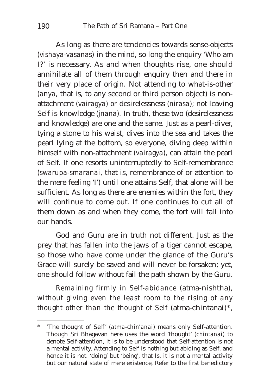As long as there are tendencies towards sense-objects *(vishaya-vasanas)* in the mind, so long the enquiry 'Who am I?' is necessary. As and when thoughts rise, one should annihilate all of them through enquiry then and there in their very place of origin. Not attending to what-is-other *(anya,* that is, to any second or third person object) is nonattachment *(vairagya) or* desirelessness *(nirasa);* not leaving Self is knowledge *(jnana).* In truth, these two (desirelessness and knowledge) are one and the same. Just as a pearl-diver, tying a stone to his waist, dives into the sea and takes the pearl lying at the bottom, so everyone, diving deep within himself with non-attachment *(vairagya),* can attain the pearl of Self. If one resorts uninterruptedly to Self-remembrance *(swarupa-smaranai,* that is, remembrance of or attention to the mere feeling 'I') until one attains Self, that alone will be sufficient. As long as there are enemies within the fort, they will continue to come out. If one continues to cut all of them down as and when they come, the fort will fall into our hands.

God and Guru are in truth not different. Just as the prey that has fallen into the jaws of a tiger cannot escape, so those who have come under the glance of the Guru's Grace will surely be saved and will never be forsaken; yet, one should follow without fail the path shown by the Guru.

*Remaining firmly in Self-abidance* (atma-nishtha), *without giving even the least room to the rising of any thought other than the thought of Self* (atma-chintanai)\*,

<sup>\* &#</sup>x27;The thought of Self' *(atma-chin'anai)* means only Self-attention. Though Sri Bhagavan here uses the word 'thought' *(chintanai)* to denote Self-attention, it is to be understood that Self-attention is not a mental activity, Attending to Self is nothing but abiding as Self, and hence it is not. 'doing' but 'being', that Is, it is not a mental activity but our natural state of mere existence, Refer to the first benedictory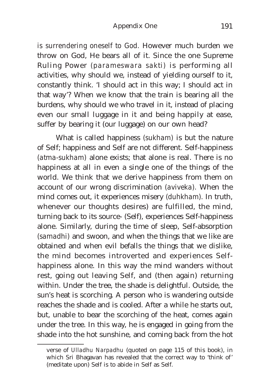#### Appendix One

*is surrendering oneself to God.* However much burden we throw on God, He bears all of it. Since the one Supreme Ruling Power *(parameswara sakti)* is performing all activities, why should we, instead of yielding ourself to it, constantly think. 'I should act in this way; I should act in that way'? When we know that the train is bearing all the burdens, why should we who travel in it, instead of placing even our small luggage in it and being happily at ease, suffer by bearing it (our luggage) on our own head?

What is called happiness *(sukham)* is but the nature of Self; happiness and Self are not different. Self-happiness *(atma-sukham)* alone exists; that alone is real. There is no happiness at all in even a single one of the things of the world. We think that we derive happiness from them on account of our wrong discrimination *(aviveka).* When the mind comes out, it experiences misery *(duhkham).* In truth, whenever our thoughts desires) are fulfilled, the mind, turning back to its source- (Self), experiences Self-happiness alone. Similarly, during the time of sleep, Self-absorption *(samadhi)* and swoon, and when the things that we like are obtained and when evil befalls the things that we dislike, the mind becomes introverted and experiences Selfhappiness alone. In this way the mind wanders without rest, going out leaving Self, and (then again) returning within. Under the tree, the shade is delightful. Outside, the sun's heat is scorching. A person who is wandering outside reaches the shade and is cooled. After a while he starts out, but, unable to bear the scorching of the heat, comes again under the tree. In this way, he is engaged in going from the shade into the hot sunshine, and coming back from the hot

verse of *Ulladhu Narpadhu* (quoted on page 115 of this book), in which Sri Bhagavan has revealed that the correct way to 'think of' (meditate upon) Self is to abide in Self as Self.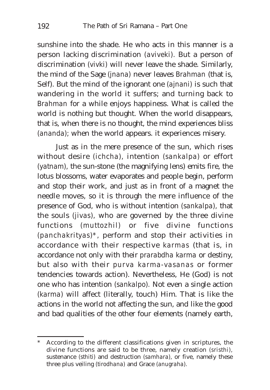sunshine into the shade. He who acts in this manner is a person lacking discrimination *(aviveki).* But a person of discrimination *(vivki)* will never leave the shade. Similarly, the mind of the Sage *(jnana)* never leaves *Brahman* (that is, Self). But the mind of the ignorant one *(ajnani)* is such that wandering in the world it suffers; and turning back to *Brahman* for a while enjoys happiness. What is called the world is nothing but thought. When the world disappears, that is, when there is no thought, the mind experiences bliss *(ananda);* when the world appears. it experiences misery.

Just as in the mere presence of the sun, which rises without desire *(ichcha),* intention *(sankalpa)* or effort *(yatnam),* the sun-stone (the magnifying lens) emits fire, the lotus blossoms, water evaporates and people begin, perform and stop their work, and just as in front of a magnet the needle moves, so it is through the mere influence of the presence of God, who is without intention *(sankalpa),* that the souls *(jivas),* who are governed by the three divine functions *(muttozhil)* or five divine functions *(panchakrityas)\*,* perform and stop their activities in accordance with their respective *karmas* (that is, in accordance not only with their *prarabdha karma* or destiny, but also with their *purva karma-vasanas* or former tendencies towards action). Nevertheless, He (God) is not one who has intention *(sankalpo).* Not even a single action *(karma)* will affect (literally, touch) Him. That is like the actions in the world not affecting the sun, and like the good and bad qualities of the other four elements (namely earth,

According to the different classifications given in scriptures, the divine functions are said to be three, namely creation *(sristhi),* sustenance *(sthiti)* and destruction *(samhara),* or five, namely these three plus veiling *(tirodhana)* and Grace *(anugraha).*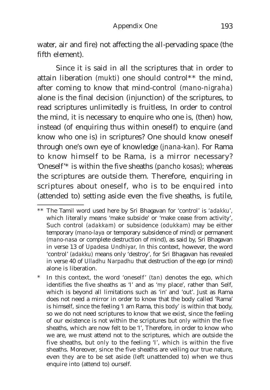water, air and fire) not affecting the all-pervading space (the fifth element).

Since it is said in all the scriptures that in order to attain liberation *(mukti)* one should control\*\* the mind, after coming to know that mind-control *(mano-nigraha)* alone is the final decision (injunction) of the scriptures, to read scriptures unlimitedly is fruitless, In order to control the mind, it is necessary to enquire who one is, (then) how, instead (of enquiring thus within oneself) to enquire (and know who one is) in scriptures? One should know oneself through one's own eye of knowledge *(jnana-kan).* For Rama to know himself to be Rama, is a mirror necessary? 'Oneself'\* is within the five sheaths *(pancho kosas);* whereas the scriptures are outside them. Therefore, enquiring in scriptures about oneself, who is to be enquired into (attended to) setting aside even the five sheaths, is futile,

<sup>\*\*</sup> The Tamil word used here by Sri Bhagavan for 'control' is *'adakku',* which literally means 'make subside' or 'make cease from activity', Such control *(adakkam)* or subsidence *(odukkam)* may be either temporary *(mano-laya* or temporary subsidence of mind) or permanent *(mano-nasa* or complete destruction of mind), as said by, Sri Bhagavan in verse 13 of *Upadesa Undhiyar,* In this context, however, the word 'control' *(adakku)* means only 'destroy', for Sri Bhagavan has revealed in verse 40 of *Ulladhu Narpadhu* that destruction of the ego (or mind) alone is liberation.

In this context, the word 'oneself' *(tan)* denotes the ego, which identifies the five sheaths as 'I' and as *'my* place', rather than Self, which is beyond all limitations such as 'in' and 'out'. Just as Rama does not need a mirror in order to know that the body called 'Rama' is himself, since the feeling 'I am Rama, this *body'* is within that body, so we do not need scriptures to know that we exist, since the feeling of our existence is not within the scriptures but *only* within the five sheaths, which are now felt to be 'I', Therefore, in order to know who we are, we must attend not to the scriptures, which are outside the five sheaths, but *only* to the feeling 'I', which is within the five sheaths. Moreover, since the five sheaths are veiling our true nature, even *they* are to be set aside (left unattended to) when we thus enquire into (attend to) ourself.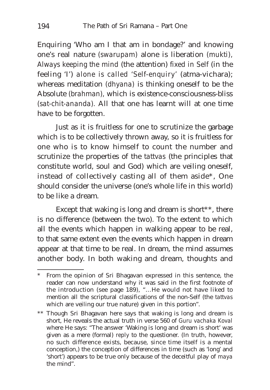Enquiring 'Who am I that am in bondage?' and knowing one's real nature *(swarupam)* alone is liberation *(mukti), Always keeping the mind* (the attention) *fixed in Self* (in the feeling 'I') *alone is called 'Self-enquiry'* (atma-vichara); whereas meditation *(dhyana)* is thinking oneself to be the Absolute *(brahman),* which is existence-consciousness-bliss *(sat-chit-ananda).* All that one has learnt will at one time have to be forgotten.

Just as it is fruitless for one to scrutinize the garbage which is to be collectively thrown away, so it is fruitless for one who is to know himself to count the number and scrutinize the properties of the *tattvas* (the principles that constitute world, soul and God) which are veiling oneself, instead of collectively casting all of them aside\*, One should consider the universe (one's whole life in this world) to be like a dream.

Except that waking is long and dream is short $**$ , there is no difference (between the two). To the extent to which all the events which happen in walking appear to be real, to that same extent even the events which happen in dream appear at that time to be real. In dream, the mind assumes another body. In both waking and dream, thoughts and

From the opinion of Sri Bhagavan expressed in this sentence, the reader can now understand why it was said in the first footnote of the introduction (see page 189), "…He would not have liked to mention all the scriptural classifications of the non-Self (the *tattvas* which are veiling our true nature) given in this portion".

<sup>\*\*</sup> Though Sri Bhagavan here says that waking is long and dream is short, He reveals the actual truth in verse 560 of *Guru vachaka Koval* where He says: "The answer 'Waking is long and dream is short' was given as a mere (formal) *reply* to the questioner. (In truth, however, no such difference exists, because, since time itself is a mental conception,) the conception of differences in time (such as 'long' and 'short') appears to be true only because of the deceitful play of *maya* the mind".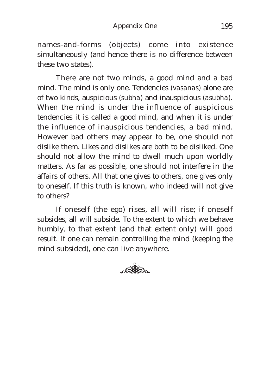names-and-forms (objects) come into existence simultaneously (and hence there is no difference between these two states).

There are not two minds, a good mind and a bad mind. The mind is only one. Tendencies *(vasanas)* alone are of two kinds, auspicious *(subha)* and inauspicious *(asubha).* When the mind is under the influence of auspicious tendencies it is called a good mind, and when it is under the influence of inauspicious tendencies, a bad mind. However bad others may appear to be, one should not dislike them. Likes and dislikes are both to be disliked. One should not allow the mind to dwell much upon worldly matters. As far as possible, one should not interfere in the affairs of others. All that one gives to others, one gives only to oneself. If this truth is known, who indeed will not give to others?

If oneself (the ego) rises, all will rise; if oneself subsides, all will subside. To the extent to which we behave humbly, to that extent (and that extent only) will good result. If one can remain controlling the mind (keeping the mind subsided), one can live anywhere.

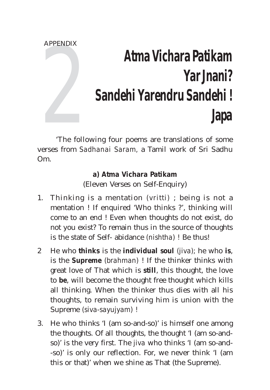#### APPENDIX



### **Atma Vichara Patikam Yar Jnani? Sandehi Yarendru Sandehi ! Japa**

'The following four poems are translations of some verses from *Sadhanai Saram,* a Tamil work of Sri Sadhu Om.

#### **a) Atma Vichara Patikam**

(Eleven Verses on Self-Enquiry)

- 1. Thinking is a mentation *(vritti)* ; being is not a mentation ! If enquired 'Who thinks ?', thinking will come to an end ! Even when thoughts do not exist, do not you exist? To remain thus in the source of thoughts is the state of Self- abidance *(nishtha) !* Be thus!
- 2 He who **thinks** is the **individual soul** *(jiva);* he who **is**, is the **Supreme** *(brahman)* ! If the thinker thinks with great love of That which is **still**, this thought, the love to **be**, will become the thought free thought which kills all thinking. When the thinker thus dies with all his thoughts, to remain surviving him is union with the Supreme *(siva-sayujyam) !*
- 3. He who thinks 'I (am so-and-so)' is himself one among the thoughts. Of all thoughts, the thought 'I (am so-andso)' is the very first. The *jiva* who thinks 'I (am so-and- -so)' is only our reflection. For, we never think 'I (am this or that)' when we shine as That (the Supreme).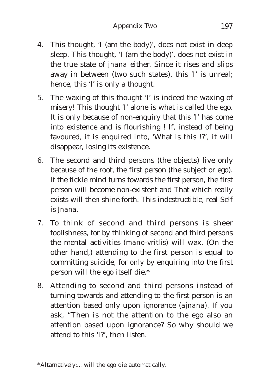- 4. This thought, 'I (am the body)', does not exist in deep sleep. This thought, 'I (am the body)', does not exist in the true state of *jnana* either. Since it rises and slips away in between (two such states), this 'I' is unreal; hence, this 'I' is only a thought.
- 5. The waxing of this thought 'I' is indeed the waxing of misery! This thought 'I' alone is what is called the ego. It is only because of non-enquiry that this 'I' has come into existence and is flourishing ! If, instead of being favoured, it is enquired into, 'What is this !?', it will disappear, losing its existence.
- 6. The second and third persons (the objects) live only because of the root, the first person (the subject or ego). If the fickle mind turns towards the first person, the first person will become non-existent and That which really exists will then shine forth. This indestructible, real Self is *Jnana.*
- 7. To think of second and third persons is sheer foolishness, for by thinking of second and third persons the mental activities *(mano-vritlis)* will wax. (On the other hand,) attending to the first person is equal to committing suicide, for *only* by enquiring into the first person will the ego itself die.\*
- 8. Attending to second and third persons instead of turning towards and attending to the first person is an attention based only upon ignorance *(ajnana).* If you ask, "Then is not the attention to the ego also an attention based upon ignorance? So why should we attend to this 'I?', then listen.

<sup>\*</sup>Altarnatively:... will the ego die automatically.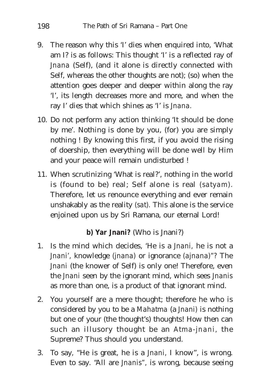- 9. The reason why this 'I' dies when enquired into, 'What am I? is as follows: This thought 'I' is a reflected ray of *Jnana* (Self), (and it alone is directly connected with Self, whereas the other thoughts are not); (so) when the attention goes deeper and deeper within along the ray 'I', its length decreases more and more, and when the ray I' dies that which shines as 'I' is *Jnana.*
- 10. Do not perform any action thinking 'It should be done by me'. Nothing is done by you, (for) you are simply nothing ! By knowing this first, if you avoid the rising of doership, then everything will be done well by Him and your peace will remain undisturbed !
- 11. When scrutinizing 'What is real?', nothing in the world is (found to be) real; Self alone is real *(satyam).* Therefore, let us renounce everything and ever remain unshakably as the reality *(sat).* This alone is the service enjoined upon us by Sri Ramana, our eternal Lord!

#### **b) Yar Jnani?** (Who is Jnani?)

- 1. Is the mind which decides, 'He is a *Jnani,* he is not a *Jnani',* knowledge *(jnana)* or ignorance *(ajnana)"?* The *Jnani* (the knower of Self) is only one! Therefore, even the *Jnani* seen by the ignorant mind, which sees *Jnanis* as more than one, is a product of that ignorant mind.
- 2. You yourself are a mere thought; therefore he who is considered by you to be a *Mahatma* (a *Jnani)* is nothing but one of your (the thought's) thoughts! How then can such an illusory thought be an *Atma-jnani,* the Supreme? Thus should you understand.
- 3. To say*,* "He is great, he is a *Jnani,* I know", is wrong. Even to say*.* "All are *Jnanis",* is wrong, because seeing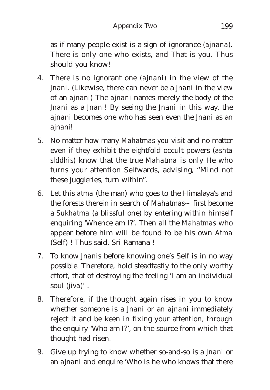as if many people exist is a sign of ignorance *(ajnana).* There is only one who exists, and That is you. Thus should you know!

- 4. There is no ignorant one *(ajnani)* in the view of the *Jnani.* (Likewise, there can never be a *Jnani* in the view of an *ajnani)* The *ajnani* names merely the body of the *Jnani* as a *Jnani!* By seeing the *Jnani* in this way, the *ajnani* becomes one who has seen even the *Jnani* as an *ajnani!*
- 5. No matter how many *Mahatmas you* visit and no matter even if they exhibit the eightfold occult powers *(ashta slddhis)* know that the true *Mahatma* is only He who turns your attention Selfwards, advising, "Mind not these juggleries, turn within".
- 6. Let this *atma* (the man) who goes to the Himalaya's and the forests therein in search of *Mahatmas~* first become a *Sukhatma* (a blissful one) by entering within himself enquiring 'Whence am I?'. Then all the *Mahatmas* who appear before him will be found to be his own *Atma* (Self) ! Thus said, Sri Ramana !
- 7. To know *Jnanis* before knowing one's Self is in no way possible. Therefore, hold steadfastly to the only worthy effort, that of destroying the feeling 'I am an individual soul *(jiva)'* .
- 8. Therefore, if the thought again rises in you to know whether someone is a *Jnani* or an *ajnani* immediately reject it and be keen in fixing your attention, through the enquiry 'Who am I?', on the source from which that thought had risen.
- 9. Give up trying to know whether so-and-so is a *Jnani* or an *ajnani* and enquire 'Who is he who knows that there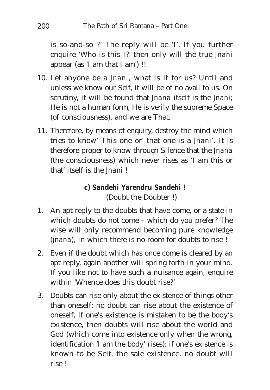is so-and-so ?' The reply will be 'I'. If you further enquire 'Who is this I?' then only will the true *Jnani* appear (as 'I am that I am') !!

- 10. Let anyone be a *Jnani,* what is it for us? Until and unless we know our Self, it will be of no avail to us. On scrutiny, it will be found that *Jnana* itself is the *Jnani;* He is not a human form, He is verily the supreme Space (of consciousness), and we are That.
- 11. Therefore, by means of enquiry, destroy the mind which tries to know' This one or' that one is a *Jnani'.* It is therefore proper to know through Silence that the *Jnana* (the consciousness) which never rises as 'I am this or that' itself is the *Jnani !*

# **c) Sandehi Yarendru Sandehi !** (Doubt the Doubter !)

- 1. An apt reply to the doubts that have come, or a state in which doubts do not come – which do you prefer? The wise will only recommend becoming pure knowledge *(jnana),* in which there is no room for doubts to rise !
- 2. Even if the doubt which has once come is cleared by an apt reply, again another will spring forth in your mind. If you like not to have such a nuisance again, enquire within 'Whence does this doubt rise?'
- 3. Doubts can rise only about the existence of things other than oneself; no doubt can rise about the existence of oneself, If one's existence is mistaken to be the body's existence, then doubts will rise about the world and God (which come into existence only when the wrong, identification 'I am the body' rises); if one's existence is known to be Self, the sale existence, no doubt will rise !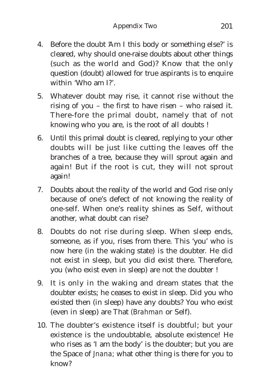- 4. Before the doubt 'Am I this body or something else?' is cleared, why should one-raise doubts about other things (such as the world and God)? Know that the only question (doubt) allowed for true aspirants is to enquire within 'Who am I?'.
- 5. Whatever doubt may rise, it cannot rise without the rising of you – the first to have risen – who raised it. There-fore the primal doubt, namely that of not knowing who you are, is the root of all doubts !
- 6. Until this primal doubt is cleared, replying to your other doubts will be just like cutting the leaves off the branches of a tree, because they will sprout again and again! But if the root is cut, they will not sprout again!
- 7. Doubts about the reality of the world and God rise only because of one's defect of not knowing the reality of one-self. When one's reality shines as Self, without another, what doubt can rise?
- 8. Doubts do not rise during sleep. When sleep ends, someone, as if you, rises from there. This 'you' who is now here (in the waking state) is the doubter. He did not exist in sleep, but you did exist there. Therefore, you (who exist even in sleep) are not the doubter !
- 9. It is only in the waking and dream states that the doubter exists; he ceases to exist in sleep. Did you who existed then (in sleep) have any doubts? You who exist (even in sleep) are That *(Brahman* or Self).
- 10. The doubter's existence itself is doubtful; but your existence is the undoubtable, absolute existence! He who rises as 'I am the body' is the doubter; but you are the Space of *Jnana;* what other thing is there for you to know?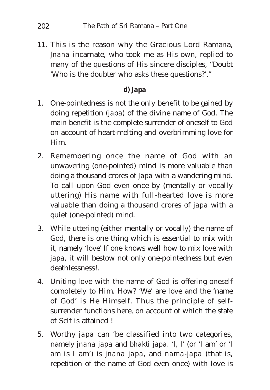11. This is the reason why the Gracious Lord Ramana, *Jnana* incarnate, who took me as His own, replied to many of the questions of His sincere disciples, "Doubt 'Who is the doubter who asks these questions?'."

## *d) Japa*

- 1. One-pointedness is not the only benefit to be gained by doing repetition *(japa)* of the divine name of God. The main benefit is the complete surrender of oneself to God on account of heart-melting and overbrimming love for Him.
- 2. Remembering once the name of God with an unwavering (one-pointed) mind is more valuable than doing a thousand crores of *Japa* with a wandering mind. To call upon God even once by (mentally or vocally uttering) His name with full-hearted love is more valuable than doing a thousand crores of *japa* with a quiet (one-pointed) mind.
- 3. While uttering (either mentally or vocally) the name of God, there is one thing which is essential to mix with it, namely 'love' If one knows well how to mix love with *japa*, it will bestow not only one-pointedness but even deathlessness!.
- 4. Uniting love with the name of God is offering oneself completely to Him. How? 'We' are love and the 'name of God' is He Himself. Thus the principle of selfsurrender functions here, on account of which the state of Self is attained !
- 5. Worthy *japa* can 'be classified into two categories, namely *jnana japa* and *bhakti japa.* 'I, I' (or 'I am' or 'I am is I am') *is jnana japa,* and *nama-japa* (that is, repetition of the name of God even once) with love is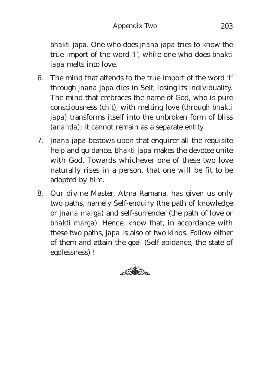#### Appendix Two 203

*bhakti japa.* One who does *jnana japa* tries to know the true import of the word 'I', while one who does *bhakti japa* melts into love.

- 6. The mind that attends to the true import of the word 'I' through *jnana japa* dies in Self, losing its individuality. The mind that embraces the name of God, who is pure consciousness *(chit),* with melting love (through *bhakti japa)* transforms itself into the unbroken form of bliss *(ananda)*; it cannot remain as a separate entity.
- 7. *Jnana japa* bestows upon that enquirer all the requisite help and guidance. *Bhakti japa* makes the devotee unite with God. Towards whichever one of these two love naturally rises in a person, that one will be fit to be adopted by him.
- 8. Our divine Master, Atma Ramana, has given us only two paths, namely Self-enquiry (the path of knowledge or *jnana marga)* and self-surrender (the path of love or *bhakti marga).* Hence, know that, in accordance with these two paths, *japa* is also of two kinds. Follow either of them and attain the goal (Self-abidance, the state of egolessness) !

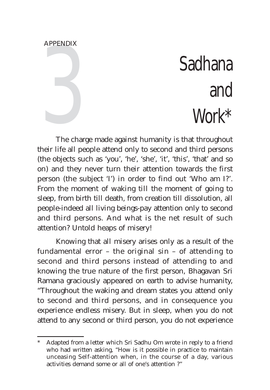APPENDIX

# Sadhana and Work\*

The charge made against humanity is that throughout their life all people attend only to second and third persons (the objects such as 'you', 'he', 'she', 'it', 'this', 'that' and so on) and they never turn their attention towards the first person (the subject 'I') in order to find out 'Who am I?'. From the moment of waking till the moment of going to sleep, from birth till death, from creation till dissolution, all people-indeed all living beings-pay attention only to second and third persons. And what is the net result of such attention? Untold heaps of misery! 3

Knowing that all misery arises only as a result of the fundamental error – the original sin – of attending to second and third persons instead of attending to and knowing the true nature of the first person, Bhagavan Sri Ramana graciously appeared on earth to advise humanity, "Throughout the waking and dream states you attend only to second and third persons, and in consequence you experience endless misery. But in sleep, when you do not attend to any second or third person, you do not experience

<sup>\*</sup> Adapted from a letter which Sri Sadhu Om wrote in reply to a friend who had written asking, "How is it possible in practice to maintain unceasing Self-attention when, in the course of a day, various activities demand some or all of one's attention ?"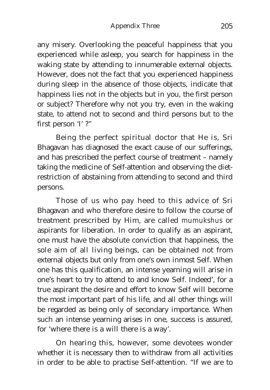any misery. Overlooking the peaceful happiness that you experienced while asleep, you search for happiness in the waking state by attending to innumerable external objects. However, does not the fact that you experienced happiness during sleep in the absence of those objects, indicate that happiness lies not in the objects but in you, the first person or subject? Therefore why not you try, even in the waking state, to attend not to second and third persons but to the first person 'I' ?"

Being the perfect spiritual doctor that He is, Sri Bhagavan has diagnosed the exact cause of our sufferings, and has prescribed the perfect course of treatment – namely taking the medicine of Self-attention and observing the dietrestriction of abstaining from attending to second and third persons.

Those of us who pay heed to this advice of Sri Bhagavan and who therefore desire to follow the course of treatment prescribed by Him, are called *mumukshus* or aspirants for liberation. In order to qualify as an aspirant, one must have the absolute conviction that happiness, the sole aim of all living beings, can be obtained not from external objects but only from one's own inmost Self. When one has this qualification, an intense yearning will arise in one's heart to try to attend to and know Self. Indeed', for a true aspirant the desire and effort to know Self will become the most important part of his life, and all other things will be regarded as being only of secondary importance. When such an intense yearning arises in one, success is assured, for 'where there is a will there is a way'.

On hearing this, however, some devotees wonder whether it is necessary then to withdraw from all activities in order to be able to practise Self-attention. "If we are to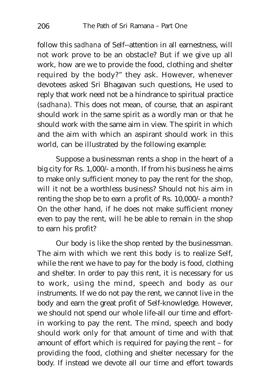follow this *sadhana* of Self--attention in all earnestness, will not work prove to be an obstacle? But if we give up all work, how are we to provide the food, clothing and shelter required by the body?" they ask. However, whenever devotees asked Sri Bhagavan such questions, He used to reply that work need not be a hindrance to spiritual practice *(sadhana).* This does not mean, of course, that an aspirant should work in the same spirit as a wordly man or that he should work with the same aim in view. The spirit in which and the aim with which an aspirant should work in this world, can be illustrated by the following example:

Suppose a businessman rents a shop in the heart of a big city for Rs. 1,000/- a month. If from his business he aims to make only sufficient money to pay the rent for the shop, will it not be a worthless business? Should not his aim in renting the shop be to earn a profit of Rs. 10,000/- a month? On the other hand, if he does not make sufficient money even to pay the rent, will he be able to remain in the shop to earn his profit?

Our body is like the shop rented by the businessman. The aim with which we rent this body is to realize Self, while the rent we have to pay for the body is food, clothing and shelter. In order to pay this rent, it is necessary for us to work, using the mind, speech and body as our instruments. If we do not pay the rent, we cannot live in the body and earn the great profit of Self-knowledge. However, we should not spend our whole life-all our time and effortin working to pay the rent. The mind, speech and body should work only for that amount of time and with that amount of effort which is required for paying the rent – for providing the food, clothing and shelter necessary for the body. If instead we devote all our time and effort towards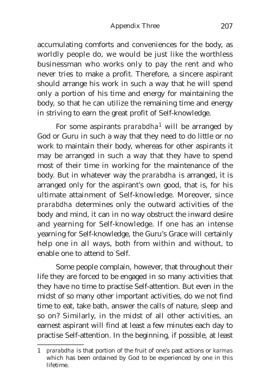#### Appendix Three

accumulating comforts and conveniences for the body, as worldly people do, we would be just like the worthless businessman who works only to pay the rent and who never tries to make a profit. Therefore, a sincere aspirant should arrange his work in such a way that he will spend only a portion of his time and energy for maintaining the body, so that he can utilize the remaining time and energy in striving to earn the great profit of Self-knowledge.

For some aspirants *prarabdha<sup>1</sup>* will be arranged by God or Guru in such a way that they need to do little or no work to maintain their body, whereas for other aspirants it may be arranged in such a way that they have to spend most of their time in working for the maintenance of the body. But in whatever way the *prarabdha* is arranged, it is arranged only for the aspirant's own good, that is, for his ultimate attainment of Self-knowledge. Moreover, since *prarabdha* determines only the outward activities of the body and mind, it can in no way obstruct the inward desire and yearning for Self-knowledge. If one has an intense yearning for Self-knowledge, the Guru's Grace will certainly help one in all ways, both from within and without, to enable one to attend to Self.

Some people complain, however, that throughout their life they are forced to be engaged in so many activities that they have no time to practise Self-attention. But even in the midst of so many other important activities, do we not find time to eat, take bath, answer the calls of nature, sleep and so on? Similarly, in the midst of all other activities, an earnest aspirant will find at least a few minutes each day to practise Self-attention. In the beginning, if possible, at least

<sup>1</sup> *prarabdha* is that portion of the fruit of one's past actions or *karmas* which has been ordained by God to be experienced by one in this lifetime.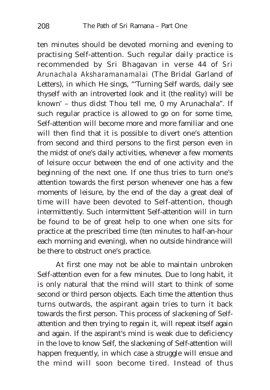ten minutes should be devoted morning and evening to practising Self-attention. Such regular daily practice is recommended by Sri Bhagavan in verse 44 of *Sri Arunachala Aksharamanamalai* (The Bridal Garland of Letters), in which He sings, "'Turning Self wards, daily see thyself with an introverted look and it (the reality) will be known' – thus didst Thou tell me, 0 my Arunachala". If such regular practice is allowed to go on for some time, Self-attention will become more and more familiar and one will then find that it is possible to divert one's attention from second and third persons to the first person even in the midst of one's daily activities, whenever a few moments of leisure occur between the end of one activity and the beginning of the next one. If one thus tries to turn one's attention towards the first person whenever one has a few moments of leisure, by the end of the day a great deal of time will have been devoted to Self-attention, though intermittently. Such intermittent Self-attention will in turn be found to be of great help to one when one sits for practice at the prescribed time (ten minutes to half-an-hour each morning and evening), when no outside hindrance will be there to obstruct one's practice.

At first one may not be able to maintain unbroken Self-attention even for a few minutes. Due to long habit, it is only natural that the mind will start to think of some second or third person objects. Each time the attention thus turns outwards, the aspirant again tries to turn it back towards the first person. This process of slackening of Selfattention and then trying to regain it, will repeat itself again and again. If the aspirant's mind is weak due to deficiency in the love to know Self, the slackening of Self-attention will happen frequently, in which case a struggle will ensue and the mind will soon become tired. Instead of thus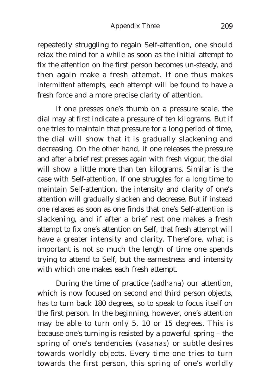#### Appendix Three

repeatedly struggling to regain Self-attention, one should relax the mind for a while as soon as the initial attempt to fix the attention on the first person becomes un-steady, and then again make a fresh attempt. If one thus makes *intermittent attempts,* each attempt will be found to have a fresh force and a more precise clarity of attention.

If one presses one's thumb on a pressure scale, the dial may at first indicate a pressure of ten kilograms. But if one tries to maintain that pressure for a long period of time, the dial will show that it is gradually slackening and decreasing. On the other hand, if one releases the pressure and after a brief rest presses again with fresh vigour, the dial will show a little more than ten kilograms. Similar is the case with Self-attention. If one struggles for a long time to maintain Self-attention, the intensity and clarity of one's attention will gradually slacken and decrease. But if instead one relaxes as soon as one finds that one's Self-attention is slackening, and if after a brief rest one makes a fresh attempt to fix one's attention on Self, that fresh attempt will have a greater intensity and clarity. Therefore, what is important is not so much the length of time one spends trying to attend to Self, but the earnestness and intensity with which one makes each fresh attempt.

During the time of practice *(sadhana)* our attention, which is now focused on second and third person objects, has to turn back 180 degrees, so to speak to focus itself on the first person. In the beginning, however, one's attention may be able to turn only 5, 10 or 15 degrees. This is because one's turning is resisted by a powerful spring – the spring of one's tendencies *(vasanas)* or subtle desires towards worldly objects. Every time one tries to turn towards the first person, this spring of one's worldly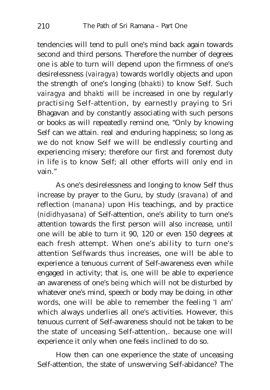tendencies will tend to pull one's mind back again towards second and third persons. Therefore the number of degrees one is able to turn will depend upon the firmness of one's desirelessness *(vairagya)* towards worldly objects and upon the strength of one's longing *(bhakti)* to know Self. Such *vairagya* and *bhakti will be* increased in one by regularly practising Self-attention, by earnestly praying to Sri Bhagavan and by constantly associating with such persons or books as will repeatedly remind one, "Only by knowing Self can we attain. real and enduring happiness; so long as we do not know Self we will be endlessly courting and experiencing misery; therefore our first and foremost duty in life is to know Self; all other efforts will only end in vain."

As one's desirelessness and longing to know Self thus increase by prayer to the Guru, by study *(sravana)* of and reflection *(manana)* upon His teachings, and by practice *(nididhyasana)* of Self-attention, one's ability to turn one's attention towards the first person will also increase, until one will be able to turn it 90, 120 or even 150 degrees at each fresh attempt. When one's ability to turn one's attention Selfwards thus increases, one will be able to experience a tenuous current of Self-awareness even while engaged in activity; that is, one will be able to experience an awareness of one's *being* which will not be disturbed by whatever one's mind, speech or body may be doing, in other words, one will be able to remember the feeling 'I am' which always underlies all one's activities. However, this tenuous current of Self-awareness should not be taken to be the state of unceasing Self-attention,. because one will experience it only when one feels inclined to do so.

How then can one experience the state of unceasing Self-attention, the state of unswerving Self-abidance? The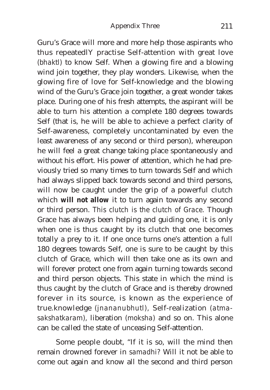Guru's Grace will more and more help those aspirants who thus repeatedlY practise Self-attention with great love *(bhaktl)* to know Self. When a glowing fire and a blowing wind join together, they play wonders. Likewise, when the glowing fire of love for Self-knowledge and the blowing wind of the Guru's Grace join together, a great wonder takes place. During one of his fresh attempts, the aspirant will be able to turn his attention a complete 180 degrees towards Self (that is, he will be able to achieve a perfect clarity of Self-awareness, completely uncontaminated by even the least awareness of any second or third person), whereupon he will feel a great change taking place spontaneously and without his effort. His power of attention, which he had previously tried so many times to turn towards Self and which had always slipped back towards second and third persons, will now be caught under the grip of a powerful clutch which **will not allow** it to turn again towards any second or third person. *This clutch is the clutch of Grace.* Though Grace has always been helping and guiding one, it is only when one is thus caught by its clutch that one becomes totally a prey to it. If one once turns one's attention a full 180 degrees towards Self, one is sure to be caught by this clutch of Grace, which will then take one as its own and will forever protect one from again turning towards second and third person objects. This state in which the mind is thus caught by the clutch of Grace and is thereby drowned forever in its source, is known as the experience of true.knowledge *(jnananubhutl),* Self-realization *(atmasakshatkaram),* liberation *(moksha)* and so on. This alone can be called the state of unceasing Self-attention.

Some people doubt, "If it is so, will the mind then remain drowned forever in *samadhi?* Will it not be able to come out again and know all the second and third person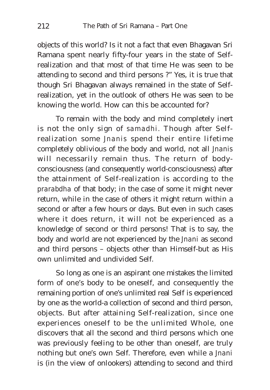objects of this world? Is it not a fact that even Bhagavan Sri Ramana spent nearly fifty-four years in the state of Selfrealization and that most of that time He was seen to be attending to second and third persons ?" Yes, it is true that though Sri Bhagavan always remained in the state of Selfrealization, yet in the outlook of others He was seen to be knowing the world. How can this be accounted for?

To remain with the body and mind completely inert is not the only sign of *samadhi.* Though after Selfrealization some *Jnanis* spend their entire lifetime completely oblivious of the body and world, not all *Jnanis* will necessarily remain thus. The return of bodyconsciousness (and consequently world-consciousness) after the attainment of Self-realization is according to the *prarabdha* of that body; in the case of some it might never return, while in the case of others it might return within a second or after a few hours or days. But even in such cases where it does return, it will not be experienced as a knowledge of second or third persons! That is to say, the body and world are not experienced by the *Jnani* as second and third persons – objects other than Himself-but as His own unlimited and undivided Self.

So long as one is an aspirant one mistakes the limited form of one's body to be oneself, and consequently the remaining portion of one's unlimited real Self is experienced by one as the world-a collection of second and third person, objects. But after attaining Self-realization, since one experiences oneself to be the unlimited Whole, one discovers that all the second and third persons which one was previously feeling to be other than oneself, are truly nothing but one's own Self. Therefore, even while a *Jnani* is (in the view of onlookers) attending to second and third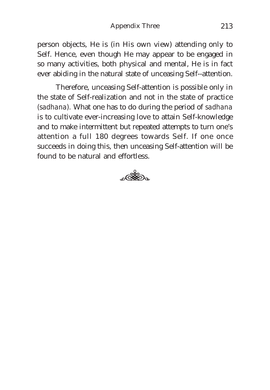person objects, He is (in His own view) attending only to Self. Hence, even though He may appear to be engaged in so many activities, both physical and mental, He is in fact ever abiding in the natural state of unceasing Self--attention.

Therefore, unceasing Self-attention is possible only in the state of Self-realization and not in the state of practice *(sadhana).* What one has to do during the period of *sadhana* is to cultivate ever-increasing love to attain Self-knowledge and to make intermittent but repeated attempts to turn one's attention a full 180 degrees towards Self. If one once succeeds in doing this, then unceasing Self-attention will be found to be natural and effortless.

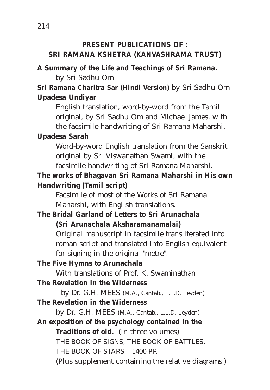```
A Summary of the Life and Teachings of Sri Ramana.
by Sri Sadhu Om
```
**Sri Ramana Charitra Sar (Hindi Version)** by Sri Sadhu Om **Upadesa Undiyar**

English translation, word-by-word from the Tamil original, by Sri Sadhu Om and Michael James, with the facsimile handwriting of Sri Ramana Maharshi.

#### **Upadesa Sarah**

Word-by-word English translation from the Sanskrit original by Sri Viswanathan Swami, with the facsimile handwriting of Sri Ramana Maharshi.

## **The works of Bhagavan Sri Ramana Maharshi in His own Handwriting (Tamil script)**

Facsimile of most of the Works of Sri Ramana Maharshi, with English translations.

## **The Bridal Garland of Letters to Sri Arunachala (Sri Arunachala Aksharamanamalai)**

Original manuscript in facsimile transliterated into roman script and translated into English equivalent for signing in the original "metre".

#### **The Five Hymns to Arunachala**

With translations of Prof. K. Swaminathan

## **The Revelation in the Widerness**

by Dr. G.H. MEES (M.A., Cantab., L.L.D. Leyden)

## **The Revelation in the Widerness**

by Dr. G.H. MEES (M.A., Cantab., L.L.D. Leyden)

**An exposition of the psychology contained in the Traditions of old. (**In three volumes) THE BOOK OF SIGNS, THE BOOK OF BATTLES, THE BOOK OF STARS  $-1400$  PP (Plus supplement containing the relative diagrams.)